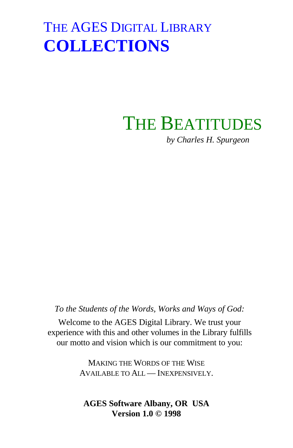# THE BEATITUDES

*by Charles H. Spurgeon*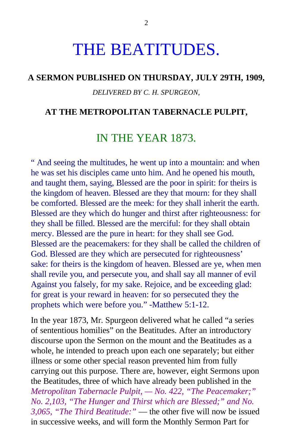# THE BEATITUDES.

#### **A SERMON PUBLISHED ON THURSDAY, JULY 29TH, 1909,**

#### *DELIVERED BY C. H. SPURGEON,*

#### **AT THE METROPOLITAN TABERNACLE PULPIT,**

## IN THE YEAR 1873.

" And seeing the multitudes, he went up into a mountain: and when he was set his disciples came unto him. And he opened his mouth, and taught them, saying, Blessed are the poor in spirit: for theirs is the kingdom of heaven. Blessed are they that mourn: for they shall be comforted. Blessed are the meek: for they shall inherit the earth. Blessed are they which do hunger and thirst after righteousness: for they shall be filled. Blessed are the merciful: for they shall obtain mercy. Blessed are the pure in heart: for they shall see God. Blessed are the peacemakers: for they shall be called the children of God. Blessed are they which are persecuted for righteousness' sake: for theirs is the kingdom of heaven. Blessed are ye, when men shall revile you, and persecute you, and shall say all manner of evil Against you falsely, for my sake. Rejoice, and be exceeding glad: for great is your reward in heaven: for so persecuted they the prophets which were before you." -Matthew 5:1-12.

In the year 1873, Mr. Spurgeon delivered what he called "a series of sententious homilies" on the Beatitudes. After an introductory discourse upon the Sermon on the mount and the Beatitudes as a whole, he intended to preach upon each one separately; but either illness or some other special reason prevented him from fully carrying out this purpose. There are, however, eight Sermons upon the Beatitudes, three of which have already been published in the *Metropolitan Tabernacle Pulpit, — No. 422, "The Peacemaker;" No. 2,103, "The Hunger and Thirst which are Blessed;" and No. 3,065, "The Third Beatitude:"* — the other five will now be issued in successive weeks, and will form the Monthly Sermon Part for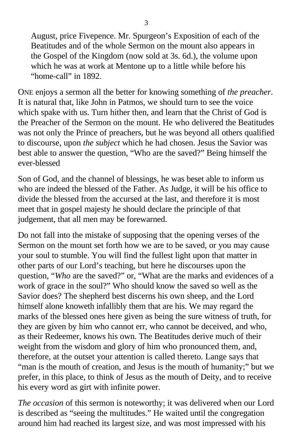August, price Fivepence. Mr. Spurgeon's Exposition of each of the Beatitudes and of the whole Sermon on the mount also appears in the Gospel of the Kingdom (now sold at 3s. 6d.), the volume upon which he was at work at Mentone up to a little while before his "home-call" in 1892.

ONE enjoys a sermon all the better for knowing something of *the preacher*. It is natural that, like John in Patmos, we should turn to see the voice which spake with us. Turn hither then, and learn that the Christ of God is the Preacher of the Sermon on the mount. He who delivered the Beatitudes was not only the Prince of preachers, but he was beyond all others qualified to discourse, upon *the subject* which he had chosen. Jesus the Savior was best able to answer the question, "Who are the saved?" Being himself the ever-blessed

Son of God, and the channel of blessings, he was beset able to inform us who are indeed the blessed of the Father. As Judge, it will be his office to divide the blessed from the accursed at the last, and therefore it is most meet that in gospel majesty he should declare the principle of that judgement, that all men may be forewarned.

Do not fall into the mistake of supposing that the opening verses of the Sermon on the mount set forth how we are to be saved, or you may cause your soul to stumble. You will find the fullest light upon that matter in other parts of our Lord's teaching, but here he discourses upon the question, "*Who* are the saved?" or, "What are the marks and evidences of a work of grace in the soul?" Who should know the saved so well as the Savior does? The shepherd best discerns his own sheep, and the Lord himself alone knoweth infallibly them that are his. We may regard the marks of the blessed ones here given as being the sure witness of truth, for they are given by him who cannot err, who cannot be deceived, and who, as their Redeemer, knows his own. The Beatitudes derive much of their weight from the wisdom and glory of him who pronounced them, and, therefore, at the outset your attention is called thereto. Lange says that "man is the mouth of creation, and Jesus is the mouth of humanity;" but we prefer, in this place, to think of Jesus as the mouth of Deity, and to receive his every word as girt with infinite power.

*The occasion* of this sermon is noteworthy; it was delivered when our Lord is described as "seeing the multitudes." He waited until the congregation around him had reached its largest size, and was most impressed with his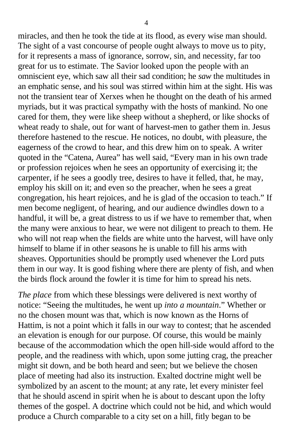miracles, and then he took the tide at its flood, as every wise man should. The sight of a vast concourse of people ought always to move us to pity, for it represents a mass of ignorance, sorrow, sin, and necessity, far too great for us to estimate. The Savior looked upon the people with an omniscient eye, which saw all their sad condition; he *saw* the multitudes in an emphatic sense, and his soul was stirred within him at the sight. His was not the transient tear of Xerxes when he thought on the death of his armed myriads, but it was practical sympathy with the hosts of mankind. No one cared for them, they were like sheep without a shepherd, or like shocks of wheat ready to shale, out for want of harvest-men to gather them in. Jesus therefore hastened to the rescue. He notices, no doubt, with pleasure, the eagerness of the crowd to hear, and this drew him on to speak. A writer quoted in the "Catena, Aurea" has well said, "Every man in his own trade or profession rejoices when he sees an opportunity of exercising it; the carpenter, if he sees a goodly tree, desires to have it felled, that, he may, employ his skill on it; and even so the preacher, when he sees a great congregation, his heart rejoices, and he is glad of the occasion to teach." If men become negligent, of hearing, and our audience dwindles down to a handful, it will be, a great distress to us if we have to remember that, when the many were anxious to hear, we were not diligent to preach to them. He who will not reap when the fields are white unto the harvest, will have only himself to blame if in other seasons he is unable to fill his arms with sheaves. Opportunities should be promptly used whenever the Lord puts them in our way. It is good fishing where there are plenty of fish, and when the birds flock around the fowler it is time for him to spread his nets.

*The place* from which these blessings were delivered is next worthy of notice: "Seeing the multitudes, he went up *into a mountain*." Whether or no the chosen mount was that, which is now known as the Horns of Hattim, is not a point which it falls in our way to contest; that he ascended an elevation is enough for our purpose. Of course, this would be mainly because of the accommodation which the open hill-side would afford to the people, and the readiness with which, upon some jutting crag, the preacher might sit down, and be both heard and seen; but we believe the chosen place of meeting had also its instruction. Exalted doctrine might well be symbolized by an ascent to the mount; at any rate, let every minister feel that he should ascend in spirit when he is about to descant upon the lofty themes of the gospel. A doctrine which could not be hid, and which would produce a Church comparable to a city set on a hill, fitly began to be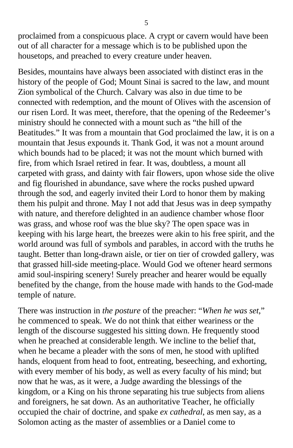proclaimed from a conspicuous place. A crypt or cavern would have been out of all character for a message which is to be published upon the housetops, and preached to every creature under heaven.

Besides, mountains have always been associated with distinct eras in the history of the people of God; Mount Sinai is sacred to the law, and mount Zion symbolical of the Church. Calvary was also in due time to be connected with redemption, and the mount of Olives with the ascension of our risen Lord. It was meet, therefore, that the opening of the Redeemer's ministry should he connected with a mount such as "the hill of the Beatitudes." It was from a mountain that God proclaimed the law, it is on a mountain that Jesus expounds it. Thank God, it was not a mount around which bounds had to be placed; it was not the mount which burned with fire, from which Israel retired in fear. It was, doubtless, a mount all carpeted with grass, and dainty with fair flowers, upon whose side the olive and fig flourished in abundance, save where the rocks pushed upward through the sod, and eagerly invited their Lord to honor them by making them his pulpit and throne. May I not add that Jesus was in deep sympathy with nature, and therefore delighted in an audience chamber whose floor was grass, and whose roof was the blue sky? The open space was in keeping with his large heart, the breezes were akin to his free spirit, and the world around was full of symbols and parables, in accord with the truths he taught. Better than long-drawn aisle, or tier on tier of crowded gallery, was that grassed hill-side meeting-place. Would God we oftener heard sermons amid soul-inspiring scenery! Surely preacher and hearer would be equally benefited by the change, from the house made with hands to the God-made temple of nature.

There was instruction in *the posture* of the preacher: "*When he was set*," he commenced to speak. We do not think that either weariness or the length of the discourse suggested his sitting down. He frequently stood when he preached at considerable length. We incline to the belief that, when he became a pleader with the sons of men, he stood with uplifted hands, eloquent from head to foot, entreating, beseeching, and exhorting, with every member of his body, as well as every faculty of his mind; but now that he was, as it were, a Judge awarding the blessings of the kingdom, or a King on his throne separating his true subjects from aliens and foreigners, he sat down. As an authoritative Teacher, he officially occupied the chair of doctrine, and spake *ex cathedral*, as men say, as a Solomon acting as the master of assemblies or a Daniel come to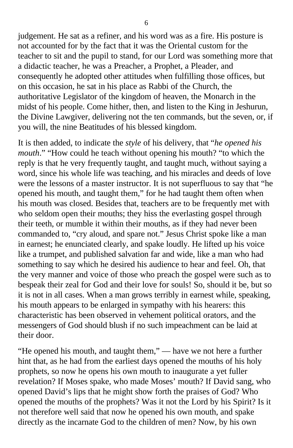judgement. He sat as a refiner, and his word was as a fire. His posture is not accounted for by the fact that it was the Oriental custom for the teacher to sit and the pupil to stand, for our Lord was something more that a didactic teacher, he was a Preacher, a Prophet, a Pleader, and consequently he adopted other attitudes when fulfilling those offices, but on this occasion, he sat in his place as Rabbi of the Church, the authoritative Legislator of the kingdom of heaven, the Monarch in the midst of his people. Come hither, then, and listen to the King in Jeshurun, the Divine Lawgiver, delivering not the ten commands, but the seven, or, if you will, the nine Beatitudes of his blessed kingdom.

It is then added, to indicate the *style* of his delivery, that "*he opened his mouth*." "How could he teach without opening his mouth? "to which the reply is that he very frequently taught, and taught much, without saying a word, since his whole life was teaching, and his miracles and deeds of love were the lessons of a master instructor. It is not superfluous to say that "he opened his mouth, and taught them," for he had taught them often when his mouth was closed. Besides that, teachers are to be frequently met with who seldom open their mouths; they hiss the everlasting gospel through their teeth, or mumble it within their mouths, as if they had never been commanded to, "cry aloud, and spare not." Jesus Christ spoke like a man in earnest; he enunciated clearly, and spake loudly. He lifted up his voice like a trumpet, and published salvation far and wide, like a man who had something to say which he desired his audience to hear and feel. Oh, that the very manner and voice of those who preach the gospel were such as to bespeak their zeal for God and their love for souls! So, should it be, but so it is not in all cases. When a man grows terribly in earnest while, speaking, his mouth appears to be enlarged in sympathy with his hearers: this characteristic has been observed in vehement political orators, and the messengers of God should blush if no such impeachment can be laid at their door.

"He opened his mouth, and taught them," — have we not here a further hint that, as he had from the earliest days opened the mouths of his holy prophets, so now he opens his own mouth to inaugurate a yet fuller revelation? If Moses spake, who made Moses' mouth? If David sang, who opened David's lips that he might show forth the praises of God? Who opened the mouths of the prophets? Was it not the Lord by his Spirit? Is it not therefore well said that now he opened his own mouth, and spake directly as the incarnate God to the children of men? Now, by his own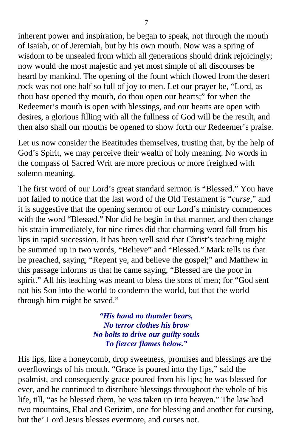inherent power and inspiration, he began to speak, not through the mouth of Isaiah, or of Jeremiah, but by his own mouth. Now was a spring of wisdom to be unsealed from which all generations should drink rejoicingly; now would the most majestic and yet most simple of all discourses be heard by mankind. The opening of the fount which flowed from the desert rock was not one half so full of joy to men. Let our prayer be, "Lord, as thou hast opened thy mouth, do thou open our hearts;" for when the Redeemer's mouth is open with blessings, and our hearts are open with desires, a glorious filling with all the fullness of God will be the result, and then also shall our mouths be opened to show forth our Redeemer's praise.

Let us now consider the Beatitudes themselves, trusting that, by the help of God's Spirit, we may perceive their wealth of holy meaning. No words in the compass of Sacred Writ are more precious or more freighted with solemn meaning.

The first word of our Lord's great standard sermon is "Blessed." You have not failed to notice that the last word of the Old Testament is "*curse*," and it is suggestive that the opening sermon of our Lord's ministry commences with the word "Blessed." Nor did he begin in that manner, and then change his strain immediately, for nine times did that charming word fall from his lips in rapid succession. It has been well said that Christ's teaching might be summed up in two words, "Believe" and "Blessed." Mark tells us that he preached, saying, "Repent ye, and believe the gospel;" and Matthew in this passage informs us that he came saying, "Blessed are the poor in spirit." All his teaching was meant to bless the sons of men; for "God sent not his Son into the world to condemn the world, but that the world through him might be saved."

> *"His hand no thunder bears, No terror clothes his brow No bolts to drive our guilty souls To fiercer flames below."*

His lips, like a honeycomb, drop sweetness, promises and blessings are the overflowings of his mouth. "Grace is poured into thy lips," said the psalmist, and consequently grace poured from his lips; he was blessed for ever, and he continued to distribute blessings throughout the whole of his life, till, "as he blessed them, he was taken up into heaven." The law had two mountains, Ebal and Gerizim, one for blessing and another for cursing, but the' Lord Jesus blesses evermore, and curses not.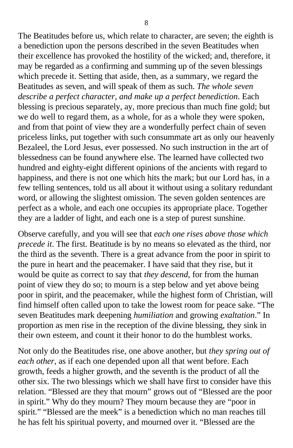The Beatitudes before us, which relate to character, are seven; the eighth is a benediction upon the persons described in the seven Beatitudes when their excellence has provoked the hostility of the wicked; and, therefore, it may be regarded as a confirming and summing up of the seven blessings which precede it. Setting that aside, then, as a summary, we regard the Beatitudes as seven, and will speak of them as such. *The whole seven describe a perfect character, and make up a perfect benediction*. Each blessing is precious separately, ay, more precious than much fine gold; but we do well to regard them, as a whole, for as a whole they were spoken, and from that point of view they are a wonderfully perfect chain of seven priceless links, put together with such consummate art as only our heavenly Bezaleel, the Lord Jesus, ever possessed. No such instruction in the art of blessedness can be found anywhere else. The learned have collected two hundred and eighty-eight different opinions of the ancients with regard to happiness, and there is not one which hits the mark; but our Lord has, in a few telling sentences, told us all about it without using a solitary redundant word, or allowing the slightest omission. The seven golden sentences are perfect as a whole, and each one occupies its appropriate place. Together they are a ladder of light, and each one is a step of purest sunshine.

Observe carefully, and you will see that *each one rises above those which precede it*. The first. Beatitude is by no means so elevated as the third, nor the third as the seventh. There is a great advance from the poor in spirit to the pure in heart and the peacemaker. I have said that they rise, but it would be quite as correct to say that *they descend*, for from the human point of view they do so; to mourn is a step below and yet above being poor in spirit, and the peacemaker, while the highest form of Christian, will find himself often called upon to take the lowest room for peace sake. "The seven Beatitudes mark deepening *humiliation* and growing *exaltation*." In proportion as men rise in the reception of the divine blessing, they sink in their own esteem, and count it their honor to do the humblest works.

Not only do the Beatitudes rise, one above another, but *they spring out of each other*, as if each one depended upon all that went before. Each growth, feeds a higher growth, and the seventh is the product of all the other six. The two blessings which we shall have first to consider have this relation. "Blessed are they that mourn" grows out of "Blessed are the poor in spirit." Why do they mourn? They mourn because they are "poor in spirit." "Blessed are the meek" is a benediction which no man reaches till he has felt his spiritual poverty, and mourned over it. "Blessed are the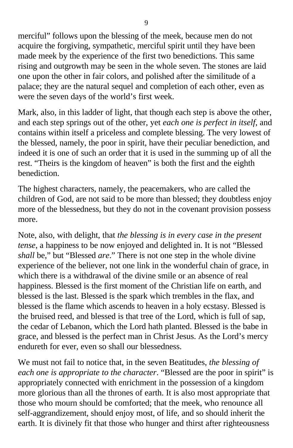merciful" follows upon the blessing of the meek, because men do not acquire the forgiving, sympathetic, merciful spirit until they have been made meek by the experience of the first two benedictions. This same rising and outgrowth may be seen in the whole seven. The stones are laid one upon the other in fair colors, and polished after the similitude of a palace; they are the natural sequel and completion of each other, even as were the seven days of the world's first week.

Mark, also, in this ladder of light, that though each step is above the other, and each step springs out of the other, yet *each one is perfect in itself*, and contains within itself a priceless and complete blessing. The very lowest of the blessed, namely, the poor in spirit, have their peculiar benediction, and indeed it is one of such an order that it is used in the summing up of all the rest. "Theirs is the kingdom of heaven" is both the first and the eighth benediction.

The highest characters, namely, the peacemakers, who are called the children of God, are not said to be more than blessed; they doubtless enjoy more of the blessedness, but they do not in the covenant provision possess more.

Note, also, with delight, that *the blessing is in every case in the present tense*, a happiness to be now enjoyed and delighted in. It is not "Blessed *shall* be," but "Blessed *are*." There is not one step in the whole divine experience of the believer, not one link in the wonderful chain of grace, in which there is a withdrawal of the divine smile or an absence of real happiness. Blessed is the first moment of the Christian life on earth, and blessed is the last. Blessed is the spark which trembles in the flax, and blessed is the flame which ascends to heaven in a holy ecstasy. Blessed is the bruised reed, and blessed is that tree of the Lord, which is full of sap, the cedar of Lebanon, which the Lord hath planted. Blessed is the babe in grace, and blessed is the perfect man in Christ Jesus. As the Lord's mercy endureth for ever, even so shall our blessedness.

We must not fail to notice that, in the seven Beatitudes, *the blessing of each one is appropriate to the character*. "Blessed are the poor in spirit" is appropriately connected with enrichment in the possession of a kingdom more glorious than all the thrones of earth. It is also most appropriate that those who mourn should be comforted; that the meek, who renounce all self-aggrandizement, should enjoy most, of life, and so should inherit the earth. It is divinely fit that those who hunger and thirst after righteousness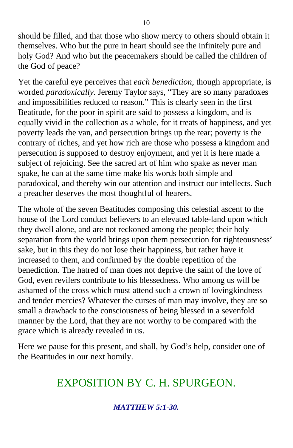should be filled, and that those who show mercy to others should obtain it themselves. Who but the pure in heart should see the infinitely pure and holy God? And who but the peacemakers should be called the children of the God of peace?

Yet the careful eye perceives that *each benediction*, though appropriate, is worded *paradoxically*. Jeremy Taylor says, "They are so many paradoxes and impossibilities reduced to reason." This is clearly seen in the first Beatitude, for the poor in spirit are said to possess a kingdom, and is equally vivid in the collection as a whole, for it treats of happiness, and yet poverty leads the van, and persecution brings up the rear; poverty is the contrary of riches, and yet how rich are those who possess a kingdom and persecution is supposed to destroy enjoyment, and yet it is here made a subject of rejoicing. See the sacred art of him who spake as never man spake, he can at the same time make his words both simple and paradoxical, and thereby win our attention and instruct our intellects. Such a preacher deserves the most thoughtful of hearers.

The whole of the seven Beatitudes composing this celestial ascent to the house of the Lord conduct believers to an elevated table-land upon which they dwell alone, and are not reckoned among the people; their holy separation from the world brings upon them persecution for righteousness' sake, but in this they do not lose their happiness, but rather have it increased to them, and confirmed by the double repetition of the benediction. The hatred of man does not deprive the saint of the love of God, even revilers contribute to his blessedness. Who among us will be ashamed of the cross which must attend such a crown of lovingkindness and tender mercies? Whatever the curses of man may involve, they are so small a drawback to the consciousness of being blessed in a sevenfold manner by the Lord, that they are not worthy to be compared with the grace which is already revealed in us.

Here we pause for this present, and shall, by God's help, consider one of the Beatitudes in our next homily.

# EXPOSITION BY C. H. SPURGEON.

### *MATTHEW 5:1-30.*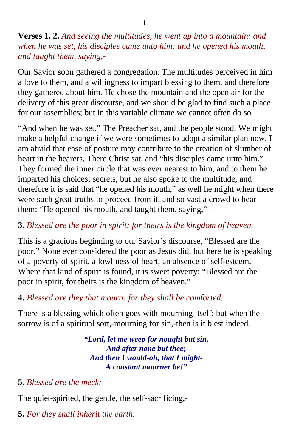**Verses 1, 2.** *And seeing the multitudes, he went up into a mountain: and when he was set, his disciples came unto him: and he opened his mouth, and taught them, saying,-*

Our Savior soon gathered a congregation. The multitudes perceived in him a love to them, and a willingness to impart blessing to them, and therefore they gathered about him. He chose the mountain and the open air for the delivery of this great discourse, and we should be glad to find such a place for our assemblies; but in this variable climate we cannot often do so.

"And when he was set." The Preacher sat, and the people stood. We might make a helpful change if we were sometimes to adopt a similar plan now. I am afraid that ease of posture may contribute to the creation of slumber of heart in the hearers. There Christ sat, and "his disciples came unto him." They formed the inner circle that was ever nearest to him, and to them he imparted his choicest secrets, but he also spoke to the multitude, and therefore it is said that "he opened his mouth," as well he might when there were such great truths to proceed from it, and so vast a crowd to hear them: "He opened his mouth, and taught them, saying," —

#### **3.** *Blessed are the poor in spirit: for theirs is the kingdom of heaven.*

This is a gracious beginning to our Savior's discourse, "Blessed are the poor." None ever considered the poor as Jesus did, but here he is speaking of a poverty of spirit, a lowliness of heart, an absence of self-esteem. Where that kind of spirit is found, it is sweet poverty: "Blessed are the poor in spirit, for theirs is the kingdom of heaven."

#### **4.** *Blessed are they that mourn: for they shall be comforted.*

There is a blessing which often goes with mourning itself; but when the sorrow is of a spiritual sort,-mourning for sin,-then is it blest indeed.

> *"Lord, let me weep for nought but sin, And after none but thee; And then I would-oh, that I might-A constant mourner be!"*

#### **5.** *Blessed are the meek:*

The quiet-spirited, the gentle, the self-sacrificing,-

**5.** *For they shall inherit the earth.*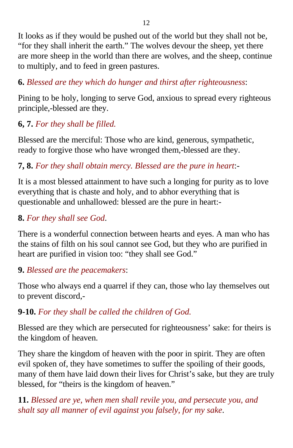It looks as if they would be pushed out of the world but they shall not be, "for they shall inherit the earth." The wolves devour the sheep, yet there are more sheep in the world than there are wolves, and the sheep, continue to multiply, and to feed in green pastures.

## **6.** *Blessed are they which do hunger and thirst after righteousness*:

Pining to be holy, longing to serve God, anxious to spread every righteous principle,-blessed are they.

## **6, 7.** *For they shall be filled.*

Blessed are the merciful: Those who are kind, generous, sympathetic, ready to forgive those who have wronged them,-blessed are they.

## **7, 8.** *For they shall obtain mercy. Blessed are the pure in heart*:-

It is a most blessed attainment to have such a longing for purity as to love everything that is chaste and holy, and to abhor everything that is questionable and unhallowed: blessed are the pure in heart:-

## **8.** *For they shall see God*.

There is a wonderful connection between hearts and eyes. A man who has the stains of filth on his soul cannot see God, but they who are purified in heart are purified in vision too: "they shall see God."

## **9.** *Blessed are the peacemakers*:

Those who always end a quarrel if they can, those who lay themselves out to prevent discord,-

## **9-10.** *For they shall be called the children of God.*

Blessed are they which are persecuted for righteousness' sake: for theirs is the kingdom of heaven.

They share the kingdom of heaven with the poor in spirit. They are often evil spoken of, they have sometimes to suffer the spoiling of their goods, many of them have laid down their lives for Christ's sake, but they are truly blessed, for "theirs is the kingdom of heaven."

**11.** *Blessed are ye, when men shall revile you, and persecute you, and shalt say all manner of evil against you falsely, for my sake*.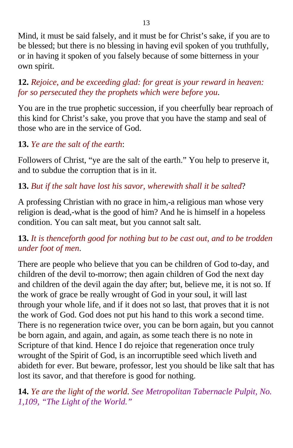Mind, it must be said falsely, and it must be for Christ's sake, if you are to be blessed; but there is no blessing in having evil spoken of you truthfully, or in having it spoken of you falsely because of some bitterness in your own spirit.

**12.** *Rejoice, and be exceeding glad: for great is your reward in heaven: for so persecuted they the prophets which were before you*.

You are in the true prophetic succession, if you cheerfully bear reproach of this kind for Christ's sake, you prove that you have the stamp and seal of those who are in the service of God.

## **13.** *Ye are the salt of the earth*:

Followers of Christ, "ye are the salt of the earth." You help to preserve it, and to subdue the corruption that is in it.

## **13.** *But if the salt have lost his savor, wherewith shall it be salted*?

A professing Christian with no grace in him,-a religious man whose very religion is dead,-what is the good of him? And he is himself in a hopeless condition. You can salt meat, but you cannot salt salt.

## **13.** *It is thenceforth good for nothing but to be cast out, and to be trodden under foot of men*.

There are people who believe that you can be children of God to-day, and children of the devil to-morrow; then again children of God the next day and children of the devil again the day after; but, believe me, it is not so. If the work of grace be really wrought of God in your soul, it will last through your whole life, and if it does not so last, that proves that it is not the work of God. God does not put his hand to this work a second time. There is no regeneration twice over, you can be born again, but you cannot be born again, and again, and again, as some teach there is no note in Scripture of that kind. Hence I do rejoice that regeneration once truly wrought of the Spirit of God, is an incorruptible seed which liveth and abideth for ever. But beware, professor, lest you should be like salt that has lost its savor, and that therefore is good for nothing.

**14.** *Ye are the light of the world*. *See Metropolitan Tabernacle Pulpit, No. 1,109, "The Light of the World."*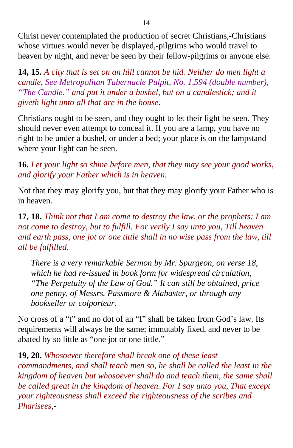Christ never contemplated the production of secret Christians,-Christians whose virtues would never be displayed,-pilgrims who would travel to heaven by night, and never be seen by their fellow-pilgrims or anyone else.

**14, 15.** *A city that is set on an hill cannot be hid. Neither do men light a candle*, *See Metropolitan Tabernacle Pulpit, No. 1,594 (double number), "The Candle." and put it under a bushel, but on a candlestick; and it giveth light unto all that are in the house*.

Christians ought to be seen, and they ought to let their light be seen. They should never even attempt to conceal it. If you are a lamp, you have no right to be under a bushel, or under a bed; your place is on the lampstand where your light can be seen.

**16.** *Let your light so shine before men, that they may see your good works, and glorify your Father which is in heaven.*

Not that they may glorify you, but that they may glorify your Father who is in heaven.

## **17, 18.** *Think not that I am come to destroy the law, or the prophets: I am not come to destroy, but to fulfill. For verily I say unto you, Till heaven and earth pass, one jot or one tittle shall in no wise pass from the law, till all be fulfilled.*

*There is a very remarkable Sermon by Mr. Spurgeon, on verse 18, which he had re-issued in book form for widespread circulation, "The Perpetuity of the Law of God." It can still be obtained, price one penny, of Messrs. Passmore & Alabaster, or through any bookseller or colporteur.*

No cross of a "t" and no dot of an "I" shall be taken from God's law. Its requirements will always be the same; immutably fixed, and never to be abated by so little as "one jot or one tittle."

**19, 20.** *Whosoever therefore shall break one of these least commandments, and shall teach men so, he shall be called the least in the kingdom of heaven but whosoever shall do and teach them, the same shall be called great in the kingdom of heaven. For I say unto you, That except your righteousness shall exceed the righteousness of the scribes and Pharisees*,-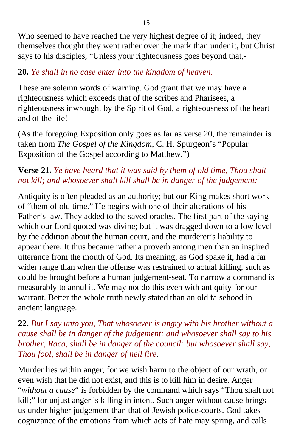Who seemed to have reached the very highest degree of it; indeed, they themselves thought they went rather over the mark than under it, but Christ says to his disciples, "Unless your righteousness goes beyond that,-

## **20.** *Ye shall in no case enter into the kingdom of heaven.*

These are solemn words of warning. God grant that we may have a righteousness which exceeds that of the scribes and Pharisees, a righteousness inwrought by the Spirit of God, a righteousness of the heart and of the life!

(As the foregoing Exposition only goes as far as verse 20, the remainder is taken from *The Gospel of the Kingdom*, C. H. Spurgeon's "Popular Exposition of the Gospel according to Matthew.")

## **Verse 21.** *Ye have heard that it was said by them of old time, Thou shalt not kill; and whosoever shall kill shall be in danger of the judgement:*

Antiquity is often pleaded as an authority; but our King makes short work of "them of old time." He begins with one of their alterations of his Father's law. They added to the saved oracles. The first part of the saying which our Lord quoted was divine; but it was dragged down to a low level by the addition about the human court, and the murderer's liability to appear there. It thus became rather a proverb among men than an inspired utterance from the mouth of God. Its meaning, as God spake it, had a far wider range than when the offense was restrained to actual killing, such as could be brought before a human judgement-seat. To narrow a command is measurably to annul it. We may not do this even with antiquity for our warrant. Better the whole truth newly stated than an old falsehood in ancient language.

## **22.** *But I say unto you, That whosoever is angry with his brother without a cause shall be in danger of the judgement: and whosoever shall say to his brother, Raca, shall be in danger of the council: but whosoever shall say, Thou fool, shall be in danger of hell fire*.

Murder lies within anger, for we wish harm to the object of our wrath, or even wish that he did not exist, and this is to kill him in desire. Anger "*without a cause*" is forbidden by the command which says "Thou shalt not kill;" for unjust anger is killing in intent. Such anger without cause brings us under higher judgement than that of Jewish police-courts. God takes cognizance of the emotions from which acts of hate may spring, and calls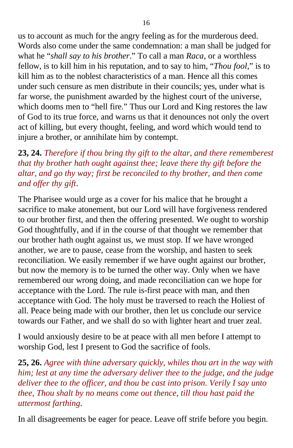us to account as much for the angry feeling as for the murderous deed. Words also come under the same condemnation: a man shall be judged for what he "*shall say to his brother*." To call a man *Raca*, or a worthless fellow, is to kill him in his reputation, and to say to him, "*Thou fool*," is to kill him as to the noblest characteristics of a man. Hence all this comes under such censure as men distribute in their councils; yes, under what is far worse, the punishment awarded by the highest court of the universe, which dooms men to "hell fire." Thus our Lord and King restores the law of God to its true force, and warns us that it denounces not only the overt act of killing, but every thought, feeling, and word which would tend to injure a brother, or annihilate him by contempt.

## **23, 24.** *Therefore if thou bring thy gift to the altar, and there rememberest that thy brother hath ought against thee; leave there thy gift before the altar, and go thy way; first be reconciled to thy brother, and then come and offer thy gift*.

The Pharisee would urge as a cover for his malice that he brought a sacrifice to make atonement, but our Lord will have forgiveness rendered to our brother first, and then the offering presented. We ought to worship God thoughtfully, and if in the course of that thought we remember that our brother hath ought against us, we must stop. If we have wronged another, we are to pause, cease from the worship, and hasten to seek reconciliation. We easily remember if we have ought against our brother, but now the memory is to be turned the other way. Only when we have remembered our wrong doing, and made reconciliation can we hope for acceptance with the Lord. The rule is-first peace with man, and then acceptance with God. The holy must be traversed to reach the Holiest of all. Peace being made with our brother, then let us conclude our service towards our Father, and we shall do so with lighter heart and truer zeal.

I would anxiously desire to be at peace with all men before I attempt to worship God, lest I present to God the sacrifice of fools.

**25, 26.** *Agree with thine adversary quickly, whiles thou art in the way with him; lest at any time the adversary deliver thee to the judge, and the judge deliver thee to the officer, and thou be cast into prison. Verily I say unto thee, Thou shalt by no means come out thence, till thou hast paid the uttermost farthing*.

In all disagreements be eager for peace. Leave off strife before you begin.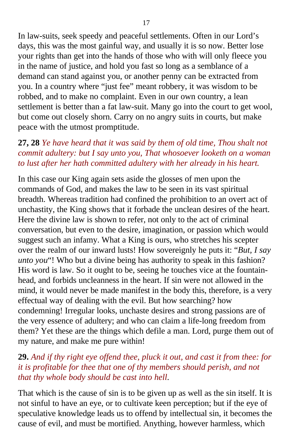In law-suits, seek speedy and peaceful settlements. Often in our Lord's days, this was the most gainful way, and usually it is so now. Better lose your rights than get into the hands of those who with will only fleece you in the name of justice, and hold you fast so long as a semblance of a demand can stand against you, or another penny can be extracted from you. In a country where "just fee" meant robbery, it was wisdom to be robbed, and to make no complaint. Even in our own country, a lean settlement is better than a fat law-suit. Many go into the court to get wool, but come out closely shorn. Carry on no angry suits in courts, but make peace with the utmost promptitude.

### **27, 28** *Ye have heard that it was said by them of old time, Thou shalt not commit adultery: but I say unto you, That whosoever looketh on a woman to lust after her hath committed adultery with her already in his heart.*

In this case our King again sets aside the glosses of men upon the commands of God, and makes the law to be seen in its vast spiritual breadth. Whereas tradition had confined the prohibition to an overt act of unchastity, the King shows that it forbade the unclean desires of the heart. Here the divine law is shown to refer, not only to the act of criminal conversation, but even to the desire, imagination, or passion which would suggest such an infamy. What a King is ours, who stretches his scepter over the realm of our inward lusts! How sovereignly he puts it: "*But, I say unto you*"! Who but a divine being has authority to speak in this fashion? His word is law. So it ought to be, seeing he touches vice at the fountainhead, and forbids uncleanness in the heart. If sin were not allowed in the mind, it would never be made manifest in the body this, therefore, is a very effectual way of dealing with the evil. But how searching? how condemning! Irregular looks, unchaste desires and strong passions are of the very essence of adultery; and who can claim a life-long freedom from them? Yet these are the things which defile a man. Lord, purge them out of my nature, and make me pure within!

### **29.** *And if thy right eye offend thee, pluck it out, and cast it from thee: for it is profitable for thee that one of thy members should perish, and not that thy whole body should be cast into hell*.

That which is the cause of sin is to be given up as well as the sin itself. It is not sinful to have an eye, or to cultivate keen perception; but if the eye of speculative knowledge leads us to offend by intellectual sin, it becomes the cause of evil, and must be mortified. Anything, however harmless, which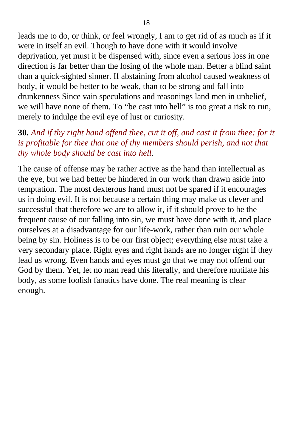leads me to do, or think, or feel wrongly, I am to get rid of as much as if it were in itself an evil. Though to have done with it would involve deprivation, yet must it be dispensed with, since even a serious loss in one direction is far better than the losing of the whole man. Better a blind saint than a quick-sighted sinner. If abstaining from alcohol caused weakness of body, it would be better to be weak, than to be strong and fall into drunkenness Since vain speculations and reasonings land men in unbelief, we will have none of them. To "be cast into hell" is too great a risk to run, merely to indulge the evil eye of lust or curiosity.

#### **30.** *And if thy right hand offend thee, cut it off, and cast it from thee: for it is profitable for thee that one of thy members should perish, and not that thy whole body should be cast into hell*.

The cause of offense may be rather active as the hand than intellectual as the eye, but we had better be hindered in our work than drawn aside into temptation. The most dexterous hand must not be spared if it encourages us in doing evil. It is not because a certain thing may make us clever and successful that therefore we are to allow it, if it should prove to be the frequent cause of our falling into sin, we must have done with it, and place ourselves at a disadvantage for our life-work, rather than ruin our whole being by sin. Holiness is to be our first object; everything else must take a very secondary place. Right eyes and right hands are no longer right if they lead us wrong. Even hands and eyes must go that we may not offend our God by them. Yet, let no man read this literally, and therefore mutilate his body, as some foolish fanatics have done. The real meaning is clear enough.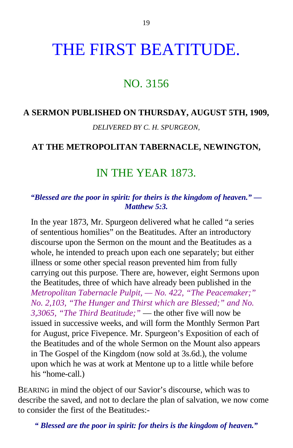# THE FIRST BEATITUDE.

# NO. 3156

### **A SERMON PUBLISHED ON THURSDAY, AUGUST 5TH, 1909,**

*DELIVERED BY C. H. SPURGEON,*

#### **AT THE METROPOLITAN TABERNACLE, NEWINGTON,**

# IN THE YEAR 1873.

#### *"Blessed are the poor in spirit: for theirs is the kingdom of heaven." — Matthew 5:3.*

In the year 1873, Mr. Spurgeon delivered what he called "a series of sententious homilies" on the Beatitudes. After an introductory discourse upon the Sermon on the mount and the Beatitudes as a whole, he intended to preach upon each one separately; but either illness or some other special reason prevented him from fully carrying out this purpose. There are, however, eight Sermons upon the Beatitudes, three of which have already been published in the *Metropolitan Tabernacle Pulpit, — No. 422, "The Peacemaker;" No. 2,103, "The Hunger and Thirst which are Blessed;" and No. 3,3065, "The Third Beatitude;"* — the other five will now be issued in successive weeks, and will form the Monthly Sermon Part for August, price Fivepence. Mr. Spurgeon's Exposition of each of the Beatitudes and of the whole Sermon on the Mount also appears in The Gospel of the Kingdom (now sold at 3s.6d.), the volume upon which he was at work at Mentone up to a little while before his "home-call.)

BEARING in mind the object of our Savior's discourse, which was to describe the saved, and not to declare the plan of salvation, we now come to consider the first of the Beatitudes:-

*" Blessed are the poor in spirit: for theirs is the kingdom of heaven."*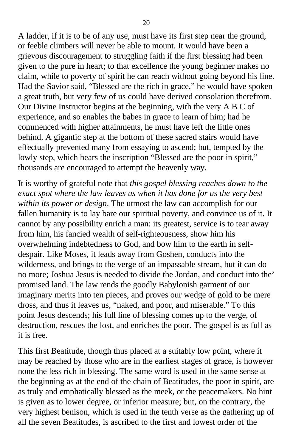A ladder, if it is to be of any use, must have its first step near the ground, or feeble climbers will never be able to mount. It would have been a grievous discouragement to struggling faith if the first blessing had been given to the pure in heart; to that excellence the young beginner makes no claim, while to poverty of spirit he can reach without going beyond his line. Had the Savior said, "Blessed are the rich in grace," he would have spoken a great truth, but very few of us could have derived consolation therefrom. Our Divine Instructor begins at the beginning, with the very A B C of experience, and so enables the babes in grace to learn of him; had he commenced with higher attainments, he must have left the little ones behind. A gigantic step at the bottom of these sacred stairs would have effectually prevented many from essaying to ascend; but, tempted by the lowly step, which bears the inscription "Blessed are the poor in spirit," thousands are encouraged to attempt the heavenly way.

It is worthy of grateful note that *this gospel blessing reaches down to the exact spot where the law leaves us when it has done for us the very best within its power or design*. The utmost the law can accomplish for our fallen humanity is to lay bare our spiritual poverty, and convince us of it. It cannot by any possibility enrich a man: its greatest, service is to tear away from him, his fancied wealth of self-righteousness, show him his overwhelming indebtedness to God, and bow him to the earth in selfdespair. Like Moses, it leads away from Goshen, conducts into the wilderness, and brings to the verge of an impassable stream, but it can do no more; Joshua Jesus is needed to divide the Jordan, and conduct into the' promised land. The law rends the goodly Babylonish garment of our imaginary merits into ten pieces, and proves our wedge of gold to be mere dross, and thus it leaves us, "naked, and poor, and miserable." To this point Jesus descends; his full line of blessing comes up to the verge, of destruction, rescues the lost, and enriches the poor. The gospel is as full as it is free.

This first Beatitude, though thus placed at a suitably low point, where it may be reached by those who are in the earliest stages of grace, is however none the less rich in blessing. The same word is used in the same sense at the beginning as at the end of the chain of Beatitudes, the poor in spirit, are as truly and emphatically blessed as the meek, or the peacemakers. No hint is given as to lower degree, or inferior measure; but, on the contrary, the very highest benison, which is used in the tenth verse as the gathering up of all the seven Beatitudes, is ascribed to the first and lowest order of the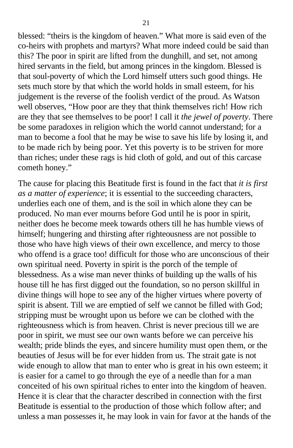blessed: "theirs is the kingdom of heaven." What more is said even of the co-heirs with prophets and martyrs? What more indeed could be said than this? The poor in spirit are lifted from the dunghill, and set, not among hired servants in the field, but among princes in the kingdom. Blessed is that soul-poverty of which the Lord himself utters such good things. He sets much store by that which the world holds in small esteem, for his judgement is the reverse of the foolish verdict of the proud. As Watson well observes, "How poor are they that think themselves rich! How rich are they that see themselves to be poor! I call it *the jewel of poverty*. There be some paradoxes in religion which the world cannot understand; for a man to become a fool that he may be wise to save his life by losing it, and to be made rich by being poor. Yet this poverty is to be striven for more than riches; under these rags is hid cloth of gold, and out of this carcase cometh honey."

The cause for placing this Beatitude first is found in the fact that *it is first as a matter of experience*; it is essential to the succeeding characters, underlies each one of them, and is the soil in which alone they can be produced. No man ever mourns before God until he is poor in spirit, neither does he become meek towards others till he has humble views of himself; hungering and thirsting after righteousness are not possible to those who have high views of their own excellence, and mercy to those who offend is a grace too! difficult for those who are unconscious of their own spiritual need. Poverty in spirit is the porch of the temple of blessedness. As a wise man never thinks of building up the walls of his house till he has first digged out the foundation, so no person skillful in divine things will hope to see any of the higher virtues where poverty of spirit is absent. Till we are emptied of self we cannot be filled with God; stripping must be wrought upon us before we can be clothed with the righteousness which is from heaven. Christ is never precious till we are poor in spirit, we must see our own wants before we can perceive his wealth; pride blinds the eyes, and sincere humility must open them, or the beauties of Jesus will be for ever hidden from us. The strait gate is not wide enough to allow that man to enter who is great in his own esteem; it is easier for a camel to go through the eye of a needle than for a man conceited of his own spiritual riches to enter into the kingdom of heaven. Hence it is clear that the character described in connection with the first Beatitude is essential to the production of those which follow after; and unless a man possesses it, he may look in vain for favor at the hands of the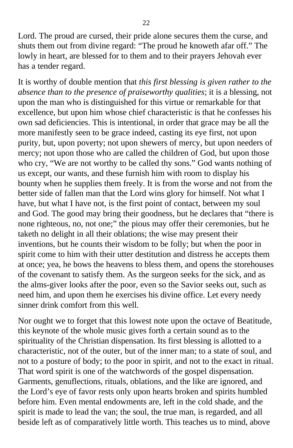Lord. The proud are cursed, their pride alone secures them the curse, and shuts them out from divine regard: "The proud he knoweth afar off." The lowly in heart, are blessed for to them and to their prayers Jehovah ever has a tender regard.

It is worthy of double mention that *this first blessing is given rather to the absence than to the presence of praiseworthy qualities*; it is a blessing, not upon the man who is distinguished for this virtue or remarkable for that excellence, but upon him whose chief characteristic is that he confesses his own sad deficiencies. This is intentional, in order that grace may be all the more manifestly seen to be grace indeed, casting its eye first, not upon purity, but, upon poverty; not upon shewers of mercy, but upon needers of mercy; not upon those who are called the children of God, but upon those who cry, "We are not worthy to be called thy sons." God wants nothing of us except, our wants, and these furnish him with room to display his bounty when he supplies them freely. It is from the worse and not from the better side of fallen man that the Lord wins glory for himself. Not what I have, but what I have not, is the first point of contact, between my soul and God. The good may bring their goodness, but he declares that "there is none righteous, no, not one;" the pious may offer their ceremonies, but he taketh no delight in all their oblations; the wise may present their inventions, but he counts their wisdom to be folly; but when the poor in spirit come to him with their utter destitution and distress he accepts them at once; yea, he bows the heavens to bless them, and opens the storehouses of the covenant to satisfy them. As the surgeon seeks for the sick, and as the alms-giver looks after the poor, even so the Savior seeks out, such as need him, and upon them he exercises his divine office. Let every needy sinner drink comfort from this well.

Nor ought we to forget that this lowest note upon the octave of Beatitude, this keynote of the whole music gives forth a certain sound as to the spirituality of the Christian dispensation. Its first blessing is allotted to a characteristic, not of the outer, but of the inner man; to a state of soul, and not to a posture of body; to the poor in spirit, and not to the exact in ritual. That word spirit is one of the watchwords of the gospel dispensation. Garments, genuflections, rituals, oblations, and the like are ignored, and the Lord's eye of favor rests only upon hearts broken and spirits humbled before him. Even mental endowments are, left in the cold shade, and the spirit is made to lead the van; the soul, the true man, is regarded, and all beside left as of comparatively little worth. This teaches us to mind, above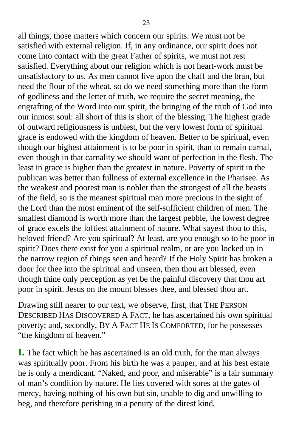all things, those matters which concern our spirits. We must not be satisfied with external religion. If, in any ordinance, our spirit does not come into contact with the great Father of spirits, we must not rest satisfied. Everything about our religion which is not heart-work must be unsatisfactory to us. As men cannot live upon the chaff and the bran, but need the flour of the wheat, so do we need something more than the form of godliness and the letter of truth, we require the secret meaning, the engrafting of the Word into our spirit, the bringing of the truth of God into our inmost soul: all short of this is short of the blessing. The highest grade of outward religiousness is unblest, but the very lowest form of spiritual grace is endowed with the kingdom of heaven. Better to be spiritual, even though our highest attainment is to be poor in spirit, than to remain carnal, even though in that carnality we should want of perfection in the flesh. The least in grace is higher than the greatest in nature. Poverty of spirit in the publican was better than fullness of external excellence in the Pharisee. As the weakest and poorest man is nobler than the strongest of all the beasts of the field, so is the meanest spiritual man more precious in the sight of the Lord than the most eminent of the self-sufficient children of men. The smallest diamond is worth more than the largest pebble, the lowest degree of grace excels the loftiest attainment of nature. What sayest thou to this, beloved friend? Are you spiritual? At least, are you enough so to be poor in spirit? Does there exist for you a spiritual realm, or are you locked up in the narrow region of things seen and heard? If the Holy Spirit has broken a door for thee into the spiritual and unseen, then thou art blessed, even though thine only perception as yet be the painful discovery that thou art poor in spirit. Jesus on the mount blesses thee, and blessed thou art.

Drawing still nearer to our text, we observe, first, that THE PERSON DESCRIBED HAS DISCOVERED A FACT, he has ascertained his own spiritual poverty; and, secondly, BY A FACT HE IS COMFORTED, for he possesses "the kingdom of heaven."

**I.** The fact which he has ascertained is an old truth, for the man always was spiritually poor. From his birth he was a pauper, and at his best estate he is only a mendicant. "Naked, and poor, and miserable" is a fair summary of man's condition by nature. He lies covered with sores at the gates of mercy, having nothing of his own but sin, unable to dig and unwilling to beg, and therefore perishing in a penury of the direst kind*.*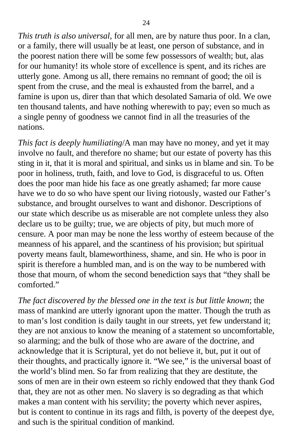*This truth is also universal*, for all men, are by nature thus poor. In a clan, or a family, there will usually be at least, one person of substance, and in the poorest nation there will be some few possessors of wealth; but, alas for our humanity! its whole store of excellence is spent, and its riches are utterly gone. Among us all, there remains no remnant of good; the oil is spent from the cruse, and the meal is exhausted from the barrel, and a famine is upon us, direr than that which desolated Samaria of old. We owe ten thousand talents, and have nothing wherewith to pay; even so much as a single penny of goodness we cannot find in all the treasuries of the nations.

*This fact is deeply humiliating*/A man may have no money, and yet it may involve no fault, and therefore no shame; but our estate of poverty has this sting in it, that it is moral and spiritual, and sinks us in blame and sin. To be poor in holiness, truth, faith, and love to God, is disgraceful to us. Often does the poor man hide his face as one greatly ashamed; far more cause have we to do so who have spent our living riotously, wasted our Father's substance, and brought ourselves to want and dishonor. Descriptions of our state which describe us as miserable are not complete unless they also declare us to be guilty; true, we are objects of pity, but much more of censure. A poor man may be none the less worthy of esteem because of the meanness of his apparel, and the scantiness of his provision; but spiritual poverty means fault, blameworthiness, shame, and sin. He who is poor in spirit is therefore a humbled man, and is on the way to be numbered with those that mourn, of whom the second benediction says that "they shall be comforted."

*The fact discovered by the blessed one in the text is but little known*; the mass of mankind are utterly ignorant upon the matter. Though the truth as to man's lost condition is daily taught in our streets, yet few understand it; they are not anxious to know the meaning of a statement so uncomfortable, so alarming; and the bulk of those who are aware of the doctrine, and acknowledge that it is Scriptural, yet do not believe it, but, put it out of their thoughts, and practically ignore it. "We see," is the universal boast of the world's blind men. So far from realizing that they are destitute, the sons of men are in their own esteem so richly endowed that they thank God that, they are not as other men. No slavery is so degrading as that which makes a man content with his servility; the poverty which never aspires, but is content to continue in its rags and filth, is poverty of the deepest dye, and such is the spiritual condition of mankind.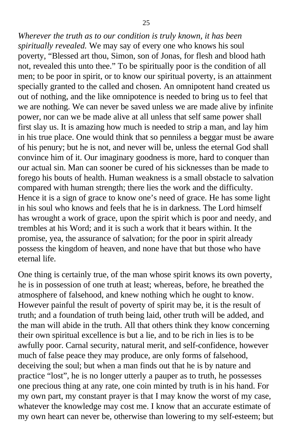*Wherever the truth as to our condition is truly known, it has been spiritually revealed.* We may say of every one who knows his soul poverty, "Blessed art thou, Simon, son of Jonas, for flesh and blood hath not, revealed this unto thee." To be spiritually poor is the condition of all men; to be poor in spirit, or to know our spiritual poverty, is an attainment specially granted to the called and chosen. An omnipotent hand created us out of nothing, and the like omnipotence is needed to bring us to feel that we are nothing. We can never be saved unless we are made alive by infinite power, nor can we be made alive at all unless that self same power shall first slay us. It is amazing how much is needed to strip a man, and lay him in his true place. One would think that so penniless a beggar must be aware of his penury; but he is not, and never will be, unless the eternal God shall convince him of it. Our imaginary goodness is more, hard to conquer than our actual sin. Man can sooner be cured of his sicknesses than be made to forego his bouts of health. Human weakness is a small obstacle to salvation compared with human strength; there lies the work and the difficulty. Hence it is a sign of grace to know one's need of grace. He has some light in his soul who knows and feels that he is in darkness. The Lord himself has wrought a work of grace, upon the spirit which is poor and needy, and trembles at his Word; and it is such a work that it bears within. It the promise, yea, the assurance of salvation; for the poor in spirit already possess the kingdom of heaven, and none have that but those who have eternal life.

One thing is certainly true, of the man whose spirit knows its own poverty, he is in possession of one truth at least; whereas, before, he breathed the atmosphere of falsehood, and knew nothing which he ought to know. However painful the result of poverty of spirit may be, it is the result of truth; and a foundation of truth being laid, other truth will be added, and the man will abide in the truth. All that others think they know concerning their own spiritual excellence is but a lie, and to be rich in lies is to be awfully poor. Carnal security, natural merit, and self-confidence, however much of false peace they may produce, are only forms of falsehood, deceiving the soul; but when a man finds out that he is by nature and practice "lost", he is no longer utterly a pauper as to truth, he possesses one precious thing at any rate, one coin minted by truth is in his hand. For my own part, my constant prayer is that I may know the worst of my case, whatever the knowledge may cost me. I know that an accurate estimate of my own heart can never be, otherwise than lowering to my self-esteem; but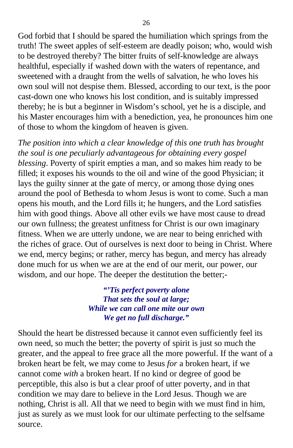God forbid that I should be spared the humiliation which springs from the truth! The sweet apples of self-esteem are deadly poison; who, would wish to be destroyed thereby? The bitter fruits of self-knowledge are always healthful, especially if washed down with the waters of repentance, and sweetened with a draught from the wells of salvation, he who loves his own soul will not despise them. Blessed, according to our text, is the poor cast-down one who knows his lost condition, and is suitably impressed thereby; he is but a beginner in Wisdom's school, yet he is a disciple, and his Master encourages him with a benediction, yea, he pronounces him one of those to whom the kingdom of heaven is given.

*The position into which a clear knowledge of this one truth has brought the soul is one peculiarly advantageous for obtaining every gospel blessing*. Poverty of spirit empties a man, and so makes him ready to be filled; it exposes his wounds to the oil and wine of the good Physician; it lays the guilty sinner at the gate of mercy, or among those dying ones around the pool of Bethesda to whom Jesus is wont to come. Such a man opens his mouth, and the Lord fills it; he hungers, and the Lord satisfies him with good things. Above all other evils we have most cause to dread our own fullness; the greatest unfitness for Christ is our own imaginary fitness. When we are utterly undone, we are near to being enriched with the riches of grace. Out of ourselves is next door to being in Christ. Where we end, mercy begins; or rather, mercy has begun, and mercy has already done much for us when we are at the end of our merit, our power, our wisdom, and our hope. The deeper the destitution the better;-

> *"'Tis perfect poverty alone That sets the soul at large; While we can call one mite our own We get no full discharge."*

Should the heart be distressed because it cannot even sufficiently feel its own need, so much the better; the poverty of spirit is just so much the greater, and the appeal to free grace all the more powerful. If the want of a broken heart be felt, we may come to Jesus *for* a broken heart, if we cannot come *with* a broken heart. If no kind or degree of good be perceptible, this also is but a clear proof of utter poverty, and in that condition we may dare to believe in the Lord Jesus. Though we are nothing, Christ is all. All that we need to begin with we must find in him, just as surely as we must look for our ultimate perfecting to the selfsame source.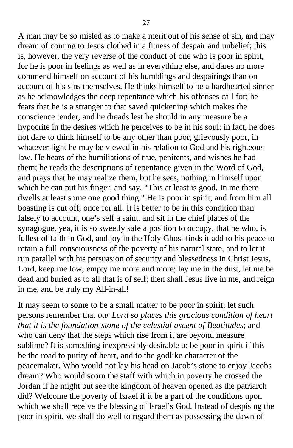A man may be so misled as to make a merit out of his sense of sin, and may dream of coming to Jesus clothed in a fitness of despair and unbelief; this is, however, the very reverse of the conduct of one who is poor in spirit, for he is poor in feelings as well as in everything else, and dares no more commend himself on account of his humblings and despairings than on account of his sins themselves. He thinks himself to be a hardhearted sinner as he acknowledges the deep repentance which his offenses call for; he fears that he is a stranger to that saved quickening which makes the conscience tender, and he dreads lest he should in any measure be a hypocrite in the desires which he perceives to be in his soul; in fact, he does not dare to think himself to be any other than poor, grievously poor, in whatever light he may be viewed in his relation to God and his righteous law. He hears of the humiliations of true, penitents, and wishes he had them; he reads the descriptions of repentance given in the Word of God, and prays that he may realize them, but he sees, nothing in himself upon which he can put his finger, and say, "This at least is good. In me there dwells at least some one good thing." He is poor in spirit, and from him all boasting is cut off, once for all. It is better to be in this condition than falsely to account, one's self a saint, and sit in the chief places of the synagogue, yea, it is so sweetly safe a position to occupy, that he who, is fullest of faith in God, and joy in the Holy Ghost finds it add to his peace to retain a full consciousness of the poverty of his natural state, and to let it run parallel with his persuasion of security and blessedness in Christ Jesus. Lord, keep me low; empty me more and more; lay me in the dust, let me be dead and buried as to all that is of self; then shall Jesus live in me, and reign in me, and be truly my All-in-all!

It may seem to some to be a small matter to be poor in spirit; let such persons remember that *our Lord so places this gracious condition of heart that it is the foundation-stone of the celestial ascent of Beatitudes*; and who can deny that the steps which rise from it are beyond measure sublime? It is something inexpressibly desirable to be poor in spirit if this be the road to purity of heart, and to the godlike character of the peacemaker. Who would not lay his head on Jacob's stone to enjoy Jacobs dream? Who would scorn the staff with which in poverty he crossed the Jordan if he might but see the kingdom of heaven opened as the patriarch did? Welcome the poverty of Israel if it be a part of the conditions upon which we shall receive the blessing of Israel's God. Instead of despising the poor in spirit, we shall do well to regard them as possessing the dawn of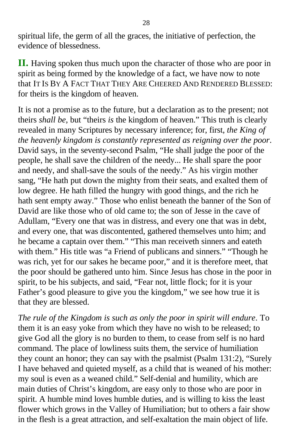spiritual life, the germ of all the graces, the initiative of perfection, the evidence of blessedness.

**II.** Having spoken thus much upon the character of those who are poor in spirit as being formed by the knowledge of a fact, we have now to note that IT IS BY A FACT THAT THEY ARE CHEERED AND RENDERED BLESSED: for theirs is the kingdom of heaven.

It is not a promise as to the future, but a declaration as to the present; not theirs *shall be*, but "theirs *is* the kingdom of heaven." This truth is clearly revealed in many Scriptures by necessary inference; for, first, *the King of the heavenly kingdom is constantly represented as reigning over the poor*. David says, in the seventy-second Psalm, "He shall judge the poor of the people, he shall save the children of the needy... He shall spare the poor and needy, and shall-save the souls of the needy." As his virgin mother sang, "He hath put down the mighty from their seats, and exalted them of low degree. He hath filled the hungry with good things, and the rich he hath sent empty away." Those who enlist beneath the banner of the Son of David are like those who of old came to; the son of Jesse in the cave of Adullam, "Every one that was in distress, and every one that was in debt, and every one, that was discontented, gathered themselves unto him; and he became a captain over them." "This man receiveth sinners and eateth with them." His title was "a Friend of publicans and sinners." "Though he was rich, yet for our sakes he became poor," and it is therefore meet, that the poor should be gathered unto him. Since Jesus has chose in the poor in spirit, to be his subjects, and said, "Fear not, little flock; for it is your Father's good pleasure to give you the kingdom," we see how true it is that they are blessed.

*The rule of the Kingdom is such as only the poor in spirit will endure*. To them it is an easy yoke from which they have no wish to be released; to give God all the glory is no burden to them, to cease from self is no hard command. The place of lowliness suits them, the service of humiliation they count an honor; they can say with the psalmist (Psalm 131:2), "Surely I have behaved and quieted myself, as a child that is weaned of his mother: my soul is even as a weaned child." Self-denial and humility, which are main duties of Christ's kingdom, are easy only to those who are poor in spirit. A humble mind loves humble duties, and is willing to kiss the least flower which grows in the Valley of Humiliation; but to others a fair show in the flesh is a great attraction, and self-exaltation the main object of life.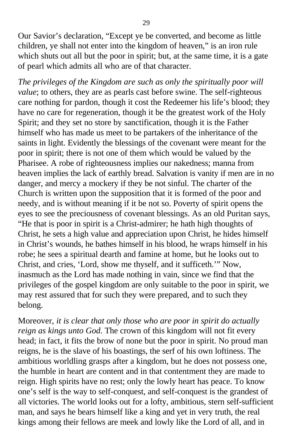Our Savior's declaration, "Except ye be converted, and become as little children, ye shall not enter into the kingdom of heaven," is an iron rule which shuts out all but the poor in spirit; but, at the same time, it is a gate of pearl which admits all who are of that character.

*The privileges of the Kingdom are such as only the spiritually poor will value*; to others, they are as pearls cast before swine. The self-righteous care nothing for pardon, though it cost the Redeemer his life's blood; they have no care for regeneration, though it be the greatest work of the Holy Spirit; and they set no store by sanctification, though it is the Father himself who has made us meet to be partakers of the inheritance of the saints in light. Evidently the blessings of the covenant were meant for the poor in spirit; there is not one of them which would be valued by the Pharisee. A robe of righteousness implies our nakedness; manna from heaven implies the lack of earthly bread. Salvation is vanity if men are in no danger, and mercy a mockery if they be not sinful. The charter of the Church is written upon the supposition that it is formed of the poor and needy, and is without meaning if it be not so. Poverty of spirit opens the eyes to see the preciousness of covenant blessings. As an old Puritan says, "He that is poor in spirit is a Christ-admirer; he hath high thoughts of Christ, he sets a high value and appreciation upon Christ, he hides himself in Christ's wounds, he bathes himself in his blood, he wraps himself in his robe; he sees a spiritual dearth and famine at home, but he looks out to Christ, and cries, 'Lord, show me thyself, and it sufficeth.'" Now, inasmuch as the Lord has made nothing in vain, since we find that the privileges of the gospel kingdom are only suitable to the poor in spirit, we may rest assured that for such they were prepared, and to such they belong.

Moreover, *it is clear that only those who are poor in spirit do actually reign as kings unto God*. The crown of this kingdom will not fit every head; in fact, it fits the brow of none but the poor in spirit. No proud man reigns, he is the slave of his boastings, the serf of his own loftiness. The ambitious worldling grasps after a kingdom, but he does not possess one, the humble in heart are content and in that contentment they are made to reign. High spirits have no rest; only the lowly heart has peace. To know one's self is the way to self-conquest, and self-conquest is the grandest of all victories. The world looks out for a lofty, ambitious, stern self-sufficient man, and says he bears himself like a king and yet in very truth, the real kings among their fellows are meek and lowly like the Lord of all, and in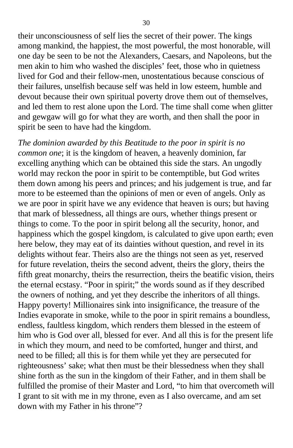their unconsciousness of self lies the secret of their power. The kings among mankind, the happiest, the most powerful, the most honorable, will one day be seen to be not the Alexanders, Caesars, and Napoleons, but the men akin to him who washed the disciples' feet, those who in quietness lived for God and their fellow-men, unostentatious because conscious of their failures, unselfish because self was held in low esteem, humble and devout because their own spiritual poverty drove them out of themselves, and led them to rest alone upon the Lord. The time shall come when glitter and gewgaw will go for what they are worth, and then shall the poor in spirit be seen to have had the kingdom.

*The dominion awarded by this Beatitude to the poor in spirit is no common one*; it is the kingdom of heaven, a heavenly dominion, far excelling anything which can be obtained this side the stars. An ungodly world may reckon the poor in spirit to be contemptible, but God writes them down among his peers and princes; and his judgement is true, and far more to be esteemed than the opinions of men or even of angels. Only as we are poor in spirit have we any evidence that heaven is ours; but having that mark of blessedness, all things are ours, whether things present or things to come. To the poor in spirit belong all the security, honor, and happiness which the gospel kingdom, is calculated to give upon earth; even here below, they may eat of its dainties without question, and revel in its delights without fear. Theirs also are the things not seen as yet, reserved for future revelation, theirs the second advent, theirs the glory, theirs the fifth great monarchy, theirs the resurrection, theirs the beatific vision, theirs the eternal ecstasy. "Poor in spirit;" the words sound as if they described the owners of nothing, and yet they describe the inheritors of all things. Happy poverty! Millionaires sink into insignificance, the treasure of the Indies evaporate in smoke, while to the poor in spirit remains a boundless, endless, faultless kingdom, which renders them blessed in the esteem of him who is God over all, blessed for ever. And all this is for the present life in which they mourn, and need to be comforted, hunger and thirst, and need to be filled; all this is for them while yet they are persecuted for righteousness' sake; what then must be their blessedness when they shall shine forth as the sun in the kingdom of their Father, and in them shall be fulfilled the promise of their Master and Lord, "to him that overcometh will I grant to sit with me in my throne, even as I also overcame, and am set down with my Father in his throne"?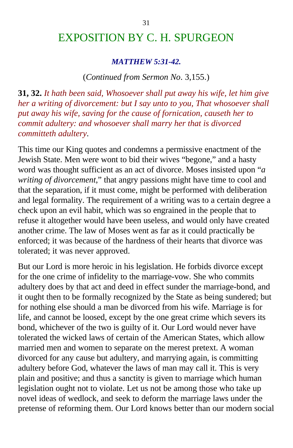# EXPOSITION BY C. H. SPURGEON

#### *MATTHEW 5:31-42.*

#### (*Continued from Sermon No*. 3,155.)

**31, 32.** *It hath been said, Whosoever shall put away his wife, let him give her a writing of divorcement: but I say unto to you, That whosoever shall put away his wife, saving for the cause of fornication, causeth her to commit adultery: and whosoever shall marry her that is divorced committeth adultery*.

This time our King quotes and condemns a permissive enactment of the Jewish State. Men were wont to bid their wives "begone," and a hasty word was thought sufficient as an act of divorce. Moses insisted upon "*a writing of divorcement*," that angry passions might have time to cool and that the separation, if it must come, might be performed with deliberation and legal formality. The requirement of a writing was to a certain degree a check upon an evil habit, which was so engrained in the people that to refuse it altogether would have been useless, and would only have created another crime. The law of Moses went as far as it could practically be enforced; it was because of the hardness of their hearts that divorce was tolerated; it was never approved.

But our Lord is more heroic in his legislation. He forbids divorce except for the one crime of infidelity to the marriage-vow. She who commits adultery does by that act and deed in effect sunder the marriage-bond, and it ought then to be formally recognized by the State as being sundered; but for nothing else should a man be divorced from his wife. Marriage is for life, and cannot be loosed, except by the one great crime which severs its bond, whichever of the two is guilty of it. Our Lord would never have tolerated the wicked laws of certain of the American States, which allow married men and women to separate on the merest pretext. A woman divorced for any cause but adultery, and marrying again, is committing adultery before God, whatever the laws of man may call it. This is very plain and positive; and thus a sanctity is given to marriage which human legislation ought not to violate. Let us not be among those who take up novel ideas of wedlock, and seek to deform the marriage laws under the pretense of reforming them. Our Lord knows better than our modern social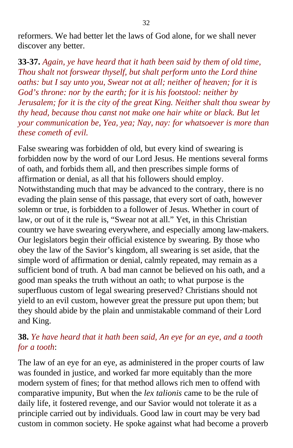reformers. We had better let the laws of God alone, for we shall never discover any better.

**33-37.** *Again, ye have heard that it hath been said by them of old time, Thou shalt not forswear thyself, but shalt perform unto the Lord thine oaths: but I say unto you, Swear not at all; neither of heaven; for it is God's throne: nor by the earth; for it is his footstool: neither by Jerusalem; for it is the city of the great King. Neither shalt thou swear by thy head, because thou canst not make one hair white or black. But let your communication be, Yea, yea; Nay, nay: for whatsoever is more than these cometh of evil.*

False swearing was forbidden of old, but every kind of swearing is forbidden now by the word of our Lord Jesus. He mentions several forms of oath, and forbids them all, and then prescribes simple forms of affirmation or denial, as all that his followers should employ. Notwithstanding much that may be advanced to the contrary, there is no evading the plain sense of this passage, that every sort of oath, however solemn or true, is forbidden to a follower of Jesus. Whether in court of law, or out of it the rule is, "Swear not at all." Yet, in this Christian country we have swearing everywhere, and especially among law-makers. Our legislators begin their official existence by swearing. By those who obey the law of the Savior's kingdom, all swearing is set aside, that the simple word of affirmation or denial, calmly repeated, may remain as a sufficient bond of truth. A bad man cannot be believed on his oath, and a good man speaks the truth without an oath; to what purpose is the superfluous custom of legal swearing preserved? Christians should not yield to an evil custom, however great the pressure put upon them; but they should abide by the plain and unmistakable command of their Lord and King.

### **38.** *Ye have heard that it hath been said, An eye for an eye, and a tooth for a tooth*:

The law of an eye for an eye, as administered in the proper courts of law was founded in justice, and worked far more equitably than the more modern system of fines; for that method allows rich men to offend with comparative impunity, But when the *lex talionis* came to be the rule of daily life, it fostered revenge, and our Savior would not tolerate it as a principle carried out by individuals. Good law in court may be very bad custom in common society. He spoke against what had become a proverb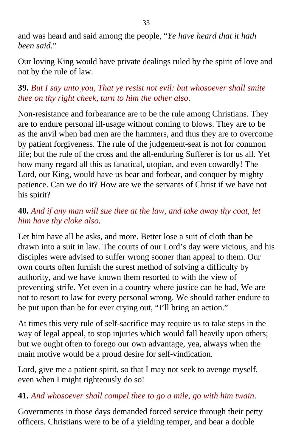and was heard and said among the people, "*Ye have heard that it hath been said*."

Our loving King would have private dealings ruled by the spirit of love and not by the rule of law.

## **39.** *But I say unto you, That ye resist not evil: but whosoever shall smite thee on thy right cheek, turn to him the other also*.

Non-resistance and forbearance are to be the rule among Christians. They are to endure personal ill-usage without coming to blows. They are to be as the anvil when bad men are the hammers, and thus they are to overcome by patient forgiveness. The rule of the judgement-seat is not for common life; but the rule of the cross and the all-enduring Sufferer is for us all. Yet how many regard all this as fanatical, utopian, and even cowardly! The Lord, our King, would have us bear and forbear, and conquer by mighty patience. Can we do it? How are we the servants of Christ if we have not his spirit?

## **40.** *And if any man will sue thee at the law, and take away thy coat, let him have thy cloke also*.

Let him have all he asks, and more. Better lose a suit of cloth than be drawn into a suit in law. The courts of our Lord's day were vicious, and his disciples were advised to suffer wrong sooner than appeal to them. Our own courts often furnish the surest method of solving a difficulty by authority, and we have known them resorted to with the view of preventing strife. Yet even in a country where justice can be had, We are not to resort to law for every personal wrong. We should rather endure to be put upon than be for ever crying out, "I'll bring an action."

At times this very rule of self-sacrifice may require us to take steps in the way of legal appeal, to stop injuries which would fall heavily upon others; but we ought often to forego our own advantage, yea, always when the main motive would be a proud desire for self-vindication.

Lord, give me a patient spirit, so that I may not seek to avenge myself, even when I might righteously do so!

## **41.** *And whosoever shall compel thee to go a mile, go with him twain*.

Governments in those days demanded forced service through their petty officers. Christians were to be of a yielding temper, and bear a double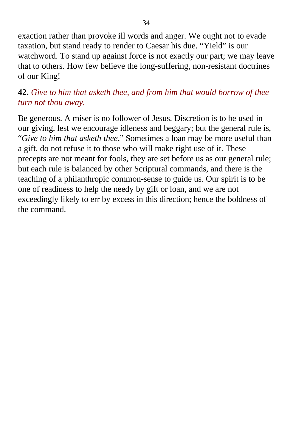exaction rather than provoke ill words and anger. We ought not to evade taxation, but stand ready to render to Caesar his due. "Yield" is our watchword. To stand up against force is not exactly our part; we may leave that to others. How few believe the long-suffering, non-resistant doctrines of our King!

## **42.** *Give to him that asketh thee, and from him that would borrow of thee turn not thou away.*

Be generous. A miser is no follower of Jesus. Discretion is to be used in our giving, lest we encourage idleness and beggary; but the general rule is, "*Give to him that asketh thee*." Sometimes a loan may be more useful than a gift, do not refuse it to those who will make right use of it. These precepts are not meant for fools, they are set before us as our general rule; but each rule is balanced by other Scriptural commands, and there is the teaching of a philanthropic common-sense to guide us. Our spirit is to be one of readiness to help the needy by gift or loan, and we are not exceedingly likely to err by excess in this direction; hence the boldness of the command.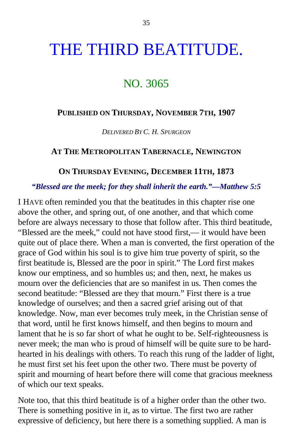# THE THIRD BEATITUDE.

# NO. 3065

#### **PUBLISHED ON THURSDAY, NOVEMBER 7TH, 1907**

*DELIVERED BY C. H. SPURGEON*

#### **AT THE METROPOLITAN TABERNACLE, NEWINGTON**

#### **ON THURSDAY EVENING, DECEMBER 11TH, 1873**

#### *"Blessed are the meek; for they shall inherit the earth."—Matthew 5:5*

I HAVE often reminded you that the beatitudes in this chapter rise one above the other, and spring out, of one another, and that which come before are always necessary to those that follow after. This third beatitude, "Blessed are the meek," could not have stood first,— it would have been quite out of place there. When a man is converted, the first operation of the grace of God within his soul is to give him true poverty of spirit, so the first beatitude is, Blessed are the poor in spirit." The Lord first makes know our emptiness, and so humbles us; and then, next, he makes us mourn over the deficiencies that are so manifest in us. Then comes the second beatitude: "Blessed are they that mourn." First there is a true knowledge of ourselves; and then a sacred grief arising out of that knowledge. Now, man ever becomes truly meek, in the Christian sense of that word, until he first knows himself, and then begins to mourn and lament that he is so far short of what he ought to be. Self-righteousness is never meek; the man who is proud of himself will be quite sure to be hardhearted in his dealings with others. To reach this rung of the ladder of light, he must first set his feet upon the other two. There must be poverty of spirit and mourning of heart before there will come that gracious meekness of which our text speaks.

Note too, that this third beatitude is of a higher order than the other two. There is something positive in it, as to virtue. The first two are rather expressive of deficiency, but here there is a something supplied. A man is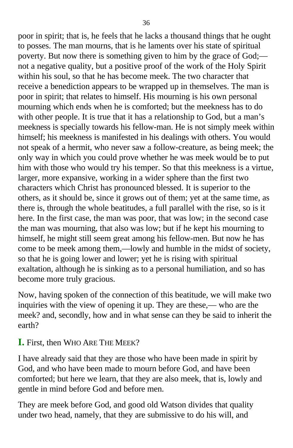poor in spirit; that is, he feels that he lacks a thousand things that he ought to posses. The man mourns, that is he laments over his state of spiritual poverty. But now there is something given to him by the grace of God; not a negative quality, but a positive proof of the work of the Holy Spirit within his soul, so that he has become meek. The two character that receive a benediction appears to be wrapped up in themselves. The man is poor in spirit; that relates to himself. His mourning is his own personal mourning which ends when he is comforted; but the meekness has to do with other people. It is true that it has a relationship to God, but a man's meekness is specially towards his fellow-man. He is not simply meek within himself; his meekness is manifested in his dealings with others. You would not speak of a hermit, who never saw a follow-creature, as being meek; the only way in which you could prove whether he was meek would be to put him with those who would try his temper. So that this meekness is a virtue, larger, more expansive, working in a wider sphere than the first two characters which Christ has pronounced blessed. It is superior to the others, as it should be, since it grows out of them; yet at the same time, as there is, through the whole beatitudes, a full parallel with the rise, so is it here. In the first case, the man was poor, that was low; in the second case the man was mourning, that also was low; but if he kept his mourning to himself, he might still seem great among his fellow-men. But now he has come to be meek among them,—lowly and humble in the midst of society, so that he is going lower and lower; yet he is rising with spiritual exaltation, although he is sinking as to a personal humiliation, and so has become more truly gracious.

Now, having spoken of the connection of this beatitude, we will make two inquiries with the view of opening it up. They are these,— who are the meek? and, secondly, how and in what sense can they be said to inherit the earth?

### **I.** First, then WHO ARE THE MEEK?

I have already said that they are those who have been made in spirit by God, and who have been made to mourn before God, and have been comforted; but here we learn, that they are also meek, that is, lowly and gentle in mind before God and before men.

They are meek before God, and good old Watson divides that quality under two head, namely, that they are submissive to do his will, and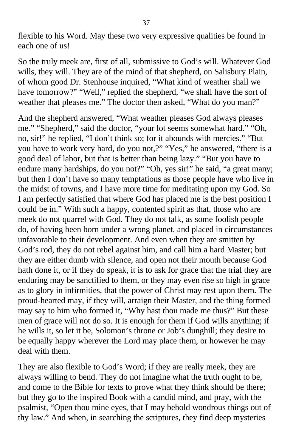flexible to his Word. May these two very expressive qualities be found in each one of us!

So the truly meek are, first of all, submissive to God's will. Whatever God wills, they will. They are of the mind of that shepherd, on Salisbury Plain, of whom good Dr. Stenhouse inquired, "What kind of weather shall we have tomorrow?" "Well," replied the shepherd, "we shall have the sort of weather that pleases me." The doctor then asked, "What do you man?"

And the shepherd answered, "What weather pleases God always pleases me." "Shepherd," said the doctor, "your lot seems somewhat hard." "Oh, no, sir!" he replied, "I don't think so; for it abounds with mercies." "But you have to work very hard, do you not,?" "Yes," he answered, "there is a good deal of labor, but that is better than being lazy." "But you have to endure many hardships, do you not?" "Oh, yes sir!" he said, "a great many; but then I don't have so many temptations as those people have who live in the midst of towns, and I have more time for meditating upon my God. So I am perfectly satisfied that where God has placed me is the best position I could be in." With such a happy, contented spirit as that, those who are meek do not quarrel with God. They do not talk, as some foolish people do, of having been born under a wrong planet, and placed in circumstances unfavorable to their development. And even when they are smitten by God's rod, they do not rebel against him, and call him a hard Master; but they are either dumb with silence, and open not their mouth because God hath done it, or if they do speak, it is to ask for grace that the trial they are enduring may be sanctified to them, or they may even rise so high in grace as to glory in infirmities, that the power of Christ may rest upon them. The proud-hearted may, if they will, arraign their Master, and the thing formed may say to him who formed it, "Why hast thou made me thus?" But these men of grace will not do so. It is enough for them if God wills anything; if he wills it, so let it be, Solomon's throne or Job's dunghill; they desire to be equally happy wherever the Lord may place them, or however he may deal with them.

They are also flexible to God's Word; if they are really meek, they are always willing to bend. They do not imagine what the truth ought to be, and come to the Bible for texts to prove what they think should be there; but they go to the inspired Book with a candid mind, and pray, with the psalmist, "Open thou mine eyes, that I may behold wondrous things out of thy law." And when, in searching the scriptures, they find deep mysteries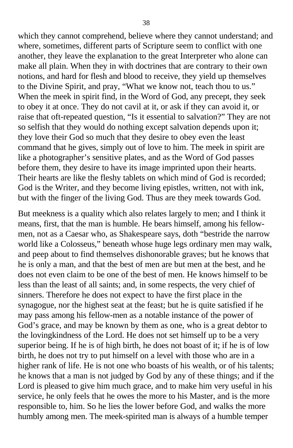which they cannot comprehend, believe where they cannot understand; and where, sometimes, different parts of Scripture seem to conflict with one another, they leave the explanation to the great Interpreter who alone can make all plain. When they in with doctrines that are contrary to their own notions, and hard for flesh and blood to receive, they yield up themselves to the Divine Spirit, and pray, "What we know not, teach thou to us." When the meek in spirit find, in the Word of God, any precept, they seek to obey it at once. They do not cavil at it, or ask if they can avoid it, or raise that oft-repeated question, "Is it essential to salvation?" They are not so selfish that they would do nothing except salvation depends upon it; they love their God so much that they desire to obey even the least command that he gives, simply out of love to him. The meek in spirit are like a photographer's sensitive plates, and as the Word of God passes before them, they desire to have its image imprinted upon their hearts. Their hearts are like the fleshy tablets on which mind of God is recorded; God is the Writer, and they become living epistles, written, not with ink, but with the finger of the living God. Thus are they meek towards God.

But meekness is a quality which also relates largely to men; and I think it means, first, that the man is humble. He bears himself, among his fellowmen, not as a Caesar who, as Shakespeare says, doth "bestride the narrow world like a Colosseus," beneath whose huge legs ordinary men may walk, and peep about to find themselves dishonorable graves; but he knows that he is only a man, and that the best of men are but men at the best, and he does not even claim to be one of the best of men. He knows himself to be less than the least of all saints; and, in some respects, the very chief of sinners. Therefore he does not expect to have the first place in the synagogue, nor the highest seat at the feast; but he is quite satisfied if he may pass among his fellow-men as a notable instance of the power of God's grace, and may be known by them as one, who is a great debtor to the lovingkindness of the Lord. He does not set himself up to be a very superior being. If he is of high birth, he does not boast of it; if he is of low birth, he does not try to put himself on a level with those who are in a higher rank of life. He is not one who boasts of his wealth, or of his talents; he knows that a man is not judged by God by any of these things; and if the Lord is pleased to give him much grace, and to make him very useful in his service, he only feels that he owes the more to his Master, and is the more responsible to, him. So he lies the lower before God, and walks the more humbly among men. The meek-spirited man is always of a humble temper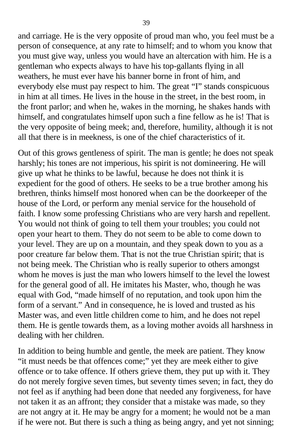and carriage. He is the very opposite of proud man who, you feel must be a person of consequence, at any rate to himself; and to whom you know that you must give way, unless you would have an altercation with him. He is a gentleman who expects always to have his top-gallants flying in all weathers, he must ever have his banner borne in front of him, and everybody else must pay respect to him. The great "I" stands conspicuous in him at all times. He lives in the house in the street, in the best room, in the front parlor; and when he, wakes in the morning, he shakes hands with himself, and congratulates himself upon such a fine fellow as he is! That is the very opposite of being meek; and, therefore, humility, although it is not all that there is in meekness, is one of the chief characteristics of it.

Out of this grows gentleness of spirit. The man is gentle; he does not speak harshly; his tones are not imperious, his spirit is not domineering. He will give up what he thinks to be lawful, because he does not think it is expedient for the good of others. He seeks to be a true brother among his brethren, thinks himself most honored when can be the doorkeeper of the house of the Lord, or perform any menial service for the household of faith. I know some professing Christians who are very harsh and repellent. You would not think of going to tell them your troubles; you could not open your heart to them. They do not seem to be able to come down to your level. They are up on a mountain, and they speak down to you as a poor creature far below them. That is not the true Christian spirit; that is not being meek. The Christian who is really superior to others amongst whom he moves is just the man who lowers himself to the level the lowest for the general good of all. He imitates his Master, who, though he was equal with God, "made himself of no reputation, and took upon him the form of a servant." And in consequence, he is loved and trusted as his Master was, and even little children come to him, and he does not repel them. He is gentle towards them, as a loving mother avoids all harshness in dealing with her children.

In addition to being humble and gentle, the meek are patient. They know "it must needs be that offences come;" yet they are meek either to give offence or to take offence. If others grieve them, they put up with it. They do not merely forgive seven times, but seventy times seven; in fact, they do not feel as if anything had been done that needed any forgiveness, for have not taken it as an affront; they consider that a mistake was made, so they are not angry at it. He may be angry for a moment; he would not be a man if he were not. But there is such a thing as being angry, and yet not sinning;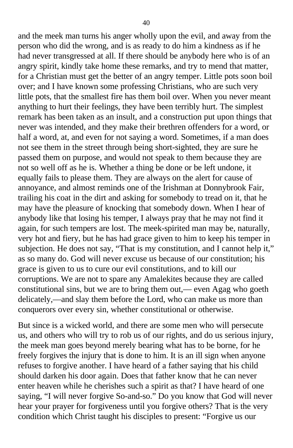and the meek man turns his anger wholly upon the evil, and away from the person who did the wrong, and is as ready to do him a kindness as if he had never transgressed at all. If there should be anybody here who is of an angry spirit, kindly take home these remarks, and try to mend that matter, for a Christian must get the better of an angry temper. Little pots soon boil over; and I have known some professing Christians, who are such very little pots, that the smallest fire has them boil over. When you never meant anything to hurt their feelings, they have been terribly hurt. The simplest remark has been taken as an insult, and a construction put upon things that never was intended, and they make their brethren offenders for a word, or half a word, at, and even for not saying a word. Sometimes, if a man does not see them in the street through being short-sighted, they are sure he passed them on purpose, and would not speak to them because they are not so well off as he is. Whether a thing be done or be left undone, it equally fails to please them. They are always on the alert for cause of annoyance, and almost reminds one of the Irishman at Donnybrook Fair, trailing his coat in the dirt and asking for somebody to tread on it, that he may have the pleasure of knocking that somebody down. When I hear of anybody like that losing his temper, I always pray that he may not find it again, for such tempers are lost. The meek-spirited man may be, naturally, very hot and fiery, but he has had grace given to him to keep his temper in subjection. He does not say, "That is my constitution, and I cannot help it," as so many do. God will never excuse us because of our constitution; his grace is given to us to cure our evil constitutions, and to kill our corruptions. We are not to spare any Amalekites because they are called constitutional sins, but we are to bring them out,— even Agag who goeth delicately,—and slay them before the Lord, who can make us more than conquerors over every sin, whether constitutional or otherwise.

But since is a wicked world, and there are some men who will persecute us, and others who will try to rob us of our rights, and do us serious injury, the meek man goes beyond merely bearing what has to be borne, for he freely forgives the injury that is done to him. It is an ill sign when anyone refuses to forgive another. I have heard of a father saying that his child should darken his door again. Does that father know that he can never enter heaven while he cherishes such a spirit as that? I have heard of one saying, "I will never forgive So-and-so." Do you know that God will never hear your prayer for forgiveness until you forgive others? That is the very condition which Christ taught his disciples to present: "Forgive us our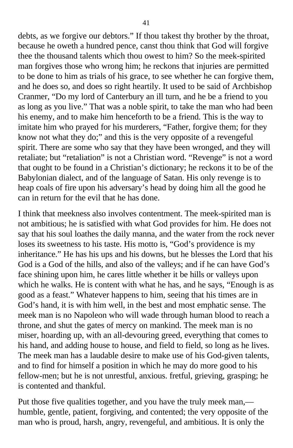debts, as we forgive our debtors." If thou takest thy brother by the throat, because he oweth a hundred pence, canst thou think that God will forgive thee the thousand talents which thou owest to him? So the meek-spirited man forgives those who wrong him; he reckons that injuries are permitted to be done to him as trials of his grace, to see whether he can forgive them, and he does so, and does so right heartily. It used to be said of Archbishop Cranmer, "Do my lord of Canterbury an ill turn, and he be a friend to you as long as you live." That was a noble spirit, to take the man who had been his enemy, and to make him henceforth to be a friend. This is the way to imitate him who prayed for his murderers, "Father, forgive them; for they know not what they do;" and this is the very opposite of a revengeful spirit. There are some who say that they have been wronged, and they will retaliate; but "retaliation" is not a Christian word. "Revenge" is not a word that ought to be found in a Christian's dictionary; he reckons it to be of the Babylonian dialect, and of the language of Satan. His only revenge is to heap coals of fire upon his adversary's head by doing him all the good he can in return for the evil that he has done.

I think that meekness also involves contentment. The meek-spirited man is not ambitious; he is satisfied with what God provides for him. He does not say that his soul loathes the daily manna, and the water from the rock never loses its sweetness to his taste. His motto is, "God's providence is my inheritance." He has his ups and his downs, but he blesses the Lord that his God is a God of the hills, and also of the valleys; and if he can have God's face shining upon him, he cares little whether it be hills or valleys upon which he walks. He is content with what he has, and he says, "Enough is as good as a feast." Whatever happens to him, seeing that his times are in God's hand, it is with him well, in the best and most emphatic sense. The meek man is no Napoleon who will wade through human blood to reach a throne, and shut the gates of mercy on mankind. The meek man is no miser, hoarding up, with an all-devouring greed, everything that comes to his hand, and adding house to house, and field to field, so long as he lives. The meek man has a laudable desire to make use of his God-given talents, and to find for himself a position in which he may do more good to his fellow-men; but he is not unrestful, anxious. fretful, grieving, grasping; he is contented and thankful.

Put those five qualities together, and you have the truly meek man, humble, gentle, patient, forgiving, and contented; the very opposite of the man who is proud, harsh, angry, revengeful, and ambitious. It is only the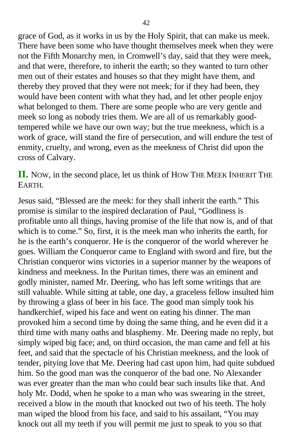grace of God, as it works in us by the Holy Spirit, that can make us meek. There have been some who have thought themselves meek when they were not the Fifth Monarchy men, in Cromwell's day, said that they were meek, and that were, therefore, to inherit the earth; so they wanted to turn other men out of their estates and houses so that they might have them, and thereby they proved that they were not meek; for if they had been, they would have been content with what they had, and let other people enjoy what belonged to them. There are some people who are very gentle and meek so long as nobody tries them. We are all of us remarkably goodtempered while we have our own way; but the true meekness, which is a work of grace, will stand the fire of persecution, and will endure the test of enmity, cruelty, and wrong, even as the meekness of Christ did upon the cross of Calvary.

**II.** NOW, in the second place, let us think of HOW THE MEEK INHERIT THE EARTH.

Jesus said, "Blessed are the meek: for they shall inherit the earth." This promise is similar to the inspired declaration of Paul, "Godliness is profitable unto all things, having promise of the life that now is, and of that which is to come." So, first, it is the meek man who inherits the earth, for he is the earth's conqueror. He is the conqueror of the world wherever he goes. William the Conqueror came to England with sword and fire, but the Christian conqueror wins victories in a superior manner by the weapons of kindness and meekness. In the Puritan times, there was an eminent and godly minister, named Mr. Deering, who has left some writings that are still valuable. While sitting at table, one day, a graceless fellow insulted him by throwing a glass of beer in his face. The good man simply took his handkerchief, wiped his face and went on eating his dinner. The man provoked him a second time by doing the same thing, and he even did it a third time with many oaths and blasphemy. Mr. Deering made no reply, but simply wiped big face; and, on third occasion, the man came and fell at his feet, and said that the spectacle of his Christian meekness, and the look of tender, pitying love that Me. Deering had cast upon him, had quite subdued him. So the good man was the conqueror of the bad one. No Alexander was ever greater than the man who could bear such insults like that. And holy Mr. Dodd, when he spoke to a man who was swearing in the street, received a blow in the mouth that knocked out two of his teeth. The holy man wiped the blood from his face, and said to his assailant, "You may knock out all my teeth if you will permit me just to speak to you so that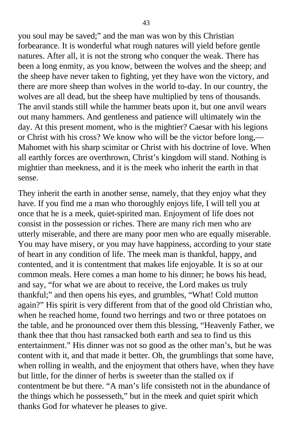you soul may be saved;" and the man was won by this Christian forbearance. It is wonderful what rough natures will yield before gentle natures. After all, it is not the strong who conquer the weak. There has been a long enmity, as you know, between the wolves and the sheep; and the sheep have never taken to fighting, yet they have won the victory, and there are more sheep than wolves in the world to-day. In our country, the wolves are all dead, but the sheep have multiplied by tens of thousands. The anvil stands still while the hammer beats upon it, but one anvil wears out many hammers. And gentleness and patience will ultimately win the day. At this present moment, who is the mightier? Caesar with his legions or Christ with his cross? We know who will be the victor before long,— Mahomet with his sharp scimitar or Christ with his doctrine of love. When all earthly forces are overthrown, Christ's kingdom will stand. Nothing is mightier than meekness, and it is the meek who inherit the earth in that sense.

They inherit the earth in another sense, namely, that they enjoy what they have. If you find me a man who thoroughly enjoys life, I will tell you at once that he is a meek, quiet-spirited man. Enjoyment of life does not consist in the possession or riches. There are many rich men who are utterly miserable, and there are many poor men who are equally miserable. You may have misery, or you may have happiness, according to your state of heart in any condition of life. The meek man is thankful, happy, and contented, and it is contentment that makes life enjoyable. It is so at our common meals. Here comes a man home to his dinner; he bows his head, and say, "for what we are about to receive, the Lord makes us truly thankful;" and then opens his eyes, and grumbles, "What! Cold mutton again?" His spirit is very different from that of the good old Christian who, when he reached home, found two herrings and two or three potatoes on the table, and he pronounced over them this blessing, "Heavenly Father, we thank thee that thou hast ransacked both earth and sea to find us this entertainment." His dinner was not so good as the other man's, but he was content with it, and that made it better. Oh, the grumblings that some have, when rolling in wealth, and the enjoyment that others have, when they have but little, for the dinner of herbs is sweeter than the stalled ox if contentment be but there. "A man's life consisteth not in the abundance of the things which he possesseth," but in the meek and quiet spirit which thanks God for whatever he pleases to give.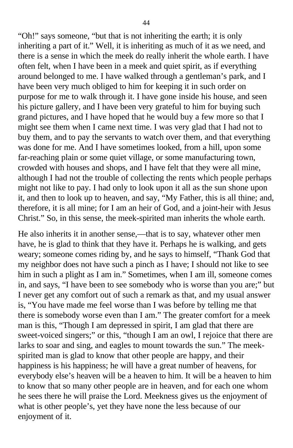"Oh!" says someone, "but that is not inheriting the earth; it is only inheriting a part of it." Well, it is inheriting as much of it as we need, and there is a sense in which the meek do really inherit the whole earth. I have often felt, when I have been in a meek and quiet spirit, as if everything around belonged to me. I have walked through a gentleman's park, and I have been very much obliged to him for keeping it in such order on purpose for me to walk through it. I have gone inside his house, and seen his picture gallery, and I have been very grateful to him for buying such grand pictures, and I have hoped that he would buy a few more so that I might see them when I came next time. I was very glad that I had not to buy them, and to pay the servants to watch over them, and that everything was done for me. And I have sometimes looked, from a hill, upon some far-reaching plain or some quiet village, or some manufacturing town, crowded with houses and shops, and I have felt that they were all mine, although I had not the trouble of collecting the rents which people perhaps might not like to pay. I had only to look upon it all as the sun shone upon it, and then to look up to heaven, and say, "My Father, this is all thine; and, therefore, it is all mine; for I am an heir of God, and a joint-heir with Jesus Christ." So, in this sense, the meek-spirited man inherits the whole earth.

He also inherits it in another sense,—that is to say, whatever other men have, he is glad to think that they have it. Perhaps he is walking, and gets weary; someone comes riding by, and he says to himself, "Thank God that my neighbor does not have such a pinch as I have; I should not like to see him in such a plight as I am in." Sometimes, when I am ill, someone comes in, and says, "I have been to see somebody who is worse than you are;" but I never get any comfort out of such a remark as that, and my usual answer is, "You have made me feel worse than I was before by telling me that there is somebody worse even than I am." The greater comfort for a meek man is this, "Though I am depressed in spirit, I am glad that there are sweet-voiced singers;" or this, "though I am an owl, I rejoice that there are larks to soar and sing, and eagles to mount towards the sun." The meekspirited man is glad to know that other people are happy, and their happiness is his happiness; he will have a great number of heavens, for everybody else's heaven will be a heaven to him. It will be a heaven to him to know that so many other people are in heaven, and for each one whom he sees there he will praise the Lord. Meekness gives us the enjoyment of what is other people's, yet they have none the less because of our enjoyment of it.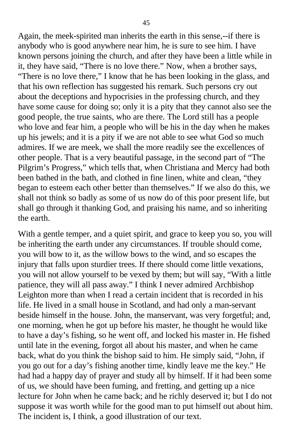Again, the meek-spirited man inherits the earth in this sense,--if there is anybody who is good anywhere near him, he is sure to see him. I have known persons joining the church, and after they have been a little while in it, they have said, "There is no love there." Now, when a brother says, "There is no love there," I know that he has been looking in the glass, and that his own reflection has suggested his remark. Such persons cry out about the deceptions and hypocrisies in the professing church, and they have some cause for doing so; only it is a pity that they cannot also see the good people, the true saints, who are there. The Lord still has a people who love and fear him, a people who will be his in the day when he makes up his jewels; and it is a pity if we are not able to see what God so much admires. If we are meek, we shall the more readily see the excellences of other people. That is a very beautiful passage, in the second part of "The Pilgrim's Progress," which tells that, when Christiana and Mercy had both been bathed in the bath, and clothed in fine linen, white and clean, "they began to esteem each other better than themselves." If we also do this, we shall not think so badly as some of us now do of this poor present life, but shall go through it thanking God, and praising his name, and so inheriting the earth.

With a gentle temper, and a quiet spirit, and grace to keep you so, you will be inheriting the earth under any circumstances. If trouble should come, you will bow to it, as the willow bows to the wind, and so escapes the injury that falls upon sturdier trees. If there should come little vexations, you will not allow yourself to be vexed by them; but will say, "With a little patience, they will all pass away." I think I never admired Archbishop Leighton more than when I read a certain incident that is recorded in his life. He lived in a small house in Scotland, and had only a man-servant beside himself in the house. John, the manservant, was very forgetful; and, one morning, when he got up before his master, he thought he would like to have a day's fishing, so he went off, and locked his master in. He fished until late in the evening, forgot all about his master, and when he came back, what do you think the bishop said to him. He simply said, "John, if you go out for a day's fishing another time, kindly leave me the key." He had had a happy day of prayer and study all by himself. If it had been some of us, we should have been fuming, and fretting, and getting up a nice lecture for John when he came back; and he richly deserved it; but I do not suppose it was worth while for the good man to put himself out about him. The incident is, I think, a good illustration of our text.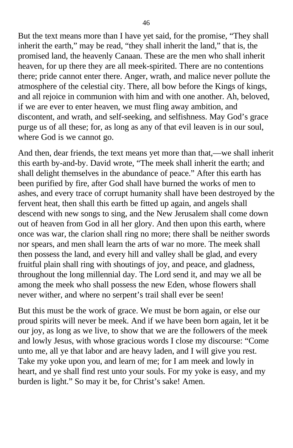But the text means more than I have yet said, for the promise, "They shall inherit the earth," may be read, "they shall inherit the land," that is, the promised land, the heavenly Canaan. These are the men who shall inherit heaven, for up there they are all meek-spirited. There are no contentions there; pride cannot enter there. Anger, wrath, and malice never pollute the atmosphere of the celestial city. There, all bow before the Kings of kings, and all rejoice in communion with him and with one another. Ah, beloved, if we are ever to enter heaven, we must fling away ambition, and discontent, and wrath, and self-seeking, and selfishness. May God's grace purge us of all these; for, as long as any of that evil leaven is in our soul, where God is we cannot go.

And then, dear friends, the text means yet more than that,—we shall inherit this earth by-and-by. David wrote, "The meek shall inherit the earth; and shall delight themselves in the abundance of peace." After this earth has been purified by fire, after God shall have burned the works of men to ashes, and every trace of corrupt humanity shall have been destroyed by the fervent heat, then shall this earth be fitted up again, and angels shall descend with new songs to sing, and the New Jerusalem shall come down out of heaven from God in all her glory. And then upon this earth, where once was war, the clarion shall ring no more; there shall be neither swords nor spears, and men shall learn the arts of war no more. The meek shall then possess the land, and every hill and valley shall be glad, and every fruitful plain shall ring with shoutings of joy, and peace, and gladness, throughout the long millennial day. The Lord send it, and may we all be among the meek who shall possess the new Eden, whose flowers shall never wither, and where no serpent's trail shall ever be seen!

But this must be the work of grace. We must be born again, or else our proud spirits will never be meek. And if we have been born again, let it be our joy, as long as we live, to show that we are the followers of the meek and lowly Jesus, with whose gracious words I close my discourse: "Come unto me, all ye that labor and are heavy laden, and I will give you rest. Take my yoke upon you, and learn of me; for I am meek and lowly in heart, and ye shall find rest unto your souls. For my yoke is easy, and my burden is light." So may it be, for Christ's sake! Amen.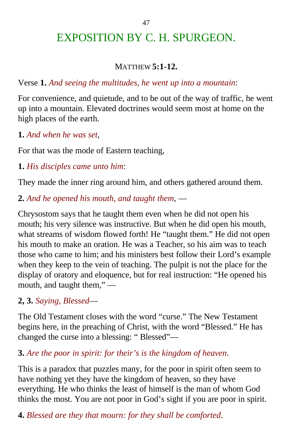# EXPOSITION BY C. H. SPURGEON.

### MATTHEW **5:1-12.**

### Verse **1.** *And seeing the multitudes, he went up into a mountain*:

For convenience, and quietude, and to be out of the way of traffic, he went up into a mountain. Elevated doctrines would seem most at home on the high places of the earth.

### **1.** *And when he was set*,

For that was the mode of Eastern teaching,

**1.** *His disciples came unto him*:

They made the inner ring around him, and others gathered around them.

**2.** *And he opened his mouth, and taught them*, —

Chrysostom says that he taught them even when he did not open his mouth; his very silence was instructive. But when he did open his mouth, what streams of wisdom flowed forth! He "taught them." He did not open his mouth to make an oration. He was a Teacher, so his aim was to teach those who came to him; and his ministers best follow their Lord's example when they keep to the vein of teaching. The pulpit is not the place for the display of oratory and eloquence, but for real instruction: "He opened his mouth, and taught them," —

### **2, 3.** *Saying, Blessed*—

The Old Testament closes with the word "curse." The New Testament begins here, in the preaching of Christ, with the word "Blessed." He has changed the curse into a blessing: " Blessed"—

### **3.** *Are the poor in spirit: for their's is the kingdom of heaven*.

This is a paradox that puzzles many, for the poor in spirit often seem to have nothing yet they have the kingdom of heaven, so they have everything. He who thinks the least of himself is the man of whom God thinks the most. You are not poor in God's sight if you are poor in spirit.

**4.** *Blessed are they that mourn: for they shall be comforted*.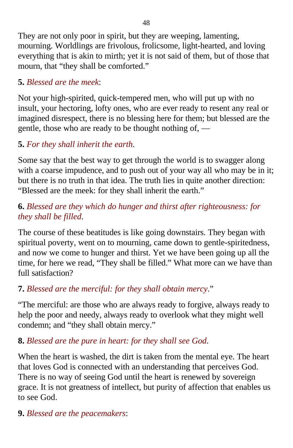They are not only poor in spirit, but they are weeping, lamenting, mourning. Worldlings are frivolous, frolicsome, light-hearted, and loving everything that is akin to mirth; yet it is not said of them, but of those that mourn, that "they shall be comforted."

### **5.** *Blessed are the meek*:

Not your high-spirited, quick-tempered men, who will put up with no insult, your hectoring, lofty ones, who are ever ready to resent any real or imagined disrespect, there is no blessing here for them; but blessed are the gentle, those who are ready to be thought nothing of, —

# **5.** *For they shall inherit the earth*.

Some say that the best way to get through the world is to swagger along with a coarse impudence, and to push out of your way all who may be in it; but there is no truth in that idea. The truth lies in quite another direction: "Blessed are the meek: for they shall inherit the earth."

## **6.** *Blessed are they which do hunger and thirst after righteousness: for they shall be filled*.

The course of these beatitudes is like going downstairs. They began with spiritual poverty, went on to mourning, came down to gentle-spiritedness, and now we come to hunger and thirst. Yet we have been going up all the time, for here we read, "They shall be filled." What more can we have than full satisfaction?

# **7.** *Blessed are the merciful: for they shall obtain mercy*."

"The merciful: are those who are always ready to forgive, always ready to help the poor and needy, always ready to overlook what they might well condemn; and "they shall obtain mercy."

### **8.** *Blessed are the pure in heart: for they shall see God*.

When the heart is washed, the dirt is taken from the mental eye. The heart that loves God is connected with an understanding that perceives God. There is no way of seeing God until the heart is renewed by sovereign grace. It is not greatness of intellect, but purity of affection that enables us to see God.

### **9.** *Blessed are the peacemakers*: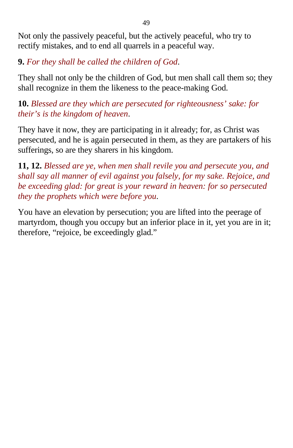Not only the passively peaceful, but the actively peaceful, who try to rectify mistakes, and to end all quarrels in a peaceful way.

**9.** *For they shall be called the children of God*.

They shall not only be the children of God, but men shall call them so; they shall recognize in them the likeness to the peace-making God.

**10.** *Blessed are they which are persecuted for righteousness' sake: for their's is the kingdom of heaven*.

They have it now, they are participating in it already; for, as Christ was persecuted, and he is again persecuted in them, as they are partakers of his sufferings, so are they sharers in his kingdom.

**11, 12.** *Blessed are ye, when men shall revile you and persecute you, and shall say all manner of evil against you falsely, for my sake. Rejoice, and be exceeding glad: for great is your reward in heaven: for so persecuted they the prophets which were before you*.

You have an elevation by persecution; you are lifted into the peerage of martyrdom, though you occupy but an inferior place in it, yet you are in it; therefore, "rejoice, be exceedingly glad."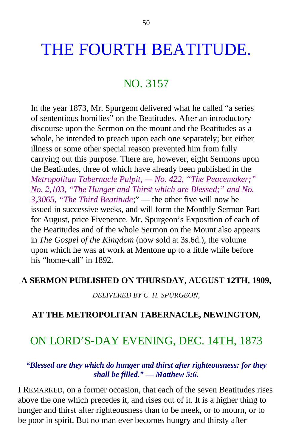# THE FOURTH BEATITUDE.

# NO. 3157

In the year 1873, Mr. Spurgeon delivered what he called "a series of sententious homilies" on the Beatitudes. After an introductory discourse upon the Sermon on the mount and the Beatitudes as a whole, he intended to preach upon each one separately; but either illness or some other special reason prevented him from fully carrying out this purpose. There are, however, eight Sermons upon the Beatitudes, three of which have already been published in the *Metropolitan Tabernacle Pulpit, — No. 422, "The Peacemaker;" No. 2,103, "The Hunger and Thirst which are Blessed;" and No. 3,3065, "The Third Beatitude*;" — the other five will now be issued in successive weeks, and will form the Monthly Sermon Part for August, price Fivepence. Mr. Spurgeon's Exposition of each of the Beatitudes and of the whole Sermon on the Mount also appears in *The Gospel of the Kingdom* (now sold at 3s.6d.), the volume upon which he was at work at Mentone up to a little while before his "home-call" in 1892.

#### **A SERMON PUBLISHED ON THURSDAY, AUGUST 12TH, 1909,**

*DELIVERED BY C. H. SPURGEON,*

#### **AT THE METROPOLITAN TABERNACLE, NEWINGTON,**

# ON LORD'S-DAY EVENING, DEC. 14TH, 1873

#### *"Blessed are they which do hunger and thirst after righteousness: for they shall be filled." — Matthew 5:6.*

I REMARKED, on a former occasion, that each of the seven Beatitudes rises above the one which precedes it, and rises out of it. It is a higher thing to hunger and thirst after righteousness than to be meek, or to mourn, or to be poor in spirit. But no man ever becomes hungry and thirsty after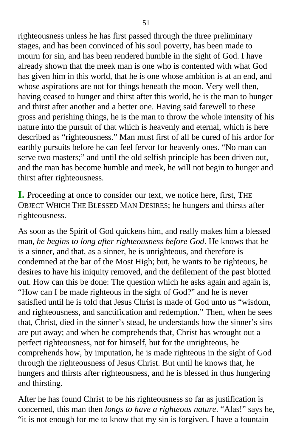righteousness unless he has first passed through the three preliminary stages, and has been convinced of his soul poverty, has been made to mourn for sin, and has been rendered humble in the sight of God. I have already shown that the meek man is one who is contented with what God has given him in this world, that he is one whose ambition is at an end, and whose aspirations are not for things beneath the moon. Very well then, having ceased to hunger and thirst after this world, he is the man to hunger and thirst after another and a better one. Having said farewell to these gross and perishing things, he is the man to throw the whole intensity of his nature into the pursuit of that which is heavenly and eternal, which is here described as "righteousness." Man must first of all be cured of his ardor for earthly pursuits before he can feel fervor for heavenly ones. "No man can serve two masters;" and until the old selfish principle has been driven out, and the man has become humble and meek, he will not begin to hunger and thirst after righteousness.

**I.** Proceeding at once to consider our text, we notice here, first, THE OBJECT WHICH THE BLESSED MAN DESIRES; he hungers and thirsts after righteousness.

As soon as the Spirit of God quickens him, and really makes him a blessed man, *he begins to long after righteousness before God*. He knows that he is a sinner, and that, as a sinner, he is unrighteous, and therefore is condemned at the bar of the Most High; but, he wants to be righteous, he desires to have his iniquity removed, and the defilement of the past blotted out. How can this be done: The question which he asks again and again is, "How can I be made righteous in the sight of God?" and he is never satisfied until he is told that Jesus Christ is made of God unto us "wisdom, and righteousness, and sanctification and redemption." Then, when he sees that, Christ, died in the sinner's stead, he understands how the sinner's sins are put away; and when he comprehends that, Christ has wrought out a perfect righteousness, not for himself, but for the unrighteous, he comprehends how, by imputation, he is made righteous in the sight of God through the righteousness of Jesus Christ. But until he knows that, he hungers and thirsts after righteousness, and he is blessed in thus hungering and thirsting.

After he has found Christ to be his righteousness so far as justification is concerned, this man then *longs to have a righteous nature*. "Alas!" says he, "it is not enough for me to know that my sin is forgiven. I have a fountain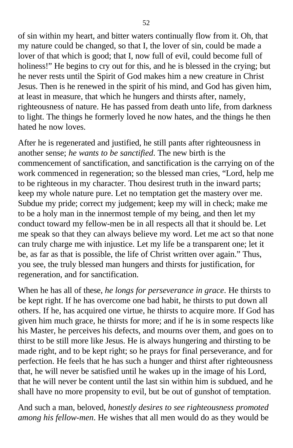of sin within my heart, and bitter waters continually flow from it. Oh, that my nature could be changed, so that I, the lover of sin, could be made a lover of that which is good; that I, now full of evil, could become full of holiness!" He begins to cry out for this, and he is blessed in the crying; but he never rests until the Spirit of God makes him a new creature in Christ Jesus. Then is he renewed in the spirit of his mind, and God has given him, at least in measure, that which he hungers and thirsts after, namely, righteousness of nature. He has passed from death unto life, from darkness to light. The things he formerly loved he now hates, and the things he then hated he now loves.

After he is regenerated and justified, he still pants after righteousness in another sense; *he wants to be sanctified*. The new birth is the commencement of sanctification, and sanctification is the carrying on of the work commenced in regeneration; so the blessed man cries, "Lord, help me to be righteous in my character. Thou desirest truth in the inward parts; keep my whole nature pure. Let no temptation get the mastery over me. Subdue my pride; correct my judgement; keep my will in check; make me to be a holy man in the innermost temple of my being, and then let my conduct toward my fellow-men be in all respects all that it should be. Let me speak so that they can always believe my word. Let me act so that none can truly charge me with injustice. Let my life be a transparent one; let it be, as far as that is possible, the life of Christ written over again." Thus, you see, the truly blessed man hungers and thirsts for justification, for regeneration, and for sanctification.

When he has all of these, *he longs for perseverance in grace*. He thirsts to be kept right. If he has overcome one bad habit, he thirsts to put down all others. If he, has acquired one virtue, he thirsts to acquire more. If God has given him much grace, he thirsts for more; and if he is in some respects like his Master, he perceives his defects, and mourns over them, and goes on to thirst to be still more like Jesus. He is always hungering and thirsting to be made right, and to be kept right; so he prays for final perseverance, and for perfection. He feels that he has such a hunger and thirst after righteousness that, he will never be satisfied until he wakes up in the image of his Lord, that he will never be content until the last sin within him is subdued, and he shall have no more propensity to evil, but be out of gunshot of temptation.

And such a man, beloved, *honestly desires to see righteousness promoted among his fellow-men*. He wishes that all men would do as they would be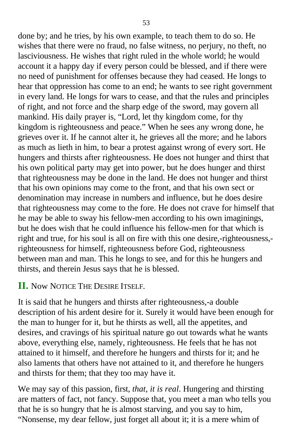done by; and he tries, by his own example, to teach them to do so. He wishes that there were no fraud, no false witness, no perjury, no theft, no lasciviousness. He wishes that right ruled in the whole world; he would account it a happy day if every person could be blessed, and if there were no need of punishment for offenses because they had ceased. He longs to hear that oppression has come to an end; he wants to see right government in every land. He longs for wars to cease, and that the rules and principles of right, and not force and the sharp edge of the sword, may govern all mankind. His daily prayer is, "Lord, let thy kingdom come, for thy kingdom is righteousness and peace." When he sees any wrong done, he grieves over it. If he cannot alter it, he grieves all the more; and he labors as much as lieth in him, to bear a protest against wrong of every sort. He hungers and thirsts after righteousness. He does not hunger and thirst that his own political party may get into power, but he does hunger and thirst that righteousness may be done in the land. He does not hunger and thirst that his own opinions may come to the front, and that his own sect or denomination may increase in numbers and influence, but he does desire that righteousness may come to the fore. He does not crave for himself that he may be able to sway his fellow-men according to his own imaginings, but he does wish that he could influence his fellow-men for that which is right and true, for his soul is all on fire with this one desire,-righteousness, righteousness for himself, righteousness before God, righteousness between man and man. This he longs to see, and for this he hungers and thirsts, and therein Jesus says that he is blessed.

### **II.** Now NOTICE THE DESIRE ITSELF.

It is said that he hungers and thirsts after righteousness,-a double description of his ardent desire for it. Surely it would have been enough for the man to hunger for it, but he thirsts as well, all the appetites, and desires, and cravings of his spiritual nature go out towards what he wants above, everything else, namely, righteousness. He feels that he has not attained to it himself, and therefore he hungers and thirsts for it; and he also laments that others have not attained to it, and therefore he hungers and thirsts for them; that they too may have it.

We may say of this passion, first, *that, it is real*. Hungering and thirsting are matters of fact, not fancy. Suppose that, you meet a man who tells you that he is so hungry that he is almost starving, and you say to him, "Nonsense, my dear fellow, just forget all about it; it is a mere whim of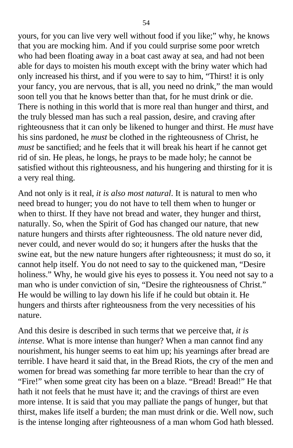yours, for you can live very well without food if you like;" why, he knows that you are mocking him. And if you could surprise some poor wretch who had been floating away in a boat cast away at sea, and had not been able for days to moisten his mouth except with the briny water which had only increased his thirst, and if you were to say to him, "Thirst! it is only your fancy, you are nervous, that is all, you need no drink," the man would soon tell you that he knows better than that, for he must drink or die. There is nothing in this world that is more real than hunger and thirst, and the truly blessed man has such a real passion, desire, and craving after righteousness that it can only be likened to hunger and thirst. He *must* have his sins pardoned, he *must* be clothed in the righteousness of Christ, he *must* be sanctified; and he feels that it will break his heart if he cannot get rid of sin. He pleas, he longs, he prays to be made holy; he cannot be satisfied without this righteousness, and his hungering and thirsting for it is a very real thing.

And not only is it real, *it is also most natural*. It is natural to men who need bread to hunger; you do not have to tell them when to hunger or when to thirst. If they have not bread and water, they hunger and thirst, naturally. So, when the Spirit of God has changed our nature, that new nature hungers and thirsts after righteousness. The old nature never did, never could, and never would do so; it hungers after the husks that the swine eat, but the new nature hungers after righteousness; it must do so, it cannot help itself. You do not need to say to the quickened man, "Desire holiness." Why, he would give his eyes to possess it. You need not say to a man who is under conviction of sin, "Desire the righteousness of Christ." He would be willing to lay down his life if he could but obtain it. He hungers and thirsts after righteousness from the very necessities of his nature.

And this desire is described in such terms that we perceive that, *it is intense*. What is more intense than hunger? When a man cannot find any nourishment, his hunger seems to eat him up; his yearnings after bread are terrible. I have heard it said that, in the Bread Riots, the cry of the men and women for bread was something far more terrible to hear than the cry of "Fire!" when some great city has been on a blaze. "Bread! Bread!" He that hath it not feels that he must have it; and the cravings of thirst are even more intense. It is said that you may palliate the pangs of hunger, but that thirst, makes life itself a burden; the man must drink or die. Well now, such is the intense longing after righteousness of a man whom God hath blessed.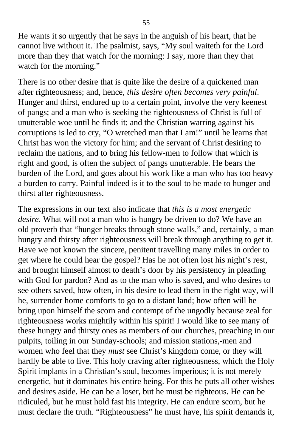He wants it so urgently that he says in the anguish of his heart, that he cannot live without it. The psalmist, says, "My soul waiteth for the Lord more than they that watch for the morning: I say, more than they that watch for the morning."

There is no other desire that is quite like the desire of a quickened man after righteousness; and, hence, *this desire often becomes very painful*. Hunger and thirst, endured up to a certain point, involve the very keenest of pangs; and a man who is seeking the righteousness of Christ is full of unutterable woe until he finds it; and the Christian warring against his corruptions is led to cry, "O wretched man that I am!" until he learns that Christ has won the victory for him; and the servant of Christ desiring to reclaim the nations, and to bring his fellow-men to follow that which is right and good, is often the subject of pangs unutterable. He bears the burden of the Lord, and goes about his work like a man who has too heavy a burden to carry. Painful indeed is it to the soul to be made to hunger and thirst after righteousness.

The expressions in our text also indicate that *this is a most energetic desire*. What will not a man who is hungry be driven to do? We have an old proverb that "hunger breaks through stone walls," and, certainly, a man hungry and thirsty after righteousness will break through anything to get it. Have we not known the sincere, penitent travelling many miles in order to get where he could hear the gospel? Has he not often lost his night's rest, and brought himself almost to death's door by his persistency in pleading with God for pardon? And as to the man who is saved, and who desires to see others saved, how often, in his desire to lead them in the right way, will he, surrender home comforts to go to a distant land; how often will he bring upon himself the scorn and contempt of the ungodly because zeal for righteousness works mightily within his spirit! I would like to see many of these hungry and thirsty ones as members of our churches, preaching in our pulpits, toiling in our Sunday-schools; and mission stations,-men and women who feel that they *must* see Christ's kingdom come, or they will hardly be able to live. This holy craving after righteousness, which the Holy Spirit implants in a Christian's soul, becomes imperious; it is not merely energetic, but it dominates his entire being. For this he puts all other wishes and desires aside. He can be a loser, but he must be righteous. He can be ridiculed, but he must hold fast his integrity. He can endure scorn, but he must declare the truth. "Righteousness" he must have, his spirit demands it,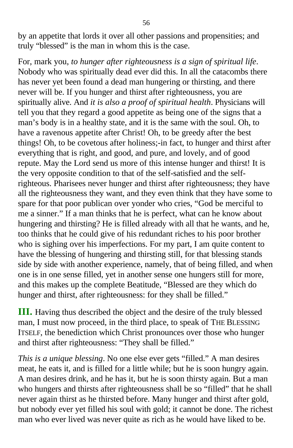by an appetite that lords it over all other passions and propensities; and truly "blessed" is the man in whom this is the case.

For, mark you, *to hunger after righteousness is a sign of spiritual life*. Nobody who was spiritually dead ever did this. In all the catacombs there has never yet been found a dead man hungering or thirsting, and there never will be. If you hunger and thirst after righteousness, you are spiritually alive. And *it is also a proof of spiritual health*. Physicians will tell you that they regard a good appetite as being one of the signs that a man's body is in a healthy state, and it is the same with the soul. Oh, to have a ravenous appetite after Christ! Oh, to be greedy after the best things! Oh, to be covetous after holiness;-in fact, to hunger and thirst after everything that is right, and good, and pure, and lovely, and of good repute. May the Lord send us more of this intense hunger and thirst! It is the very opposite condition to that of the self-satisfied and the selfrighteous. Pharisees never hunger and thirst after righteousness; they have all the righteousness they want, and they even think that they have some to spare for that poor publican over yonder who cries, "God be merciful to me a sinner." If a man thinks that he is perfect, what can he know about hungering and thirsting? He is filled already with all that he wants, and he, too thinks that he could give of his redundant riches to his poor brother who is sighing over his imperfections. For my part, I am quite content to have the blessing of hungering and thirsting still, for that blessing stands side by side with another experience, namely, that of being filled, and when one is in one sense filled, yet in another sense one hungers still for more, and this makes up the complete Beatitude, "Blessed are they which do hunger and thirst, after righteousness: for they shall be filled."

**III.** Having thus described the object and the desire of the truly blessed man, I must now proceed, in the third place, to speak of THE BLESSING ITSELF, the benediction which Christ pronounces over those who hunger and thirst after righteousness: "They shall be filled."

*This is a unique blessing*. No one else ever gets "filled." A man desires meat, he eats it, and is filled for a little while; but he is soon hungry again. A man desires drink, and he has it, but he is soon thirsty again. But a man who hungers and thirsts after righteousness shall be so "filled" that he shall never again thirst as he thirsted before. Many hunger and thirst after gold, but nobody ever yet filled his soul with gold; it cannot be done. The richest man who ever lived was never quite as rich as he would have liked to be.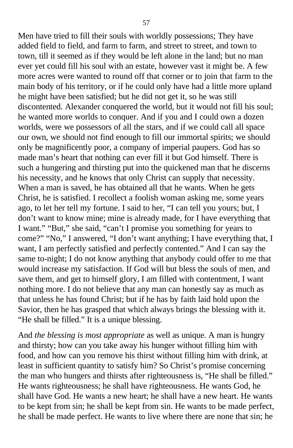Men have tried to fill their souls with worldly possessions; They have added field to field, and farm to farm, and street to street, and town to town, till it seemed as if they would be left alone in the land; but no man ever yet could fill his soul with an estate, however vast it might be. A few more acres were wanted to round off that corner or to join that farm to the main body of his territory, or if he could only have had a little more upland he might have been satisfied; but he did not get it, so he was still discontented. Alexander conquered the world, but it would not fill his soul; he wanted more worlds to conquer. And if you and I could own a dozen worlds, were we possessors of all the stars, and if we could call all space our own, we should not find enough to fill our immortal spirits; we should only be magnificently poor, a company of imperial paupers. God has so made man's heart that nothing can ever fill it but God himself. There is such a hungering and thirsting put into the quickened man that he discerns his necessity, and he knows that only Christ can supply that necessity. When a man is saved, he has obtained all that he wants. When he gets Christ, he is satisfied. I recollect a foolish woman asking me, some years ago, to let her tell my fortune. I said to her, "I can tell you yours; but, I don't want to know mine; mine is already made, for I have everything that I want." "But," she said, "can't I promise you something for years to come?" "No," I answered, "I don't want anything; I have everything that, I want, I am perfectly satisfied and perfectly contented." And I can say the same to-night; I do not know anything that anybody could offer to me that would increase my satisfaction. If God will but bless the souls of men, and save them, and get to himself glory, I am filled with contentment, I want nothing more. I do not believe that any man can honestly say as much as that unless he has found Christ; but if he has by faith laid hold upon the Savior, then he has grasped that which always brings the blessing with it. "He shall be filled." It is a unique blessing.

And *the blessing is most appropriate* as well as unique. A man is hungry and thirsty; how can you take away his hunger without filling him with food, and how can you remove his thirst without filling him with drink, at least in sufficient quantity to satisfy him? So Christ's promise concerning the man who hungers and thirsts after righteousness is, "He shall be filled." He wants righteousness; he shall have righteousness. He wants God, he shall have God. He wants a new heart; he shall have a new heart. He wants to be kept from sin; he shall be kept from sin. He wants to be made perfect, he shall be made perfect. He wants to live where there are none that sin; he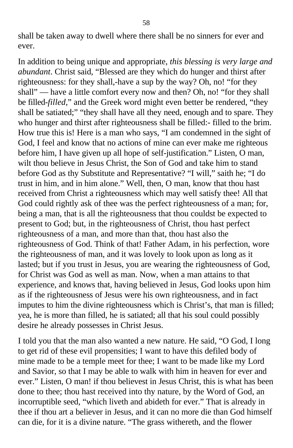shall be taken away to dwell where there shall be no sinners for ever and ever.

In addition to being unique and appropriate, *this blessing is very large and abundant*. Christ said, "Blessed are they which do hunger and thirst after righteousness: for they shall,-have a sup by the way? Oh, no! "for they shall" — have a little comfort every now and then? Oh, no! "for they shall be filled-*filled*," and the Greek word might even better be rendered, "they shall be satiated;" "they shall have all they need, enough and to spare. They who hunger and thirst after righteousness shall be filled:- filled to the brim. How true this is! Here is a man who says, "I am condemned in the sight of God, I feel and know that no actions of mine can ever make me righteous before him, I have given up all hope of self-justification." Listen, O man, wilt thou believe in Jesus Christ, the Son of God and take him to stand before God as thy Substitute and Representative? "I will," saith he; "I do trust in him, and in him alone." Well, then, O man, know that thou hast received from Christ a righteousness which may well satisfy thee! All that God could rightly ask of thee was the perfect righteousness of a man; for, being a man, that is all the righteousness that thou couldst be expected to present to God; but, in the righteousness of Christ, thou hast perfect righteousness of a man, and more than that, thou hast also the righteousness of God. Think of that! Father Adam, in his perfection, wore the righteousness of man, and it was lovely to look upon as long as it lasted; but if you trust in Jesus, you are wearing the righteousness of God, for Christ was God as well as man. Now, when a man attains to that experience, and knows that, having believed in Jesus, God looks upon him as if the righteousness of Jesus were his own righteousness, and in fact imputes to him the divine righteousness which is Christ's, that man is filled; yea, he is more than filled, he is satiated; all that his soul could possibly desire he already possesses in Christ Jesus.

I told you that the man also wanted a new nature. He said, "O God, I long to get rid of these evil propensities; I want to have this defiled body of mine made to be a temple meet for thee; I want to be made like my Lord and Savior, so that I may be able to walk with him in heaven for ever and ever." Listen, O man! if thou believest in Jesus Christ, this is what has been done to thee; thou hast received into thy nature, by the Word of God, an incorruptible seed, "which liveth and abideth for ever." That is already in thee if thou art a believer in Jesus, and it can no more die than God himself can die, for it is a divine nature. "The grass withereth, and the flower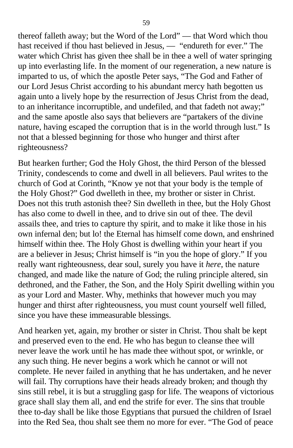thereof falleth away; but the Word of the Lord" — that Word which thou hast received if thou hast believed in Jesus, — "endureth for ever." The water which Christ has given thee shall be in thee a well of water springing up into everlasting life. In the moment of our regeneration, a new nature is imparted to us, of which the apostle Peter says, "The God and Father of our Lord Jesus Christ according to his abundant mercy hath begotten us again unto a lively hope by the resurrection of Jesus Christ from the dead, to an inheritance incorruptible, and undefiled, and that fadeth not away;" and the same apostle also says that believers are "partakers of the divine nature, having escaped the corruption that is in the world through lust." Is not that a blessed beginning for those who hunger and thirst after righteousness?

But hearken further; God the Holy Ghost, the third Person of the blessed Trinity, condescends to come and dwell in all believers. Paul writes to the church of God at Corinth, "Know ye not that your body is the temple of the Holy Ghost?" God dwelleth in thee, my brother or sister in Christ. Does not this truth astonish thee? Sin dwelleth in thee, but the Holy Ghost has also come to dwell in thee, and to drive sin out of thee. The devil assails thee, and tries to capture thy spirit, and to make it like those in his own infernal den; but lo! the Eternal has himself come down, and enshrined himself within thee. The Holy Ghost is dwelling within your heart if you are a believer in Jesus; Christ himself is "in you the hope of glory." If you really want righteousness, dear soul, surely you have it *here*, the nature changed, and made like the nature of God; the ruling principle altered, sin dethroned, and the Father, the Son, and the Holy Spirit dwelling within you as your Lord and Master. Why, methinks that however much you may hunger and thirst after righteousness, you must count yourself well filled, since you have these immeasurable blessings.

And hearken yet, again, my brother or sister in Christ. Thou shalt be kept and preserved even to the end. He who has begun to cleanse thee will never leave the work until he has made thee without spot, or wrinkle, or any such thing. He never begins a work which he cannot or will not complete. He never failed in anything that he has undertaken, and he never will fail. Thy corruptions have their heads already broken; and though thy sins still rebel, it is but a struggling gasp for life. The weapons of victorious grace shall slay them all, and end the strife for ever. The sins that trouble thee to-day shall be like those Egyptians that pursued the children of Israel into the Red Sea, thou shalt see them no more for ever. "The God of peace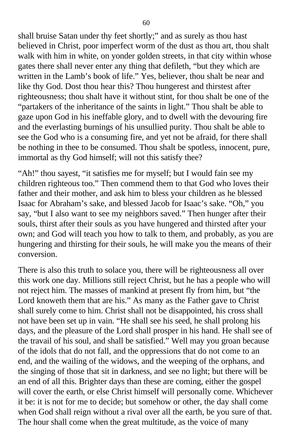shall bruise Satan under thy feet shortly;" and as surely as thou hast believed in Christ, poor imperfect worm of the dust as thou art, thou shalt walk with him in white, on yonder golden streets, in that city within whose gates there shall never enter any thing that defileth, "but they which are written in the Lamb's book of life." Yes, believer, thou shalt be near and like thy God. Dost thou hear this? Thou hungerest and thirstest after righteousness; thou shalt have it without stint, for thou shalt be one of the "partakers of the inheritance of the saints in light." Thou shalt be able to gaze upon God in his ineffable glory, and to dwell with the devouring fire and the everlasting burnings of his unsullied purity. Thou shalt be able to see the God who is a consuming fire, and yet not be afraid, for there shall be nothing in thee to be consumed. Thou shalt be spotless, innocent, pure, immortal as thy God himself; will not this satisfy thee?

"Ah!" thou sayest, "it satisfies me for myself; but I would fain see my children righteous too." Then commend them to that God who loves their father and their mother, and ask him to bless your children as he blessed Isaac for Abraham's sake, and blessed Jacob for Isaac's sake. "Oh," you say, "but I also want to see my neighbors saved." Then hunger after their souls, thirst after their souls as you have hungered and thirsted after your own; and God will teach you how to talk to them, and probably, as you are hungering and thirsting for their souls, he will make you the means of their conversion.

There is also this truth to solace you, there will be righteousness all over this work one day. Millions still reject Christ, but he has a people who will not reject him. The masses of mankind at present fly from him, but "the Lord knoweth them that are his." As many as the Father gave to Christ shall surely come to him. Christ shall not be disappointed, his cross shall not have been set up in vain. "He shall see his seed, he shall prolong his days, and the pleasure of the Lord shall prosper in his hand. He shall see of the travail of his soul, and shall be satisfied." Well may you groan because of the idols that do not fall, and the oppressions that do not come to an end, and the wailing of the widows, and the weeping of the orphans, and the singing of those that sit in darkness, and see no light; but there will be an end of all this. Brighter days than these are coming, either the gospel will cover the earth, or else Christ himself will personally come. Whichever it be: it is not for me to decide; but somehow or other, the day shall come when God shall reign without a rival over all the earth, be you sure of that. The hour shall come when the great multitude, as the voice of many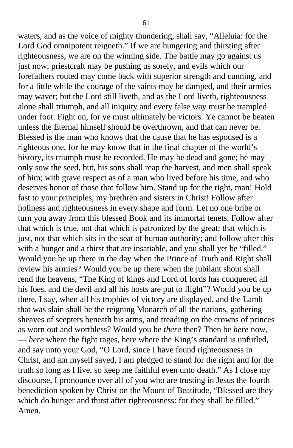waters, and as the voice of mighty thundering, shall say, "Alleluia: for the Lord God omnipotent reigneth." If we are hungering and thirsting after righteousness, we are on the winning side. The battle may go against us just now; priestcraft may be pushing us sorely, and evils which our forefathers routed may come back with superior strength and cunning, and for a little while the courage of the saints may be damped, and their armies may waver; but the Lord still liveth, and as the Lord liveth, righteousness alone shall triumph, and all iniquity and every false way must be trampled under foot. Fight on, for ye must ultimately be victors. Ye cannot be beaten unless the Eternal himself should be overthrown, and that can never be. Blessed is the man who knows that the cause that he has espoused is a righteous one, for he may know that in the final chapter of the world's history, its triumph must be recorded. He may be dead and gone; he may only sow the seed, but, his sons shall reap the harvest, and men shall speak of him; with grave respect as of a man who lived before his time, and who deserves honor of those that follow him. Stand up for the right, man! Hold fast to your principles, my brethren and sisters in Christ! Follow after holiness and righteousness in every shape and form. Let no one bribe or turn you away from this blessed Book and its immortal tenets. Follow after that which is true, not that which is patronized by the great; that which is just, not that which sits in the seat of human authority; and follow after this with a hunger and a thirst that are insatiable, and you shall yet be "filled." Would you be up there in the day when the Prince of Truth and Right shall review his armies? Would you be up there when the jubilant shout shall rend the heavens, "The King of kings and Lord of lords has conquered all his foes, and the devil and all his hosts are put to flight"? Would you be up there, I say, when all his trophies of victory are displayed, and the Lamb that was slain shall be the reigning Monarch of all the nations, gathering sheaves of scepters beneath his arms, and treading on the crowns of princes as worn out and worthless? Would you be *there* then? Then be *here* now, — *here* where the fight rages, here where the King's standard is unfurled, and say unto your God, "O Lord, since I have found righteousness in Christ, and am myself saved, I am pledged to stand for the right and for the truth so long as I live, so keep me faithful even unto death." As I close my discourse, I pronounce over all of you who are trusting in Jesus the fourth benediction spoken by Christ on the Mount of Beatitude, "Blessed are they which do hunger and thirst after righteousness: for they shall be filled." Amen.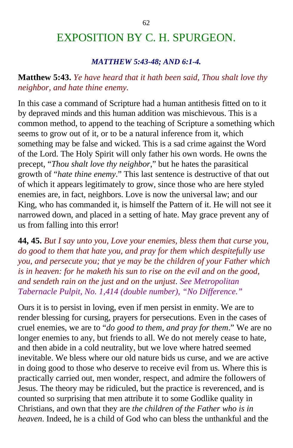# EXPOSITION BY C. H. SPURGEON.

#### *MATTHEW 5:43-48; AND 6:1-4.*

### **Matthew 5:43.** *Ye have heard that it hath been said, Thou shalt love thy neighbor, and hate thine enemy.*

In this case a command of Scripture had a human antithesis fitted on to it by depraved minds and this human addition was mischievous. This is a common method, to append to the teaching of Scripture a something which seems to grow out of it, or to be a natural inference from it, which something may be false and wicked. This is a sad crime against the Word of the Lord. The Holy Spirit will only father his own words. He owns the precept, "*Thou shalt love thy neighbor*," but he hates the parasitical growth of "*hate thine enemy*." This last sentence is destructive of that out of which it appears legitimately to grow, since those who are here styled enemies are, in fact, neighbors. Love is now the universal law; and our King, who has commanded it, is himself the Pattern of it. He will not see it narrowed down, and placed in a setting of hate. May grace prevent any of us from falling into this error!

**44, 45.** *But I say unto you, Love your enemies, bless them that curse you, do good to them that hate you, and pray for them which despitefully use you, and persecute you; that ye may be the children of your Father which is in heaven: for he maketh his sun to rise on the evil and on the good, and sendeth rain on the just and on the unjust*. *See Metropolitan Tabernacle Pulpit, No. 1,414 (double number), "No Difference."*

Ours it is to persist in loving, even if men persist in enmity. We are to render blessing for cursing, prayers for persecutions. Even in the cases of cruel enemies, we are to "*do good to them, and pray for them*." We are no longer enemies to any, but friends to all. We do not merely cease to hate, and then abide in a cold neutrality, but we love where hatred seemed inevitable. We bless where our old nature bids us curse, and we are active in doing good to those who deserve to receive evil from us. Where this is practically carried out, men wonder, respect, and admire the followers of Jesus. The theory may be ridiculed, but the practice is reverenced, and is counted so surprising that men attribute it to some Godlike quality in Christians, and own that they are *the children of the Father who is in heaven*. Indeed, he is a child of God who can bless the unthankful and the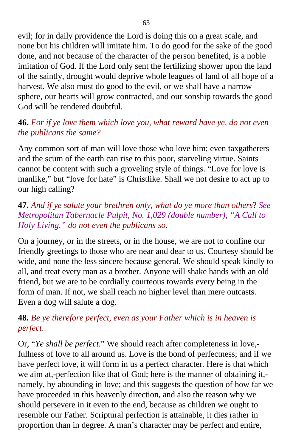evil; for in daily providence the Lord is doing this on a great scale, and none but his children will imitate him. To do good for the sake of the good done, and not because of the character of the person benefited, is a noble imitation of God. If the Lord only sent the fertilizing shower upon the land of the saintly, drought would deprive whole leagues of land of all hope of a harvest. We also must do good to the evil, or we shall have a narrow sphere, our hearts will grow contracted, and our sonship towards the good God will be rendered doubtful.

### **46.** *For if ye love them which love you, what reward have ye, do not even the publicans the same?*

Any common sort of man will love those who love him; even taxgatherers and the scum of the earth can rise to this poor, starveling virtue. Saints cannot be content with such a groveling style of things. "Love for love is manlike," but "love for hate" is Christlike. Shall we not desire to act up to our high calling?

### **47.** *And if ye salute your brethren only, what do ye more than others*? *See Metropolitan Tabernacle Pulpit, No. 1,029 (double number), "A Call to Holy Living." do not even the publicans so*.

On a journey, or in the streets, or in the house, we are not to confine our friendly greetings to those who are near and dear to us. Courtesy should be wide, and none the less sincere because general. We should speak kindly to all, and treat every man as a brother. Anyone will shake hands with an old friend, but we are to be cordially courteous towards every being in the form of man. If not, we shall reach no higher level than mere outcasts. Even a dog will salute a dog.

### **48.** *Be ye therefore perfect, even as your Father which is in heaven is perfect*.

Or, "*Ye shall be perfect*." We should reach after completeness in love, fullness of love to all around us. Love is the bond of perfectness; and if we have perfect love, it will form in us a perfect character. Here is that which we aim at,-perfection like that of God; here is the manner of obtaining it, namely, by abounding in love; and this suggests the question of how far we have proceeded in this heavenly direction, and also the reason why we should persevere in it even to the end, because as children we ought to resemble our Father. Scriptural perfection is attainable, it dies rather in proportion than in degree. A man's character may be perfect and entire,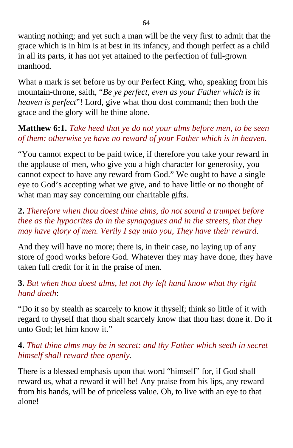wanting nothing; and yet such a man will be the very first to admit that the grace which is in him is at best in its infancy, and though perfect as a child in all its parts, it has not yet attained to the perfection of full-grown manhood.

What a mark is set before us by our Perfect King, who, speaking from his mountain-throne, saith, "*Be ye perfect, even as your Father which is in heaven is perfect*"! Lord, give what thou dost command; then both the grace and the glory will be thine alone.

## **Matthew 6:1.** *Take heed that ye do not your alms before men, to be seen of them: otherwise ye have no reward of your Father which is in heaven.*

"You cannot expect to be paid twice, if therefore you take your reward in the applause of men, who give you a high character for generosity, you cannot expect to have any reward from God." We ought to have a single eye to God's accepting what we give, and to have little or no thought of what man may say concerning our charitable gifts.

### **2.** *Therefore when thou doest thine alms, do not sound a trumpet before thee as the hypocrites do in the synagogues and in the streets, that they may have glory of men. Verily I say unto you, They have their reward*.

And they will have no more; there is, in their case, no laying up of any store of good works before God. Whatever they may have done, they have taken full credit for it in the praise of men.

### **3.** *But when thou doest alms, let not thy left hand know what thy right hand doeth*:

"Do it so by stealth as scarcely to know it thyself; think so little of it with regard to thyself that thou shalt scarcely know that thou hast done it. Do it unto God; let him know it."

### **4.** *That thine alms may be in secret: and thy Father which seeth in secret himself shall reward thee openly*.

There is a blessed emphasis upon that word "himself" for, if God shall reward us, what a reward it will be! Any praise from his lips, any reward from his hands, will be of priceless value. Oh, to live with an eye to that alone!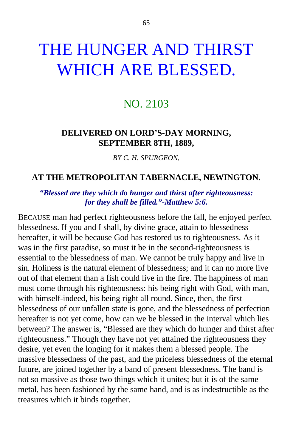# THE HUNGER AND THIRST WHICH ARE BLESSED.

# NO. 2103

### **DELIVERED ON LORD'S-DAY MORNING, SEPTEMBER 8TH, 1889,**

*BY C. H. SPURGEON,*

#### **AT THE METROPOLITAN TABERNACLE, NEWINGTON.**

#### *"Blessed are they which do hunger and thirst after righteousness: for they shall be filled."-Matthew 5:6.*

BECAUSE man had perfect righteousness before the fall, he enjoyed perfect blessedness. If you and I shall, by divine grace, attain to blessedness hereafter, it will be because God has restored us to righteousness. As it was in the first paradise, so must it be in the second-righteousness is essential to the blessedness of man. We cannot be truly happy and live in sin. Holiness is the natural element of blessedness; and it can no more live out of that element than a fish could live in the fire. The happiness of man must come through his righteousness: his being right with God, with man, with himself-indeed, his being right all round. Since, then, the first blessedness of our unfallen state is gone, and the blessedness of perfection hereafter is not yet come, how can we be blessed in the interval which lies between? The answer is, "Blessed are they which do hunger and thirst after righteousness." Though they have not yet attained the righteousness they desire, yet even the longing for it makes them a blessed people. The massive blessedness of the past, and the priceless blessedness of the eternal future, are joined together by a band of present blessedness. The band is not so massive as those two things which it unites; but it is of the same metal, has been fashioned by the same hand, and is as indestructible as the treasures which it binds together.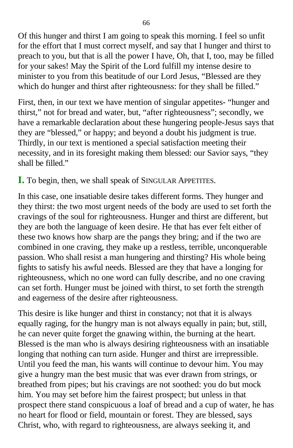Of this hunger and thirst I am going to speak this morning. I feel so unfit for the effort that I must correct myself, and say that I hunger and thirst to preach to you, but that is all the power I have, Oh, that I, too, may be filled for your sakes! May the Spirit of the Lord fulfill my intense desire to minister to you from this beatitude of our Lord Jesus, "Blessed are they which do hunger and thirst after righteousness: for they shall be filled."

First, then, in our text we have mention of singular appetites- "hunger and thirst," not for bread and water, but, "after righteousness"; secondly, we have a remarkable declaration about these hungering people-Jesus says that they are "blessed," or happy; and beyond a doubt his judgment is true. Thirdly, in our text is mentioned a special satisfaction meeting their necessity, and in its foresight making them blessed: our Savior says, "they shall be filled."

### **I.** To begin, then, we shall speak of SINGULAR APPETITES.

In this case, one insatiable desire takes different forms. They hunger and they thirst: the two most urgent needs of the body are used to set forth the cravings of the soul for righteousness. Hunger and thirst are different, but they are both the language of keen desire. He that has ever felt either of these two knows how sharp are the pangs they bring; and if the two are combined in one craving, they make up a restless, terrible, unconquerable passion. Who shall resist a man hungering and thirsting? His whole being fights to satisfy his awful needs. Blessed are they that have a longing for righteousness, which no one word can fully describe, and no one craving can set forth. Hunger must be joined with thirst, to set forth the strength and eagerness of the desire after righteousness.

This desire is like hunger and thirst in constancy; not that it is always equally raging, for the hungry man is not always equally in pain; but, still, he can never quite forget the gnawing within, the burning at the heart. Blessed is the man who is always desiring righteousness with an insatiable longing that nothing can turn aside. Hunger and thirst are irrepressible. Until you feed the man, his wants will continue to devour him. You may give a hungry man the best music that was ever drawn from strings, or breathed from pipes; but his cravings are not soothed: you do but mock him. You may set before him the fairest prospect; but unless in that prospect there stand conspicuous a loaf of bread and a cup of water, he has no heart for flood or field, mountain or forest. They are blessed, says Christ, who, with regard to righteousness, are always seeking it, and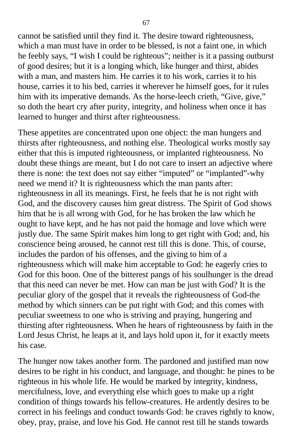cannot be satisfied until they find it. The desire toward righteousness, which a man must have in order to be blessed, is not a faint one, in which he feebly says, "I wish I could be righteous"; neither is it a passing outburst of good desires; but it is a longing which, like hunger and thirst, abides with a man, and masters him. He carries it to his work, carries it to his house, carries it to his bed, carries it wherever he himself goes, for it rules him with its imperative demands. As the horse-leech crieth, "Give, give," so doth the heart cry after purity, integrity, and holiness when once it has learned to hunger and thirst after righteousness.

These appetites are concentrated upon one object: the man hungers and thirsts after righteousness, and nothing else. Theological works mostly say either that this is imputed righteousness, or implanted righteousness. No doubt these things are meant, but I do not care to insert an adjective where there is none: the text does not say either "imputed" or "implanted"-why need we mend it? It is righteousness which the man pants after: righteousness in all its meanings. First, he feels that he is not right with God, and the discovery causes him great distress. The Spirit of God shows him that he is all wrong with God, for he has broken the law which he ought to have kept, and he has not paid the homage and love which were justly due. The same Spirit makes him long to get right with God; and, his conscience being aroused, he cannot rest till this is done. This, of course, includes the pardon of his offenses, and the giving to him of a righteousness which will make him acceptable to God: he eagerly cries to God for this boon. One of the bitterest pangs of his soulhunger is the dread that this need can never be met. How can man be just with God? It is the peculiar glory of the gospel that it reveals the righteousness of God-the method by which sinners can be put right with God; and this comes with peculiar sweetness to one who is striving and praying, hungering and thirsting after righteousness. When he hears of righteousness by faith in the Lord Jesus Christ, he leaps at it, and lays hold upon it, for it exactly meets his case.

The hunger now takes another form. The pardoned and justified man now desires to be right in his conduct, and language, and thought: he pines to be righteous in his whole life. He would be marked by integrity, kindness, mercifulness, love, and everything else which goes to make up a right condition of things towards his fellow-creatures. He ardently desires to be correct in his feelings and conduct towards God: he craves rightly to know, obey, pray, praise, and love his God. He cannot rest till he stands towards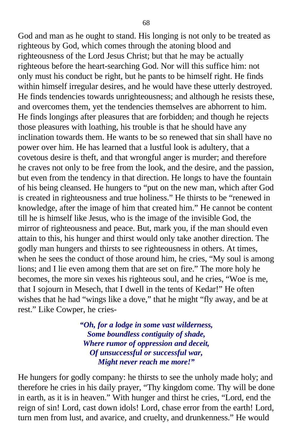God and man as he ought to stand. His longing is not only to be treated as righteous by God, which comes through the atoning blood and righteousness of the Lord Jesus Christ; but that he may be actually righteous before the heart-searching God. Nor will this suffice him: not only must his conduct be right, but he pants to be himself right. He finds within himself irregular desires, and he would have these utterly destroyed. He finds tendencies towards unrighteousness; and although he resists these, and overcomes them, yet the tendencies themselves are abhorrent to him. He finds longings after pleasures that are forbidden; and though he rejects those pleasures with loathing, his trouble is that he should have any inclination towards them. He wants to be so renewed that sin shall have no power over him. He has learned that a lustful look is adultery, that a covetous desire is theft, and that wrongful anger is murder; and therefore he craves not only to be free from the look, and the desire, and the passion, but even from the tendency in that direction. He longs to have the fountain of his being cleansed. He hungers to "put on the new man, which after God is created in righteousness and true holiness." He thirsts to be "renewed in knowledge, after the image of him that created him." He cannot be content till he is himself like Jesus, who is the image of the invisible God, the mirror of righteousness and peace. But, mark you, if the man should even attain to this, his hunger and thirst would only take another direction. The godly man hungers and thirsts to see righteousness in others. At times, when he sees the conduct of those around him, he cries, "My soul is among lions; and I lie even among them that are set on fire." The more holy he becomes, the more sin vexes his righteous soul, and he cries, "Woe is me, that I sojourn in Mesech, that I dwell in the tents of Kedar!" He often wishes that he had "wings like a dove," that he might "fly away, and be at rest." Like Cowper, he cries-

> *"Oh, for a lodge in some vast wilderness, Some boundless contiguity of shade, Where rumor of oppression and deceit, Of unsuccessful or successful war, Might never reach me more!"*

He hungers for godly company: he thirsts to see the unholy made holy; and therefore he cries in his daily prayer, "Thy kingdom come. Thy will be done in earth, as it is in heaven." With hunger and thirst he cries, "Lord, end the reign of sin! Lord, cast down idols! Lord, chase error from the earth! Lord, turn men from lust, and avarice, and cruelty, and drunkenness." He would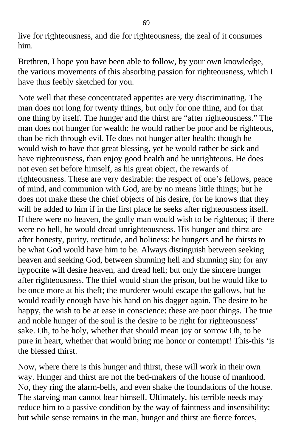live for righteousness, and die for righteousness; the zeal of it consumes him.

Brethren, I hope you have been able to follow, by your own knowledge, the various movements of this absorbing passion for righteousness, which I have thus feebly sketched for you.

Note well that these concentrated appetites are very discriminating. The man does not long for twenty things, but only for one thing, and for that one thing by itself. The hunger and the thirst are "after righteousness." The man does not hunger for wealth: he would rather be poor and be righteous, than be rich through evil. He does not hunger after health: though he would wish to have that great blessing, yet he would rather be sick and have righteousness, than enjoy good health and be unrighteous. He does not even set before himself, as his great object, the rewards of righteousness. These are very desirable: the respect of one's fellows, peace of mind, and communion with God, are by no means little things; but he does not make these the chief objects of his desire, for he knows that they will be added to him if in the first place he seeks after righteousness itself. If there were no heaven, the godly man would wish to be righteous; if there were no hell, he would dread unrighteousness. His hunger and thirst are after honesty, purity, rectitude, and holiness: he hungers and he thirsts to be what God would have him to be. Always distinguish between seeking heaven and seeking God, between shunning hell and shunning sin; for any hypocrite will desire heaven, and dread hell; but only the sincere hunger after righteousness. The thief would shun the prison, but he would like to be once more at his theft; the murderer would escape the gallows, but he would readily enough have his hand on his dagger again. The desire to be happy, the wish to be at ease in conscience: these are poor things. The true and noble hunger of the soul is the desire to be right for righteousness' sake. Oh, to be holy, whether that should mean joy or sorrow Oh, to be pure in heart, whether that would bring me honor or contempt! This-this 'is the blessed thirst.

Now, where there is this hunger and thirst, these will work in their own way. Hunger and thirst are not the bed-makers of the house of manhood. No, they ring the alarm-bells, and even shake the foundations of the house. The starving man cannot bear himself. Ultimately, his terrible needs may reduce him to a passive condition by the way of faintness and insensibility; but while sense remains in the man, hunger and thirst are fierce forces,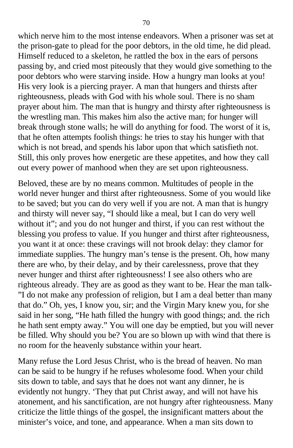which nerve him to the most intense endeavors. When a prisoner was set at the prison-gate to plead for the poor debtors, in the old time, he did plead. Himself reduced to a skeleton, he rattled the box in the ears of persons passing by, and cried most piteously that they would give something to the poor debtors who were starving inside. How a hungry man looks at you! His very look is a piercing prayer. A man that hungers and thirsts after righteousness, pleads with God with his whole soul. There is no sham prayer about him. The man that is hungry and thirsty after righteousness is the wrestling man. This makes him also the active man; for hunger will break through stone walls; he will do anything for food. The worst of it is, that he often attempts foolish things: he tries to stay his hunger with that which is not bread, and spends his labor upon that which satisfieth not. Still, this only proves how energetic are these appetites, and how they call out every power of manhood when they are set upon righteousness.

Beloved, these are by no means common. Multitudes of people in the world never hunger and thirst after righteousness. Some of you would like to be saved; but you can do very well if you are not. A man that is hungry and thirsty will never say, "I should like a meal, but I can do very well without it"; and you do not hunger and thirst, if you can rest without the blessing you profess to value. If you hunger and thirst after righteousness, you want it at once: these cravings will not brook delay: they clamor for immediate supplies. The hungry man's tense is the present. Oh, how many there are who, by their delay, and by their carelessness, prove that they never hunger and thirst after righteousness! I see also others who are righteous already. They are as good as they want to be. Hear the man talk- "I do not make any profession of religion, but I am a deal better than many that do." Oh, yes, I know you, sir; and the Virgin Mary knew you, for she said in her song, "He hath filled the hungry with good things; and. the rich he hath sent empty away." You will one day be emptied, but you will never be filled. Why should you be? You are so blown up with wind that there is no room for the heavenly substance within your heart.

Many refuse the Lord Jesus Christ, who is the bread of heaven. No man can be said to be hungry if he refuses wholesome food. When your child sits down to table, and says that he does not want any dinner, he is evidently not hungry. 'They that put Christ away, and will not have his atonement, and his sanctification, are not hungry after righteousness. Many criticize the little things of the gospel, the insignificant matters about the minister's voice, and tone, and appearance. When a man sits down to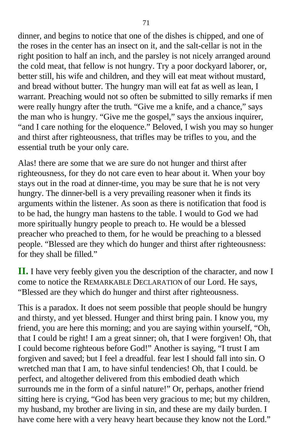dinner, and begins to notice that one of the dishes is chipped, and one of the roses in the center has an insect on it, and the salt-cellar is not in the right position to half an inch, and the parsley is not nicely arranged around the cold meat, that fellow is not hungry. Try a poor dockyard laborer, or, better still, his wife and children, and they will eat meat without mustard, and bread without butter. The hungry man will eat fat as well as lean, I warrant. Preaching would not so often be submitted to silly remarks if men were really hungry after the truth. "Give me a knife, and a chance," says the man who is hungry. "Give me the gospel," says the anxious inquirer, "and I care nothing for the eloquence." Beloved, I wish you may so hunger and thirst after righteousness, that trifles may be trifles to you, and the essential truth be your only care.

Alas! there are some that we are sure do not hunger and thirst after righteousness, for they do not care even to hear about it. When your boy stays out in the road at dinner-time, you may be sure that he is not very hungry. The dinner-bell is a very prevailing reasoner when it finds its arguments within the listener. As soon as there is notification that food is to be had, the hungry man hastens to the table. I would to God we had more spiritually hungry people to preach to. He would be a blessed preacher who preached to them, for he would be preaching to a blessed people. "Blessed are they which do hunger and thirst after righteousness: for they shall be filled."

**II.** I have very feebly given you the description of the character, and now I come to notice the REMARKABLE DECLARATION of our Lord. He says, "Blessed are they which do hunger and thirst after righteousness.

This is a paradox. It does not seem possible that people should be hungry and thirsty, and yet blessed. Hunger and thirst bring pain. I know you, my friend, you are here this morning; and you are saying within yourself, "Oh, that I could be right! I am a great sinner; oh, that I were forgiven! Oh, that I could become righteous before God!" Another is saying, "I trust I am forgiven and saved; but I feel a dreadful. fear lest I should fall into sin. O wretched man that I am, to have sinful tendencies! Oh, that I could. be perfect, and altogether delivered from this embodied death which surrounds me in the form of a sinful nature!" Or, perhaps, another friend sitting here is crying, "God has been very gracious to me; but my children, my husband, my brother are living in sin, and these are my daily burden. I have come here with a very heavy heart because they know not the Lord."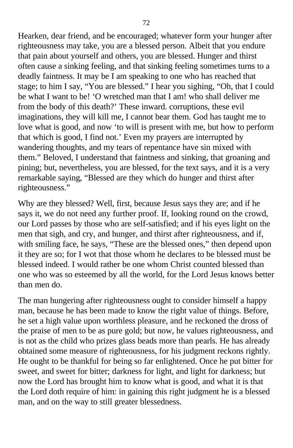Hearken, dear friend, and be encouraged; whatever form your hunger after righteousness may take, you are a blessed person. Albeit that you endure that pain about yourself and others, you are blessed. Hunger and thirst often cause a sinking feeling, and that sinking feeling sometimes turns to a deadly faintness. It may be I am speaking to one who has reached that stage; to him I say, "You are blessed." I hear you sighing, "Oh, that I could be what I want to be! 'O wretched man that I am! who shall deliver me from the body of this death?' These inward. corruptions, these evil imaginations, they will kill me, I cannot bear them. God has taught me to love what is good, and now 'to will is present with me, but how to perform that which is good, I find not.' Even my prayers are interrupted by wandering thoughts, and my tears of repentance have sin mixed with them." Beloved, I understand that faintness and sinking, that groaning and pining; but, nevertheless, you are blessed, for the text says, and it is a very remarkable saying, "Blessed are they which do hunger and thirst after righteousness."

Why are they blessed? Well, first, because Jesus says they are; and if he says it, we do not need any further proof. If, looking round on the crowd, our Lord passes by those who are self-satisfied; and if his eyes light on the men that sigh, and cry, and hunger, and thirst after righteousness, and if, with smiling face, he says, "These are the blessed ones," then depend upon it they are so; for I wot that those whom he declares to be blessed must be blessed indeed. I would rather be one whom Christ counted blessed than one who was so esteemed by all the world, for the Lord Jesus knows better than men do.

The man hungering after righteousness ought to consider himself a happy man, because he has been made to know the right value of things. Before, he set a high value upon worthless pleasure, and he reckoned the dross of the praise of men to be as pure gold; but now, he values righteousness, and is not as the child who prizes glass beads more than pearls. He has already obtained some measure of righteousness, for his judgment reckons rightly. He ought to be thankful for being so far enlightened. Once he put bitter for sweet, and sweet for bitter; darkness for light, and light for darkness; but now the Lord has brought him to know what is good, and what it is that the Lord doth require of him: in gaining this right judgment he is a blessed man, and on the way to still greater blessedness.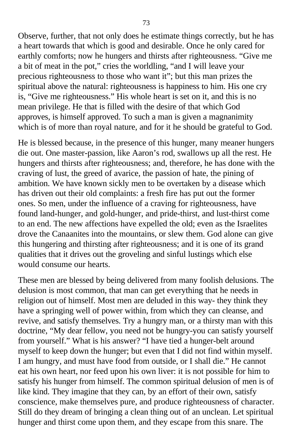Observe, further, that not only does he estimate things correctly, but he has a heart towards that which is good and desirable. Once he only cared for earthly comforts; now he hungers and thirsts after righteousness. "Give me a bit of meat in the pot," cries the worldling, "and I will leave your precious righteousness to those who want it"; but this man prizes the spiritual above the natural: righteousness is happiness to him. His one cry is, "Give me righteousness." His whole heart is set on it, and this is no mean privilege. He that is filled with the desire of that which God approves, is himself approved. To such a man is given a magnanimity which is of more than royal nature, and for it he should be grateful to God.

He is blessed because, in the presence of this hunger, many meaner hungers die out. One master-passion, like Aaron's rod, swallows up all the rest. He hungers and thirsts after righteousness; and, therefore, he has done with the craving of lust, the greed of avarice, the passion of hate, the pining of ambition. We have known sickly men to be overtaken by a disease which has driven out their old complaints: a fresh fire has put out the former ones. So men, under the influence of a craving for righteousness, have found land-hunger, and gold-hunger, and pride-thirst, and lust-thirst come to an end. The new affections have expelled the old; even as the Israelites drove the Canaanites into the mountains, or slew them. God alone can give this hungering and thirsting after righteousness; and it is one of its grand qualities that it drives out the groveling and sinful lustings which else would consume our hearts.

These men are blessed by being delivered from many foolish delusions. The delusion is most common, that man can get everything that he needs in religion out of himself. Most men are deluded in this way- they think they have a springing well of power within, from which they can cleanse, and revive, and satisfy themselves. Try a hungry man, or a thirsty man with this doctrine, "My dear fellow, you need not be hungry-you can satisfy yourself from yourself." What is his answer? "I have tied a hunger-belt around myself to keep down the hunger; but even that I did not find within myself. I am hungry, and must have food from outside, or I shall die." He cannot eat his own heart, nor feed upon his own liver: it is not possible for him to satisfy his hunger from himself. The common spiritual delusion of men is of like kind. They imagine that they can, by an effort of their own, satisfy conscience, make themselves pure, and produce righteousness of character. Still do they dream of bringing a clean thing out of an unclean. Let spiritual hunger and thirst come upon them, and they escape from this snare. The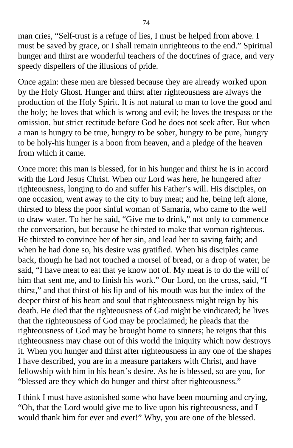man cries, "Self-trust is a refuge of lies, I must be helped from above. I must be saved by grace, or I shall remain unrighteous to the end." Spiritual hunger and thirst are wonderful teachers of the doctrines of grace, and very speedy dispellers of the illusions of pride.

Once again: these men are blessed because they are already worked upon by the Holy Ghost. Hunger and thirst after righteousness are always the production of the Holy Spirit. It is not natural to man to love the good and the holy; he loves that which is wrong and evil; he loves the trespass or the omission, but strict rectitude before God he does not seek after. But when a man is hungry to be true, hungry to be sober, hungry to be pure, hungry to be holy-his hunger is a boon from heaven, and a pledge of the heaven from which it came.

Once more: this man is blessed, for in his hunger and thirst he is in accord with the Lord Jesus Christ. When our Lord was here, he hungered after righteousness, longing to do and suffer his Father's will. His disciples, on one occasion, went away to the city to buy meat; and he, being left alone, thirsted to bless the poor sinful woman of Samaria, who came to the well to draw water. To her he said, "Give me to drink," not only to commence the conversation, but because he thirsted to make that woman righteous. He thirsted to convince her of her sin, and lead her to saving faith; and when he had done so, his desire was gratified. When his disciples came back, though he had not touched a morsel of bread, or a drop of water, he said, "I have meat to eat that ye know not of. My meat is to do the will of him that sent me, and to finish his work." Our Lord, on the cross, said, "I thirst," and that thirst of his lip and of his mouth was but the index of the deeper thirst of his heart and soul that righteousness might reign by his death. He died that the righteousness of God might be vindicated; he lives that the righteousness of God may be proclaimed; he pleads that the righteousness of God may be brought home to sinners; he reigns that this righteousness may chase out of this world the iniquity which now destroys it. When you hunger and thirst after righteousness in any one of the shapes I have described, you are in a measure partakers with Christ, and have fellowship with him in his heart's desire. As he is blessed, so are you, for "blessed are they which do hunger and thirst after righteousness."

I think I must have astonished some who have been mourning and crying, "Oh, that the Lord would give me to live upon his righteousness, and I would thank him for ever and ever!" Why, you are one of the blessed.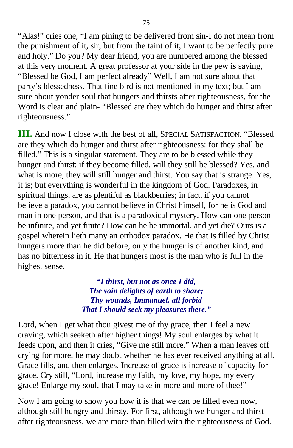"Alas!" cries one, "I am pining to be delivered from sin-I do not mean from the punishment of it, sir, but from the taint of it; I want to be perfectly pure and holy." Do you? My dear friend, you are numbered among the blessed at this very moment. A great professor at your side in the pew is saying, "Blessed be God, I am perfect already" Well, I am not sure about that party's blessedness. That fine bird is not mentioned in my text; but I am sure about yonder soul that hungers and thirsts after righteousness, for the Word is clear and plain- "Blessed are they which do hunger and thirst after righteousness."

**III.** And now I close with the best of all, SPECIAL SATISFACTION. "Blessed are they which do hunger and thirst after righteousness: for they shall be filled." This is a singular statement. They are to be blessed while they hunger and thirst; if they become filled, will they still be blessed? Yes, and what is more, they will still hunger and thirst. You say that is strange. Yes, it is; but everything is wonderful in the kingdom of God. Paradoxes, in spiritual things, are as plentiful as blackberries; in fact, if you cannot believe a paradox, you cannot believe in Christ himself, for he is God and man in one person, and that is a paradoxical mystery. How can one person be infinite, and yet finite? How can he be immortal, and yet die? Ours is a gospel wherein lieth many an orthodox paradox. He that is filled by Christ hungers more than he did before, only the hunger is of another kind, and has no bitterness in it. He that hungers most is the man who is full in the highest sense.

> *"I thirst, but not as once I did, The vain delights of earth to share; Thy wounds, Immanuel, all forbid That I should seek my pleasures there."*

Lord, when I get what thou givest me of thy grace, then I feel a new craving, which seeketh after higher things! My soul enlarges by what it feeds upon, and then it cries, "Give me still more." When a man leaves off crying for more, he may doubt whether he has ever received anything at all. Grace fills, and then enlarges. Increase of grace is increase of capacity for grace. Cry still, "Lord, increase my faith, my love, my hope, my every grace! Enlarge my soul, that I may take in more and more of thee!"

Now I am going to show you how it is that we can be filled even now, although still hungry and thirsty. For first, although we hunger and thirst after righteousness, we are more than filled with the righteousness of God.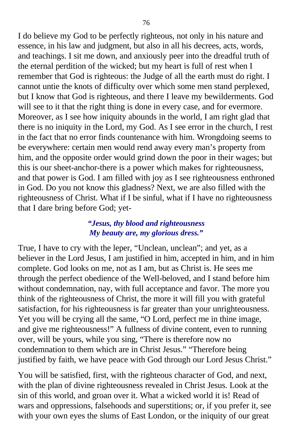I do believe my God to be perfectly righteous, not only in his nature and essence, in his law and judgment, but also in all his decrees, acts, words, and teachings. I sit me down, and anxiously peer into the dreadful truth of the eternal perdition of the wicked; but my heart is full of rest when I remember that God is righteous: the Judge of all the earth must do right. I cannot untie the knots of difficulty over which some men stand perplexed, but I know that God is righteous, and there I leave my bewilderments. God will see to it that the right thing is done in every case, and for evermore. Moreover, as I see how iniquity abounds in the world, I am right glad that there is no iniquity in the Lord, my God. As I see error in the church, I rest in the fact that no error finds countenance with him. Wrongdoing seems to be everywhere: certain men would rend away every man's property from him, and the opposite order would grind down the poor in their wages; but this is our sheet-anchor-there is a power which makes for righteousness, and that power is God. I am filled with joy as I see righteousness enthroned in God. Do you not know this gladness? Next, we are also filled with the righteousness of Christ. What if I be sinful, what if I have no righteousness that I dare bring before God; yet-

### *"Jesus, thy blood and righteousness My beauty are, my glorious dress."*

True, I have to cry with the leper, "Unclean, unclean"; and yet, as a believer in the Lord Jesus, I am justified in him, accepted in him, and in him complete. God looks on me, not as I am, but as Christ is. He sees me through the perfect obedience of the Well-beloved, and I stand before him without condemnation, nay, with full acceptance and favor. The more you think of the righteousness of Christ, the more it will fill you with grateful satisfaction, for his righteousness is far greater than your unrighteousness. Yet you will be crying all the same, "O Lord, perfect me in thine image, and give me righteousness!" A fullness of divine content, even to running over, will be yours, while you sing, "There is therefore now no condemnation to them which are in Christ Jesus." "Therefore being justified by faith, we have peace with God through our Lord Jesus Christ."

You will be satisfied, first, with the righteous character of God, and next, with the plan of divine righteousness revealed in Christ Jesus. Look at the sin of this world, and groan over it. What a wicked world it is! Read of wars and oppressions, falsehoods and superstitions; or, if you prefer it, see with your own eyes the slums of East London, or the iniquity of our great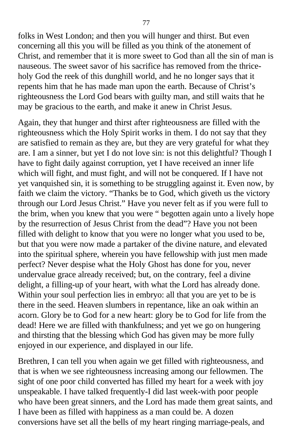folks in West London; and then you will hunger and thirst. But even concerning all this you will be filled as you think of the atonement of Christ, and remember that it is more sweet to God than all the sin of man is nauseous. The sweet savor of his sacrifice has removed from the thriceholy God the reek of this dunghill world, and he no longer says that it repents him that he has made man upon the earth. Because of Christ's righteousness the Lord God bears with guilty man, and still waits that he may be gracious to the earth, and make it anew in Christ Jesus.

Again, they that hunger and thirst after righteousness are filled with the righteousness which the Holy Spirit works in them. I do not say that they are satisfied to remain as they are, but they are very grateful for what they are. I am a sinner, but yet I do not love sin: is not this delightful? Though I have to fight daily against corruption, yet I have received an inner life which will fight, and must fight, and will not be conquered. If I have not yet vanquished sin, it is something to be struggling against it. Even now, by faith we claim the victory. "Thanks be to God, which giveth us the victory through our Lord Jesus Christ." Have you never felt as if you were full to the brim, when you knew that you were " begotten again unto a lively hope by the resurrection of Jesus Christ from the dead"? Have you not been filled with delight to know that you were no longer what you used to be, but that you were now made a partaker of the divine nature, and elevated into the spiritual sphere, wherein you have fellowship with just men made perfect? Never despise what the Holy Ghost has done for you, never undervalue grace already received; but, on the contrary, feel a divine delight, a filling-up of your heart, with what the Lord has already done. Within your soul perfection lies in embryo: all that you are yet to be is there in the seed. Heaven slumbers in repentance, like an oak within an acorn. Glory be to God for a new heart: glory be to God for life from the dead! Here we are filled with thankfulness; and yet we go on hungering and thirsting that the blessing which God has given may be more fully enjoyed in our experience, and displayed in our life.

Brethren, I can tell you when again we get filled with righteousness, and that is when we see righteousness increasing among our fellowmen. The sight of one poor child converted has filled my heart for a week with joy unspeakable. I have talked frequently-I did last week-with poor people who have been great sinners, and the Lord has made them great saints, and I have been as filled with happiness as a man could be. A dozen conversions have set all the bells of my heart ringing marriage-peals, and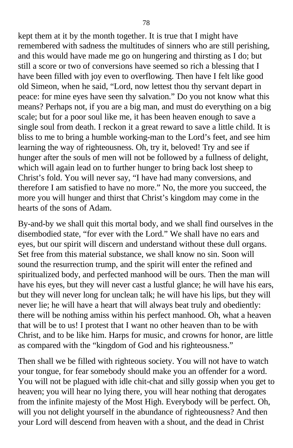kept them at it by the month together. It is true that I might have remembered with sadness the multitudes of sinners who are still perishing, and this would have made me go on hungering and thirsting as I do; but still a score or two of conversions have seemed so rich a blessing that I have been filled with joy even to overflowing. Then have I felt like good old Simeon, when he said, "Lord, now lettest thou thy servant depart in peace: for mine eyes have seen thy salvation." Do you not know what this means? Perhaps not, if you are a big man, and must do everything on a big scale; but for a poor soul like me, it has been heaven enough to save a single soul from death. I reckon it a great reward to save a little child. It is bliss to me to bring a humble working-man to the Lord's feet, and see him learning the way of righteousness. Oh, try it, beloved! Try and see if hunger after the souls of men will not be followed by a fullness of delight, which will again lead on to further hunger to bring back lost sheep to Christ's fold. You will never say, "I have had many conversions, and therefore I am satisfied to have no more." No, the more you succeed, the more you will hunger and thirst that Christ's kingdom may come in the hearts of the sons of Adam.

By-and-by we shall quit this mortal body, and we shall find ourselves in the disembodied state, "for ever with the Lord." We shall have no ears and eyes, but our spirit will discern and understand without these dull organs. Set free from this material substance, we shall know no sin. Soon will sound the resurrection trump, and the spirit will enter the refined and spiritualized body, and perfected manhood will be ours. Then the man will have his eyes, but they will never cast a lustful glance; he will have his ears, but they will never long for unclean talk; he will have his lips, but they will never lie; he will have a heart that will always beat truly and obediently: there will be nothing amiss within his perfect manhood. Oh, what a heaven that will be to us! I protest that I want no other heaven than to be with Christ, and to be like him. Harps for music, and crowns for honor, are little as compared with the "kingdom of God and his righteousness."

Then shall we be filled with righteous society. You will not have to watch your tongue, for fear somebody should make you an offender for a word. You will not be plagued with idle chit-chat and silly gossip when you get to heaven; you will hear no lying there, you will hear nothing that derogates from the infinite majesty of the Most High. Everybody will be perfect. Oh, will you not delight yourself in the abundance of righteousness? And then your Lord will descend from heaven with a shout, and the dead in Christ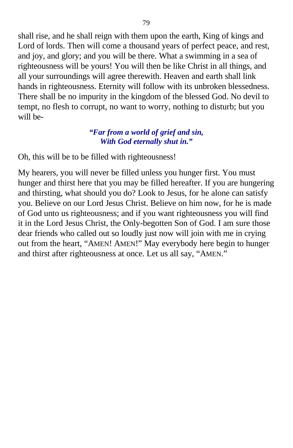shall rise, and he shall reign with them upon the earth, King of kings and Lord of lords. Then will come a thousand years of perfect peace, and rest, and joy, and glory; and you will be there. What a swimming in a sea of righteousness will be yours! You will then be like Christ in all things, and all your surroundings will agree therewith. Heaven and earth shall link hands in righteousness. Eternity will follow with its unbroken blessedness. There shall be no impurity in the kingdom of the blessed God. No devil to tempt, no flesh to corrupt, no want to worry, nothing to disturb; but you will be-

### *"Far from a world of grief and sin, With God eternally shut in."*

Oh, this will be to be filled with righteousness!

My hearers, you will never be filled unless you hunger first. You must hunger and thirst here that you may be filled hereafter. If you are hungering and thirsting, what should you do? Look to Jesus, for he alone can satisfy you. Believe on our Lord Jesus Christ. Believe on him now, for he is made of God unto us righteousness; and if you want righteousness you will find it in the Lord Jesus Christ, the Only-begotten Son of God. I am sure those dear friends who called out so loudly just now will join with me in crying out from the heart, "AMEN! AMEN!" May everybody here begin to hunger and thirst after righteousness at once. Let us all say, "AMEN."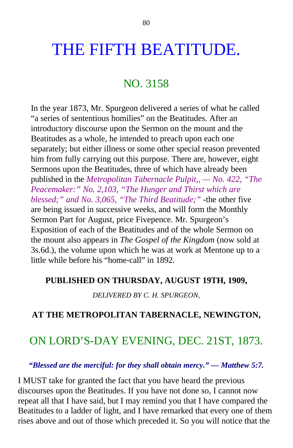# THE FIFTH BEATITUDE.

## NO. 3158

In the year 1873, Mr. Spurgeon delivered a series of what he called "a series of sententious homilies" on the Beatitudes. After an introductory discourse upon the Sermon on the mount and the Beatitudes as a whole, he intended to preach upon each one separately; but either illness or some other special reason prevented him from fully carrying out this purpose. There are, however, eight Sermons upon the Beatitudes, three of which have already been published in the *Metropolitan Tabernacle Pulpit,, — No. 422, "The Peacemaker:" No. 2,103, "The Hunger and Thirst which are blessed;" and No. 3,065, "The Third Beatitude;"* -the other five are being issued in successive weeks, and will form the Monthly Sermon Part for August, price Fivepence. Mr. Spurgeon's Exposition of each of the Beatitudes and of the whole Sermon on the mount also appears in *The Gospel of the Kingdom* (now sold at 3s.6d.), the volume upon which he was at work at Mentone up to a little while before his "home-call" in 1892.

### **PUBLISHED ON THURSDAY, AUGUST 19TH, 1909,**

*DELIVERED BY C. H. SPURGEON,*

## **AT THE METROPOLITAN TABERNACLE, NEWINGTON,**

## ON LORD'S-DAY EVENING, DEC. 21ST, 1873.

*"Blessed are the merciful: for they shall obtain mercy." — Matthew 5:7.*

I MUST take for granted the fact that you have heard the previous discourses upon the Beatitudes. If you have not done so, I cannot now repeat all that I have said, but I may remind you that I have compared the Beatitudes to a ladder of light, and I have remarked that every one of them rises above and out of those which preceded it. So you will notice that the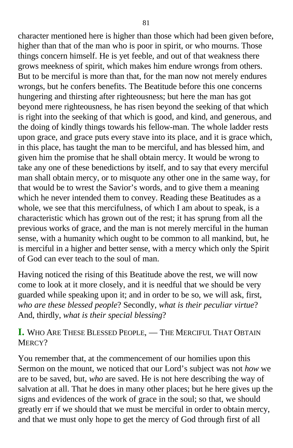character mentioned here is higher than those which had been given before, higher than that of the man who is poor in spirit, or who mourns. Those things concern himself. He is yet feeble, and out of that weakness there grows meekness of spirit, which makes him endure wrongs from others. But to be merciful is more than that, for the man now not merely endures wrongs, but he confers benefits. The Beatitude before this one concerns hungering and thirsting after righteousness; but here the man has got beyond mere righteousness, he has risen beyond the seeking of that which is right into the seeking of that which is good, and kind, and generous, and the doing of kindly things towards his fellow-man. The whole ladder rests upon grace, and grace puts every stave into its place, and it is grace which, in this place, has taught the man to be merciful, and has blessed him, and given him the promise that he shall obtain mercy. It would be wrong to take any one of these benedictions by itself, and to say that every merciful man shall obtain mercy, or to misquote any other one in the same way, for that would be to wrest the Savior's words, and to give them a meaning which he never intended them to convey. Reading these Beatitudes as a whole, we see that this mercifulness, of which I am about to speak, is a characteristic which has grown out of the rest; it has sprung from all the previous works of grace, and the man is not merely merciful in the human sense, with a humanity which ought to be common to all mankind, but, he is merciful in a higher and better sense, with a mercy which only the Spirit of God can ever teach to the soul of man.

Having noticed the rising of this Beatitude above the rest, we will now come to look at it more closely, and it is needful that we should be very guarded while speaking upon it; and in order to be so, we will ask, first, *who are these blessed people*? Secondly, *what is their peculiar virtue*? And, thirdly, *what is their special blessing*?

**I.** WHO ARE THESE BLESSED PEOPLE, — THE MERCIFUL THAT OBTAIN MERCY?

You remember that, at the commencement of our homilies upon this Sermon on the mount, we noticed that our Lord's subject was not *how* we are to be saved, but, *who* are saved. He is not here describing the way of salvation at all. That he does in many other places; but he here gives up the signs and evidences of the work of grace in the soul; so that, we should greatly err if we should that we must be merciful in order to obtain mercy, and that we must only hope to get the mercy of God through first of all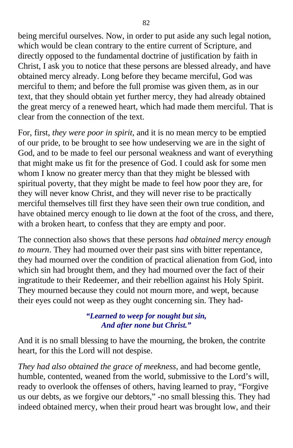being merciful ourselves. Now, in order to put aside any such legal notion, which would be clean contrary to the entire current of Scripture, and directly opposed to the fundamental doctrine of justification by faith in Christ, I ask you to notice that these persons are blessed already, and have obtained mercy already. Long before they became merciful, God was merciful to them; and before the full promise was given them, as in our text, that they should obtain yet further mercy, they had already obtained the great mercy of a renewed heart, which had made them merciful. That is clear from the connection of the text.

For, first, *they were poor in spirit*, and it is no mean mercy to be emptied of our pride, to be brought to see how undeserving we are in the sight of God, and to be made to feel our personal weakness and want of everything that might make us fit for the presence of God. I could ask for some men whom I know no greater mercy than that they might be blessed with spiritual poverty, that they might be made to feel how poor they are, for they will never know Christ, and they will never rise to be practically merciful themselves till first they have seen their own true condition, and have obtained mercy enough to lie down at the foot of the cross, and there, with a broken heart, to confess that they are empty and poor.

The connection also shows that these persons *had obtained mercy enough to mourn*. They had mourned over their past sins with bitter repentance, they had mourned over the condition of practical alienation from God, into which sin had brought them, and they had mourned over the fact of their ingratitude to their Redeemer, and their rebellion against his Holy Spirit. They mourned because they could not mourn more, and wept, because their eyes could not weep as they ought concerning sin. They had-

### *"Learned to weep for nought but sin, And after none but Christ."*

And it is no small blessing to have the mourning, the broken, the contrite heart, for this the Lord will not despise.

*They had also obtained the grace of meekness*, and had become gentle, humble, contented, weaned from the world, submissive to the Lord's will, ready to overlook the offenses of others, having learned to pray, "Forgive us our debts, as we forgive our debtors," -no small blessing this. They had indeed obtained mercy, when their proud heart was brought low, and their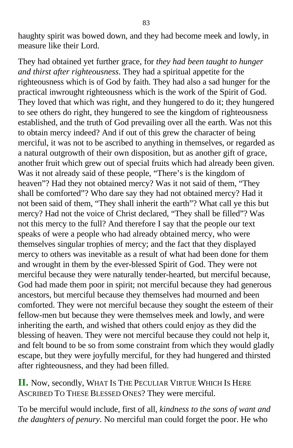haughty spirit was bowed down, and they had become meek and lowly, in measure like their Lord.

They had obtained yet further grace, for *they had been taught to hunger and thirst after righteousness*. They had a spiritual appetite for the righteousness which is of God by faith. They had also a sad hunger for the practical inwrought righteousness which is the work of the Spirit of God. They loved that which was right, and they hungered to do it; they hungered to see others do right, they hungered to see the kingdom of righteousness established, and the truth of God prevailing over all the earth. Was not this to obtain mercy indeed? And if out of this grew the character of being merciful, it was not to be ascribed to anything in themselves, or regarded as a natural outgrowth of their own disposition, but as another gift of grace, another fruit which grew out of special fruits which had already been given. Was it not already said of these people, "There's is the kingdom of heaven"? Had they not obtained mercy? Was it not said of them, "They shall be comforted"? Who dare say they had not obtained mercy? Had it not been said of them, "They shall inherit the earth"? What call ye this but mercy? Had not the voice of Christ declared, "They shall be filled"? Was not this mercy to the full? And therefore I say that the people our text speaks of were a people who had already obtained mercy, who were themselves singular trophies of mercy; and the fact that they displayed mercy to others was inevitable as a result of what had been done for them and wrought in them by the ever-blessed Spirit of God. They were not merciful because they were naturally tender-hearted, but merciful because, God had made them poor in spirit; not merciful because they had generous ancestors, but merciful because they themselves had mourned and been comforted. They were not merciful because they sought the esteem of their fellow-men but because they were themselves meek and lowly, and were inheriting the earth, and wished that others could enjoy as they did the blessing of heaven. They were not merciful because they could not help it, and felt bound to be so from some constraint from which they would gladly escape, but they were joyfully merciful, for they had hungered and thirsted after righteousness, and they had been filled.

**II.** Now, secondly, WHAT IS THE PECULIAR VIRTUE WHICH IS HERE ASCRIBED TO THESE BLESSED ONES? They were merciful.

To be merciful would include, first of all, *kindness to the sons of want and the daughters of penury*. No merciful man could forget the poor. He who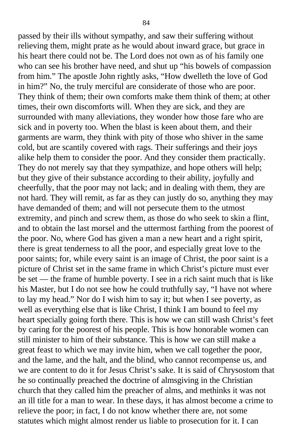passed by their ills without sympathy, and saw their suffering without relieving them, might prate as he would about inward grace, but grace in his heart there could not be. The Lord does not own as of his family one who can see his brother have need, and shut up "his bowels of compassion from him." The apostle John rightly asks, "How dwelleth the love of God in him?" No, the truly merciful are considerate of those who are poor. They think of them; their own comforts make them think of them; at other times, their own discomforts will. When they are sick, and they are surrounded with many alleviations, they wonder how those fare who are sick and in poverty too. When the blast is keen about them, and their garments are warm, they think with pity of those who shiver in the same cold, but are scantily covered with rags. Their sufferings and their joys alike help them to consider the poor. And they consider them practically. They do not merely say that they sympathize, and hope others will help; but they give of their substance according to their ability, joyfully and cheerfully, that the poor may not lack; and in dealing with them, they are not hard. They will remit, as far as they can justly do so, anything they may have demanded of them; and will not persecute them to the utmost extremity, and pinch and screw them, as those do who seek to skin a flint, and to obtain the last morsel and the uttermost farthing from the poorest of the poor. No, where God has given a man a new heart and a right spirit, there is great tenderness to all the poor, and especially great love to the poor saints; for, while every saint is an image of Christ, the poor saint is a picture of Christ set in the same frame in which Christ's picture must ever be set — the frame of humble poverty. I see in a rich saint much that is like his Master, but I do not see how he could truthfully say, "I have not where to lay my head." Nor do I wish him to say it; but when I see poverty, as well as everything else that is like Christ, I think I am bound to feel my heart specially going forth there. This is how we can still wash Christ's feet by caring for the poorest of his people. This is how honorable women can still minister to him of their substance. This is how we can still make a great feast to which we may invite him, when we call together the poor, and the lame, and the halt, and the blind, who cannot recompense us, and we are content to do it for Jesus Christ's sake. It is said of Chrysostom that he so continually preached the doctrine of almsgiving in the Christian church that they called him the preacher of alms, and methinks it was not an ill title for a man to wear. In these days, it has almost become a crime to relieve the poor; in fact, I do not know whether there are, not some statutes which might almost render us liable to prosecution for it. I can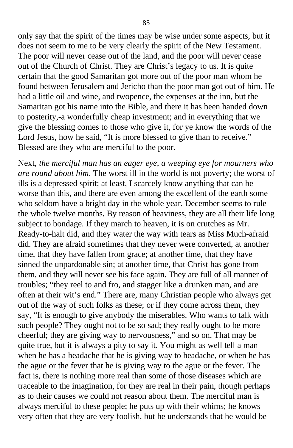only say that the spirit of the times may be wise under some aspects, but it does not seem to me to be very clearly the spirit of the New Testament. The poor will never cease out of the land, and the poor will never cease out of the Church of Christ. They are Christ's legacy to us. It is quite certain that the good Samaritan got more out of the poor man whom he found between Jerusalem and Jericho than the poor man got out of him. He had a little oil and wine, and twopence, the expenses at the inn, but the Samaritan got his name into the Bible, and there it has been handed down to posterity,-a wonderfully cheap investment; and in everything that we give the blessing comes to those who give it, for ye know the words of the Lord Jesus, how he said, "It is more blessed to give than to receive." Blessed are they who are merciful to the poor.

Next, *the merciful man has an eager eye, a weeping eye for mourners who are round about him*. The worst ill in the world is not poverty; the worst of ills is a depressed spirit; at least, I scarcely know anything that can be worse than this, and there are even among the excellent of the earth some who seldom have a bright day in the whole year. December seems to rule the whole twelve months. By reason of heaviness, they are all their life long subject to bondage. If they march to heaven, it is on crutches as Mr. Ready-to-halt did, and they water the way with tears as Miss Much-afraid did. They are afraid sometimes that they never were converted, at another time, that they have fallen from grace; at another time, that they have sinned the unpardonable sin; at another time, that Christ has gone from them, and they will never see his face again. They are full of all manner of troubles; "they reel to and fro, and stagger like a drunken man, and are often at their wit's end." There are, many Christian people who always get out of the way of such folks as these; or if they come across them, they say, "It is enough to give anybody the miserables. Who wants to talk with such people? They ought not to be so sad; they really ought to be more cheerful; they are giving way to nervousness," and so on. That may be quite true, but it is always a pity to say it. You might as well tell a man when he has a headache that he is giving way to headache, or when he has the ague or the fever that he is giving way to the ague or the fever. The fact is, there is nothing more real than some of those diseases which are traceable to the imagination, for they are real in their pain, though perhaps as to their causes we could not reason about them. The merciful man is always merciful to these people; he puts up with their whims; he knows very often that they are very foolish, but he understands that he would be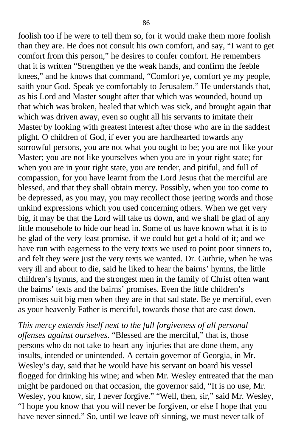foolish too if he were to tell them so, for it would make them more foolish than they are. He does not consult his own comfort, and say, "I want to get comfort from this person," he desires to confer comfort. He remembers that it is written "Strengthen ye the weak hands, and confirm the feeble knees," and he knows that command, "Comfort ye, comfort ye my people, saith your God. Speak ye comfortably to Jerusalem." He understands that, as his Lord and Master sought after that which was wounded, bound up that which was broken, healed that which was sick, and brought again that which was driven away, even so ought all his servants to imitate their Master by looking with greatest interest after those who are in the saddest plight. O children of God, if ever you are hardhearted towards any sorrowful persons, you are not what you ought to be; you are not like your Master; you are not like yourselves when you are in your right state; for when you are in your right state, you are tender, and pitiful, and full of compassion, for you have learnt from the Lord Jesus that the merciful are blessed, and that they shall obtain mercy. Possibly, when you too come to be depressed, as you may, you may recollect those jeering words and those unkind expressions which you used concerning others. When we get very big, it may be that the Lord will take us down, and we shall be glad of any little mousehole to hide our head in. Some of us have known what it is to be glad of the very least promise, if we could but get a hold of it; and we have run with eagerness to the very texts we used to point poor sinners to, and felt they were just the very texts we wanted. Dr. Guthrie, when he was very ill and about to die, said he liked to hear the bairns' hymns, the little children's hymns, and the strongest men in the family of Christ often want the bairns' texts and the bairns' promises. Even the little children's promises suit big men when they are in that sad state. Be ye merciful, even as your heavenly Father is merciful, towards those that are cast down.

*This mercy extends itself next to the full forgiveness of all personal offenses against ourselves*. "Blessed are the merciful," that is, those persons who do not take to heart any injuries that are done them, any insults, intended or unintended. A certain governor of Georgia, in Mr. Wesley's day, said that he would have his servant on board his vessel flogged for drinking his wine; and when Mr. Wesley entreated that the man might be pardoned on that occasion, the governor said, "It is no use, Mr. Wesley, you know, sir, I never forgive." "Well, then, sir," said Mr. Wesley, "I hope you know that you will never be forgiven, or else I hope that you have never sinned." So, until we leave off sinning, we must never talk of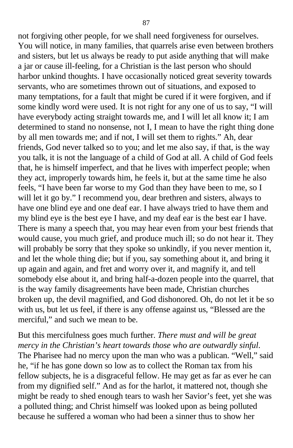not forgiving other people, for we shall need forgiveness for ourselves. You will notice, in many families, that quarrels arise even between brothers and sisters, but let us always be ready to put aside anything that will make a jar or cause ill-feeling, for a Christian is the last person who should harbor unkind thoughts. I have occasionally noticed great severity towards servants, who are sometimes thrown out of situations, and exposed to many temptations, for a fault that might be cured if it were forgiven, and if some kindly word were used. It is not right for any one of us to say, "I will have everybody acting straight towards me, and I will let all know it; I am determined to stand no nonsense, not I, I mean to have the right thing done by all men towards me; and if not, I will set them to rights." Ah, dear friends, God never talked so to you; and let me also say, if that, is the way you talk, it is not the language of a child of God at all. A child of God feels that, he is himself imperfect, and that he lives with imperfect people; when they act, improperly towards him, he feels it, but at the same time he also feels, "I have been far worse to my God than they have been to me, so I will let it go by." I recommend you, dear brethren and sisters, always to have one blind eye and one deaf ear. I have always tried to have them and my blind eye is the best eye I have, and my deaf ear is the best ear I have. There is many a speech that, you may hear even from your best friends that would cause, you much grief, and produce much ill; so do not hear it. They will probably be sorry that they spoke so unkindly, if you never mention it, and let the whole thing die; but if you, say something about it, and bring it up again and again, and fret and worry over it, and magnify it, and tell somebody else about it, and bring half-a-dozen people into the quarrel, that is the way family disagreements have been made, Christian churches broken up, the devil magnified, and God dishonored. Oh, do not let it be so with us, but let us feel, if there is any offense against us, "Blessed are the merciful," and such we mean to be.

But this mercifulness goes much further. *There must and will be great mercy in the Christian's heart towards those who are outwardly sinful*. The Pharisee had no mercy upon the man who was a publican. "Well," said he, "if he has gone down so low as to collect the Roman tax from his fellow subjects, he is a disgraceful fellow. He may get as far as ever he can from my dignified self." And as for the harlot, it mattered not, though she might be ready to shed enough tears to wash her Savior's feet, yet she was a polluted thing; and Christ himself was looked upon as being polluted because he suffered a woman who had been a sinner thus to show her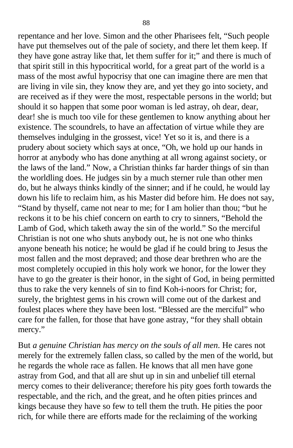repentance and her love. Simon and the other Pharisees felt, "Such people have put themselves out of the pale of society, and there let them keep. If they have gone astray like that, let them suffer for it;" and there is much of that spirit still in this hypocritical world, for a great part of the world is a mass of the most awful hypocrisy that one can imagine there are men that are living in vile sin, they know they are, and yet they go into society, and are received as if they were the most, respectable persons in the world; but should it so happen that some poor woman is led astray, oh dear, dear, dear! she is much too vile for these gentlemen to know anything about her existence. The scoundrels, to have an affectation of virtue while they are themselves indulging in the grossest, vice! Yet so it is, and there is a prudery about society which says at once, "Oh, we hold up our hands in horror at anybody who has done anything at all wrong against society, or the laws of the land." Now, a Christian thinks far harder things of sin than the worldling does. He judges sin by a much sterner rule than other men do, but he always thinks kindly of the sinner; and if he could, he would lay down his life to reclaim him, as his Master did before him. He does not say, "Stand by thyself, came not near to me; for I am holier than thou; "but he reckons it to be his chief concern on earth to cry to sinners, "Behold the Lamb of God, which taketh away the sin of the world." So the merciful Christian is not one who shuts anybody out, he is not one who thinks anyone beneath his notice; he would be glad if he could bring to Jesus the most fallen and the most depraved; and those dear brethren who are the most completely occupied in this holy work we honor, for the lower they have to go the greater is their honor, in the sight of God, in being permitted thus to rake the very kennels of sin to find Koh-i-noors for Christ; for, surely, the brightest gems in his crown will come out of the darkest and foulest places where they have been lost. "Blessed are the merciful" who care for the fallen, for those that have gone astray, "for they shall obtain mercy."

But *a genuine Christian has mercy on the souls of all men*. He cares not merely for the extremely fallen class, so called by the men of the world, but he regards the whole race as fallen. He knows that all men have gone astray from God, and that all are shut up in sin and unbelief till eternal mercy comes to their deliverance; therefore his pity goes forth towards the respectable, and the rich, and the great, and he often pities princes and kings because they have so few to tell them the truth. He pities the poor rich, for while there are efforts made for the reclaiming of the working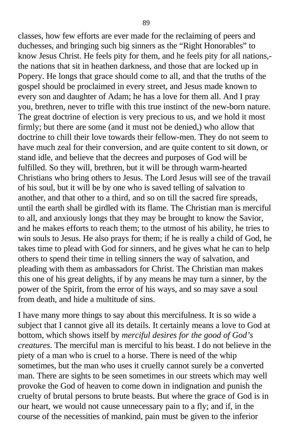classes, how few efforts are ever made for the reclaiming of peers and duchesses, and bringing such big sinners as the "Right Honorables" to know Jesus Christ. He feels pity for them, and he feels pity for all nations, the nations that sit in heathen darkness, and those that are locked up in Popery. He longs that grace should come to all, and that the truths of the gospel should be proclaimed in every street, and Jesus made known to every son and daughter of Adam; he has a love for them all. And I pray you, brethren, never to trifle with this true instinct of the new-born nature. The great doctrine of election is very precious to us, and we hold it most firmly; but there are some (and it must not be denied,) who allow that doctrine to chill their love towards their fellow-men. They do not seem to have much zeal for their conversion, and are quite content to sit down, or stand idle, and believe that the decrees and purposes of God will be fulfilled. So they will, brethren, but it will be through warm-hearted Christians who bring others to Jesus. The Lord Jesus will see of the travail of his soul, but it will be by one who is saved telling of salvation to another, and that other to a third, and so on till the sacred fire spreads, until the earth shall be girdled with its flame. The Christian man is merciful to all, and anxiously longs that they may be brought to know the Savior, and he makes efforts to reach them; to the utmost of his ability, he tries to win souls to Jesus. He also prays for them; if he is really a child of God, he takes time to plead with God for sinners, and he gives what he can to help others to spend their time in telling sinners the way of salvation, and pleading with them as ambassadors for Christ. The Christian man makes this one of his great delights, if by any means he may turn a sinner, by the power of the Spirit, from the error of his ways, and so may save a soul from death, and hide a multitude of sins.

I have many more things to say about this mercifulness. It is so wide a subject that I cannot give all its details. It certainly means a love to God at bottom, which shows itself by *merciful desires for the good of God's creatures*. The merciful man is merciful to his beast. I do not believe in the piety of a man who is cruel to a horse. There is need of the whip sometimes, but the man who uses it cruelly cannot surely be a converted man. There are sights to be seen sometimes in our streets which may well provoke the God of heaven to come down in indignation and punish the cruelty of brutal persons to brute beasts. But where the grace of God is in our heart, we would not cause unnecessary pain to a fly; and if, in the course of the necessities of mankind, pain must be given to the inferior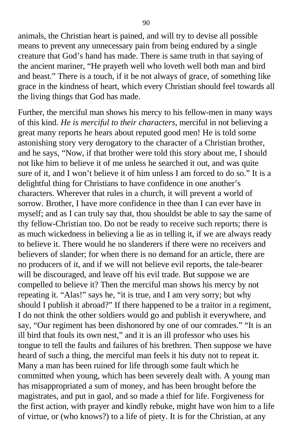animals, the Christian heart is pained, and will try to devise all possible means to prevent any unnecessary pain from being endured by a single creature that God's hand has made. There is same truth in that saying of the ancient mariner, "He prayeth well who loveth well both man and bird and beast." There is a touch, if it be not always of grace, of something like grace in the kindness of heart, which every Christian should feel towards all the living things that God has made.

Further, the merciful man shows his mercy to his fellow-men in many ways of this kind. *He is merciful to their characters*, merciful in not believing a great many reports he hears about reputed good men! He is told some astonishing story very derogatory to the character of a Christian brother, and he says, "Now, if that brother were told this story about me, I should not like him to believe it of me unless he searched it out, and was quite sure of it, and I won't believe it of him unless I am forced to do so." It is a delightful thing for Christians to have confidence in one another's characters. Wherever that rules in a church, it will prevent a world of sorrow. Brother, I have more confidence in thee than I can ever have in myself; and as I can truly say that, thou shouldst be able to say the same of thy fellow-Christian too. Do not be ready to receive such reports; there is as much wickedness in believing a lie as in telling it, if we are always ready to believe it. There would he no slanderers if there were no receivers and believers of slander; for when there is no demand for an article, there are no producers of it, and if we will not believe evil reports, the tale-bearer will be discouraged, and leave off his evil trade. But suppose we are compelled to believe it? Then the merciful man shows his mercy by not repeating it. "Alas!" says he, "it is true, and I am very sorry; but why should I publish it abroad?" If there happened to be a traitor in a regiment, I do not think the other soldiers would go and publish it everywhere, and say, "Our regiment has been dishonored by one of our comrades." "It is an ill bird that fouls its own nest," and it is an ill professor who uses his tongue to tell the faults and failures of his brethren. Then suppose we have heard of such a thing, the merciful man feels it his duty not to repeat it. Many a man has been ruined for life through some fault which he committed when young, which has been severely dealt with. A young man has misappropriated a sum of money, and has been brought before the magistrates, and put in gaol, and so made a thief for life. Forgiveness for the first action, with prayer and kindly rebuke, might have won him to a life of virtue, or (who knows?) to a life of piety. It is for the Christian, at any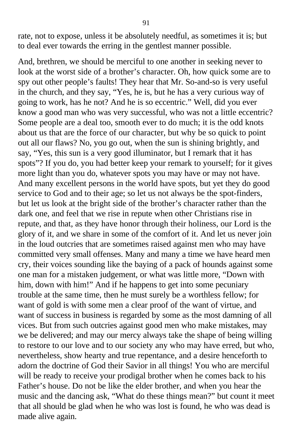rate, not to expose, unless it be absolutely needful, as sometimes it is; but to deal ever towards the erring in the gentlest manner possible.

And, brethren, we should be merciful to one another in seeking never to look at the worst side of a brother's character. Oh, how quick some are to spy out other people's faults! They hear that Mr. So-and-so is very useful in the church, and they say, "Yes, he is, but he has a very curious way of going to work, has he not? And he is so eccentric." Well, did you ever know a good man who was very successful, who was not a little eccentric? Some people are a deal too, smooth ever to do much; it is the odd knots about us that are the force of our character, but why be so quick to point out all our flaws? No, you go out, when the sun is shining brightly, and say, "Yes, this sun is a very good illuminator, but I remark that it has spots"? If you do, you had better keep your remark to yourself; for it gives more light than you do, whatever spots you may have or may not have. And many excellent persons in the world have spots, but yet they do good service to God and to their age; so let us not always be the spot-finders, but let us look at the bright side of the brother's character rather than the dark one, and feel that we rise in repute when other Christians rise in repute, and that, as they have honor through their holiness, our Lord is the glory of it, and we share in some of the comfort of it. And let us never join in the loud outcries that are sometimes raised against men who may have committed very small offenses. Many and many a time we have heard men cry, their voices sounding like the baying of a pack of hounds against some one man for a mistaken judgement, or what was little more, "Down with him, down with him!" And if he happens to get into some pecuniary trouble at the same time, then he must surely be a worthless fellow; for want of gold is with some men a clear proof of the want of virtue, and want of success in business is regarded by some as the most damning of all vices. But from such outcries against good men who make mistakes, may we be delivered; and may our mercy always take the shape of being willing to restore to our love and to our society any who may have erred, but who, nevertheless, show hearty and true repentance, and a desire henceforth to adorn the doctrine of God their Savior in all things! You who are merciful will be ready to receive your prodigal brother when he comes back to his Father's house. Do not be like the elder brother, and when you hear the music and the dancing ask, "What do these things mean?" but count it meet that all should be glad when he who was lost is found, he who was dead is made alive again.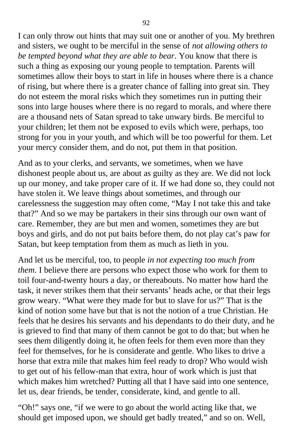I can only throw out hints that may suit one or another of you. My brethren and sisters, we ought to be merciful in the sense of *not allowing others to be tempted beyond what they are able to bear*. You know that there is such a thing as exposing our young people to temptation. Parents will sometimes allow their boys to start in life in houses where there is a chance of rising, but where there is a greater chance of falling into great sin. They do not esteem the moral risks which they sometimes run in putting their sons into large houses where there is no regard to morals, and where there are a thousand nets of Satan spread to take unwary birds. Be merciful to your children; let them not be exposed to evils which were, perhaps, too strong for you in your youth, and which will be too powerful for them. Let your mercy consider them, and do not, put them in that position.

And as to your clerks, and servants, we sometimes, when we have dishonest people about us, are about as guilty as they are. We did not lock up our money, and take proper care of it. If we had done so, they could not have stolen it. We leave things about sometimes, and through our carelessness the suggestion may often come, "May I not take this and take that?" And so we may be partakers in their sins through our own want of care. Remember, they are but men and women, sometimes they are but boys and girls, and do not put baits before them, do not play cat's paw for Satan, but keep temptation from them as much as lieth in you.

And let us be merciful, too, to people *in not expecting too much from them*. I believe there are persons who expect those who work for them to toil four-and-twenty hours a day, or thereabouts. No matter how hard the task, it never strikes them that their servants' heads ache, or that their legs grow weary. "What were they made for but to slave for us?" That is the kind of notion some have but that is not the notion of a true Christian. He feels that he desires his servants and his dependants to do their duty, and he is grieved to find that many of them cannot be got to do that; but when he sees them diligently doing it, he often feels for them even more than they feel for themselves, for he is considerate and gentle. Who likes to drive a horse that extra mile that makes him feel ready to drop? Who would wish to get out of his fellow-man that extra, hour of work which is just that which makes him wretched? Putting all that I have said into one sentence, let us, dear friends, be tender, considerate, kind, and gentle to all.

"Oh!" says one, "if we were to go about the world acting like that, we should get imposed upon, we should get badly treated," and so on. Well,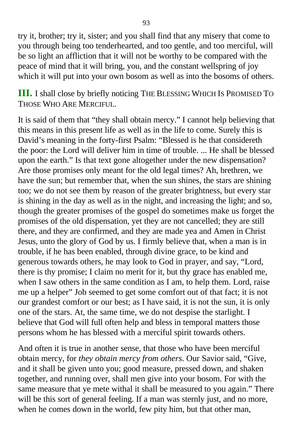try it, brother; try it, sister; and you shall find that any misery that come to you through being too tenderhearted, and too gentle, and too merciful, will be so light an affliction that it will not be worthy to be compared with the peace of mind that it will bring, you, and the constant wellspring of joy which it will put into your own bosom as well as into the bosoms of others.

**III.** I shall close by briefly noticing THE BLESSING WHICH IS PROMISED T<sup>O</sup> THOSE WHO ARE MERCIFUL.

It is said of them that "they shall obtain mercy." I cannot help believing that this means in this present life as well as in the life to come. Surely this is David's meaning in the forty-first Psalm: "Blessed is he that considereth the poor: the Lord will deliver him in time of trouble. ... He shall be blessed upon the earth." Is that text gone altogether under the new dispensation? Are those promises only meant for the old legal times? Ah, brethren, we have the sun; but remember that, when the sun shines, the stars are shining too; we do not see them by reason of the greater brightness, but every star is shining in the day as well as in the night, and increasing the light; and so, though the greater promises of the gospel do sometimes make us forget the promises of the old dispensation, yet they are not cancelled; they are still there, and they are confirmed, and they are made yea and Amen in Christ Jesus, unto the glory of God by us. I firmly believe that, when a man is in trouble, if he has been enabled, through divine grace, to be kind and generous towards others, he may look to God in prayer, and say, "Lord, there is thy promise; I claim no merit for it, but thy grace has enabled me, when I saw others in the same condition as I am, to help them. Lord, raise me up a helper" Job seemed to get some comfort out of that fact; it is not our grandest comfort or our best; as I have said, it is not the sun, it is only one of the stars. At, the same time, we do not despise the starlight. I believe that God will full often help and bless in temporal matters those persons whom he has blessed with a merciful spirit towards others.

And often it is true in another sense, that those who have been merciful obtain mercy, for *they obtain mercy from others*. Our Savior said, "Give, and it shall be given unto you; good measure, pressed down, and shaken together, and running over, shall men give into your bosom. For with the same measure that ye mete withal it shall be measured to you again." There will be this sort of general feeling. If a man was sternly just, and no more, when he comes down in the world, few pity him, but that other man,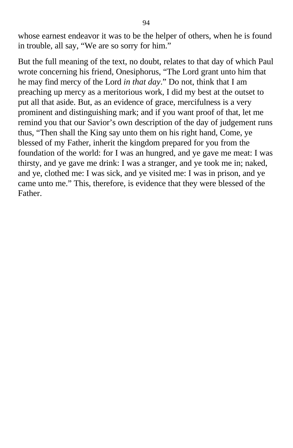whose earnest endeavor it was to be the helper of others, when he is found in trouble, all say, "We are so sorry for him."

But the full meaning of the text, no doubt, relates to that day of which Paul wrote concerning his friend, Onesiphorus, "The Lord grant unto him that he may find mercy of the Lord *in that day*." Do not, think that I am preaching up mercy as a meritorious work, I did my best at the outset to put all that aside. But, as an evidence of grace, mercifulness is a very prominent and distinguishing mark; and if you want proof of that, let me remind you that our Savior's own description of the day of judgement runs thus, "Then shall the King say unto them on his right hand, Come, ye blessed of my Father, inherit the kingdom prepared for you from the foundation of the world: for I was an hungred, and ye gave me meat: I was thirsty, and ye gave me drink: I was a stranger, and ye took me in; naked, and ye, clothed me: I was sick, and ye visited me: I was in prison, and ye came unto me." This, therefore, is evidence that they were blessed of the Father.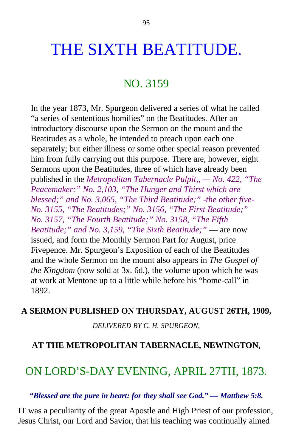# THE SIXTH BEATITUDE.

### NO. 3159

In the year 1873, Mr. Spurgeon delivered a series of what he called "a series of sententious homilies" on the Beatitudes. After an introductory discourse upon the Sermon on the mount and the Beatitudes as a whole, he intended to preach upon each one separately; but either illness or some other special reason prevented him from fully carrying out this purpose. There are, however, eight Sermons upon the Beatitudes, three of which have already been published in the *Metropolitan Tabernacle Pulpit,, — No. 422, "The Peacemaker:" No. 2,103, "The Hunger and Thirst which are blessed;" and No. 3,065, "The Third Beatitude;" -the other five-No. 3155, "The Beatitudes;" No. 3156, "The First Beatitude;" No. 3157, "The Fourth Beatitude;" No. 3158, "The Fifth Beatitude;" and No. 3,159, "The Sixth Beatitude;"* — are now issued, and form the Monthly Sermon Part for August, price Fivepence. Mr. Spurgeon's Exposition of each of the Beatitudes and the whole Sermon on the mount also appears in *The Gospel of the Kingdom* (now sold at 3x. 6d.), the volume upon which he was at work at Mentone up to a little while before his "home-call" in 1892.

### **A SERMON PUBLISHED ON THURSDAY, AUGUST 26TH, 1909,**

*DELIVERED BY C. H. SPURGEON,*

### **AT THE METROPOLITAN TABERNACLE, NEWINGTON,**

## ON LORD'S-DAY EVENING, APRIL 27TH, 1873.

### *"Blessed are the pure in heart: for they shall see God." — Matthew 5:8.*

IT was a peculiarity of the great Apostle and High Priest of our profession, Jesus Christ, our Lord and Savior, that his teaching was continually aimed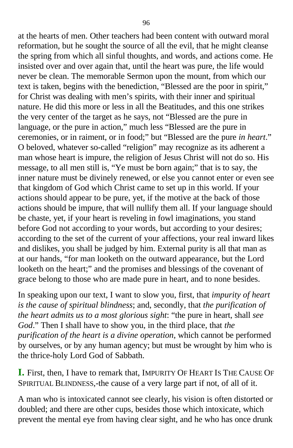at the hearts of men. Other teachers had been content with outward moral reformation, but he sought the source of all the evil, that he might cleanse the spring from which all sinful thoughts, and words, and actions come. He insisted over and over again that, until the heart was pure, the life would never be clean. The memorable Sermon upon the mount, from which our text is taken, begins with the benediction, "Blessed are the poor in spirit," for Christ was dealing with men's spirits, with their inner and spiritual nature. He did this more or less in all the Beatitudes, and this one strikes the very center of the target as he says, not "Blessed are the pure in language, or the pure in action," much less "Blessed are the pure in ceremonies, or in raiment, or in food;" but "Blessed are the pure *in heart*." O beloved, whatever so-called "religion" may recognize as its adherent a man whose heart is impure, the religion of Jesus Christ will not do so. His message, to all men still is, "Ye must be born again;" that is to say, the inner nature must be divinely renewed, or else you cannot enter or even see that kingdom of God which Christ came to set up in this world. If your actions should appear to be pure, yet, if the motive at the back of those actions should be impure, that will nullify them all. If your language should be chaste, yet, if your heart is reveling in fowl imaginations, you stand before God not according to your words, but according to your desires; according to the set of the current of your affections, your real inward likes and dislikes, you shall be judged by him. External purity is all that man as at our hands, "for man looketh on the outward appearance, but the Lord looketh on the heart;" and the promises and blessings of the covenant of grace belong to those who are made pure in heart, and to none besides.

In speaking upon our text, I want to slow you, first, that *impurity of heart is the cause of spiritual blindness*; and, secondly, that *the purification of the heart admits us to a most glorious sight*: "the pure in heart, shall *see God*." Then I shall have to show you, in the third place, that *the purification of the heart is a divine operation*, which cannot be performed by ourselves, or by any human agency; but must be wrought by him who is the thrice-holy Lord God of Sabbath.

**I.** First, then, I have to remark that, IMPURITY OF HEART IS THE CAUSE O<sup>F</sup> SPIRITUAL BLINDNESS,-the cause of a very large part if not, of all of it.

A man who is intoxicated cannot see clearly, his vision is often distorted or doubled; and there are other cups, besides those which intoxicate, which prevent the mental eye from having clear sight, and he who has once drunk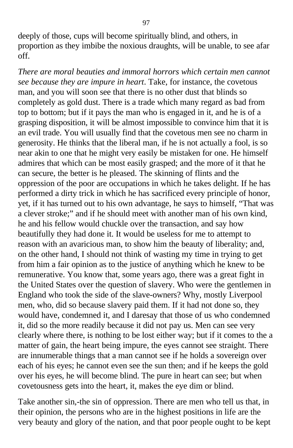deeply of those, cups will become spiritually blind, and others, in proportion as they imbibe the noxious draughts, will be unable, to see afar off.

*There are moral beauties and immoral horrors which certain men cannot see because they are impure in heart*. Take, for instance, the covetous man, and you will soon see that there is no other dust that blinds so completely as gold dust. There is a trade which many regard as bad from top to bottom; but if it pays the man who is engaged in it, and he is of a grasping disposition, it will be almost impossible to convince him that it is an evil trade. You will usually find that the covetous men see no charm in generosity. He thinks that the liberal man, if he is not actually a fool, is so near akin to one that he might very easily be mistaken for one. He himself admires that which can be most easily grasped; and the more of it that he can secure, the better is he pleased. The skinning of flints and the oppression of the poor are occupations in which he takes delight. If he has performed a dirty trick in which he has sacrificed every principle of honor, yet, if it has turned out to his own advantage, he says to himself, "That was a clever stroke;" and if he should meet with another man of his own kind, he and his fellow would chuckle over the transaction, and say how beautifully they had done it. It would be useless for me to attempt to reason with an avaricious man, to show him the beauty of liberality; and, on the other hand, I should not think of wasting my time in trying to get from him a fair opinion as to the justice of anything which he knew to be remunerative. You know that, some years ago, there was a great fight in the United States over the question of slavery. Who were the gentlemen in England who took the side of the slave-owners? Why, mostly Liverpool men, who, did so because slavery paid them. If it had not done so, they would have, condemned it, and I daresay that those of us who condemned it, did so the more readily because it did not pay us. Men can see very clearly where there, is nothing to be lost either way; but if it comes to the a matter of gain, the heart being impure, the eyes cannot see straight. There are innumerable things that a man cannot see if he holds a sovereign over each of his eyes; he cannot even see the sun then; and if he keeps the gold over his eyes, he will become blind. The pure in heart can see; but when covetousness gets into the heart, it, makes the eye dim or blind.

Take another sin,-the sin of oppression. There are men who tell us that, in their opinion, the persons who are in the highest positions in life are the very beauty and glory of the nation, and that poor people ought to be kept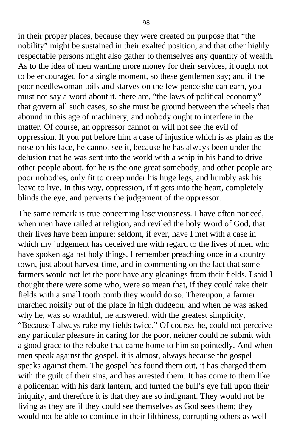in their proper places, because they were created on purpose that "the nobility" might be sustained in their exalted position, and that other highly respectable persons might also gather to themselves any quantity of wealth. As to the idea of men wanting more money for their services, it ought not to be encouraged for a single moment, so these gentlemen say; and if the poor needlewoman toils and starves on the few pence she can earn, you must not say a word about it, there are, "the laws of political economy" that govern all such cases, so she must be ground between the wheels that abound in this age of machinery, and nobody ought to interfere in the matter. Of course, an oppressor cannot or will not see the evil of oppression. If you put before him a case of injustice which is as plain as the nose on his face, he cannot see it, because he has always been under the delusion that he was sent into the world with a whip in his hand to drive other people about, for he is the one great somebody, and other people are poor nobodies, only fit to creep under his huge legs, and humbly ask his leave to live. In this way, oppression, if it gets into the heart, completely blinds the eye, and perverts the judgement of the oppressor.

The same remark is true concerning lasciviousness. I have often noticed, when men have railed at religion, and reviled the holy Word of God, that their lives have been impure; seldom, if ever, have I met with a case in which my judgement has deceived me with regard to the lives of men who have spoken against holy things. I remember preaching once in a country town, just about harvest time, and in commenting on the fact that some farmers would not let the poor have any gleanings from their fields, I said I thought there were some who, were so mean that, if they could rake their fields with a small tooth comb they would do so. Thereupon, a farmer marched noisily out of the place in high dudgeon, and when he was asked why he, was so wrathful, he answered, with the greatest simplicity, "Because I always rake my fields twice." Of course, he, could not perceive any particular pleasure in caring for the poor, neither could he submit with a good grace to the rebuke that came home to him so pointedly. And when men speak against the gospel, it is almost, always because the gospel speaks against them. The gospel has found them out, it has charged them with the guilt of their sins, and has arrested them. It has come to them like a policeman with his dark lantern, and turned the bull's eye full upon their iniquity, and therefore it is that they are so indignant. They would not be living as they are if they could see themselves as God sees them; they would not be able to continue in their filthiness, corrupting others as well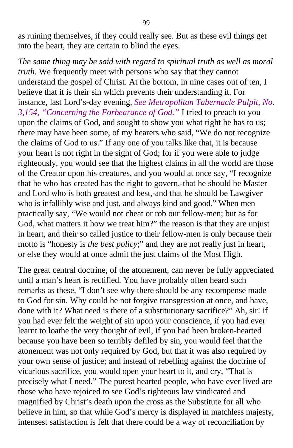as ruining themselves, if they could really see. But as these evil things get into the heart, they are certain to blind the eyes.

*The same thing may be said with regard to spiritual truth as well as moral truth*. We frequently meet with persons who say that they cannot understand the gospel of Christ. At the bottom, in nine cases out of ten, I believe that it is their sin which prevents their understanding it. For instance, last Lord's-day evening, *See Metropolitan Tabernacle Pulpit, No. 3,154, "Concerning the Forbearance of God."* I tried to preach to you upon the claims of God, and sought to show you what right he has to us; there may have been some, of my hearers who said, "We do not recognize the claims of God to us." If any one of you talks like that, it is because your heart is not right in the sight of God; for if you were able to judge righteously, you would see that the highest claims in all the world are those of the Creator upon his creatures, and you would at once say, "I recognize that he who has created has the right to govern,-that he should be Master and Lord who is both greatest and best,-and that he should be Lawgiver who is infallibly wise and just, and always kind and good." When men practically say, "We would not cheat or rob our fellow-men; but as for God, what matters it how we treat him?" the reason is that they are unjust in heart, and their so called justice to their fellow-men is only because their motto is "honesty is *the best policy*;" and they are not really just in heart, or else they would at once admit the just claims of the Most High.

The great central doctrine, of the atonement, can never be fully appreciated until a man's heart is rectified. You have probably often heard such remarks as these, "I don't see why there should be any recompense made to God for sin. Why could he not forgive transgression at once, and have, done with it? What need is there of a substitutionary sacrifice?" Ah, sir! if you had ever felt the weight of sin upon your conscience, if you had ever learnt to loathe the very thought of evil, if you had been broken-hearted because you have been so terribly defiled by sin, you would feel that the atonement was not only required by God, but that it was also required by your own sense of justice; and instead of rebelling against the doctrine of vicarious sacrifice, you would open your heart to it, and cry, "That is precisely what I need." The purest hearted people, who have ever lived are those who have rejoiced to see God's righteous law vindicated and magnified by Christ's death upon the cross as the Substitute for all who believe in him, so that while God's mercy is displayed in matchless majesty, intensest satisfaction is felt that there could be a way of reconciliation by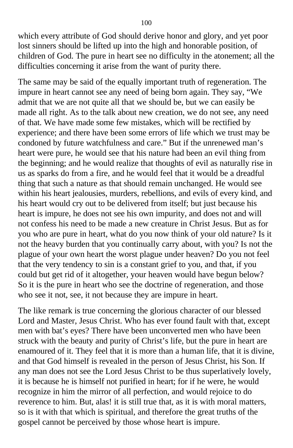which every attribute of God should derive honor and glory, and yet poor lost sinners should be lifted up into the high and honorable position, of children of God. The pure in heart see no difficulty in the atonement; all the difficulties concerning it arise from the want of purity there.

The same may be said of the equally important truth of regeneration. The impure in heart cannot see any need of being born again. They say, "We admit that we are not quite all that we should be, but we can easily be made all right. As to the talk about new creation, we do not see, any need of that. We have made some few mistakes, which will be rectified by experience; and there have been some errors of life which we trust may be condoned by future watchfulness and care." But if the unrenewed man's heart were pure, he would see that his nature had been an evil thing from the beginning; and he would realize that thoughts of evil as naturally rise in us as sparks do from a fire, and he would feel that it would be a dreadful thing that such a nature as that should remain unchanged. He would see within his heart jealousies, murders, rebellions, and evils of every kind, and his heart would cry out to be delivered from itself; but just because his heart is impure, he does not see his own impurity, and does not and will not confess his need to be made a new creature in Christ Jesus. But as for you who are pure in heart, what do you now think of your old nature? Is it not the heavy burden that you continually carry about, with you? Is not the plague of your own heart the worst plague under heaven? Do you not feel that the very tendency to sin is a constant grief to you, and that, if you could but get rid of it altogether, your heaven would have begun below? So it is the pure in heart who see the doctrine of regeneration, and those who see it not, see, it not because they are impure in heart.

The like remark is true concerning the glorious character of our blessed Lord and Master, Jesus Christ. Who has ever found fault with that, except men with bat's eyes? There have been unconverted men who have been struck with the beauty and purity of Christ's life, but the pure in heart are enamoured of it. They feel that it is more than a human life, that it is divine, and that God himself is revealed in the person of Jesus Christ, his Son. If any man does not see the Lord Jesus Christ to be thus superlatively lovely, it is because he is himself not purified in heart; for if he were, he would recognize in him the mirror of all perfection, and would rejoice to do reverence to him. But, alas! it is still true that, as it is with moral matters, so is it with that which is spiritual, and therefore the great truths of the gospel cannot be perceived by those whose heart is impure.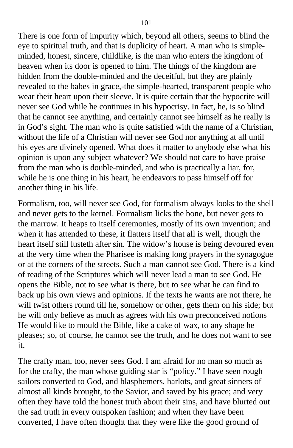There is one form of impurity which, beyond all others, seems to blind the eye to spiritual truth, and that is duplicity of heart. A man who is simpleminded, honest, sincere, childlike, is the man who enters the kingdom of heaven when its door is opened to him. The things of the kingdom are hidden from the double-minded and the deceitful, but they are plainly revealed to the babes in grace,-the simple-hearted, transparent people who wear their heart upon their sleeve. It is quite certain that the hypocrite will never see God while he continues in his hypocrisy. In fact, he, is so blind that he cannot see anything, and certainly cannot see himself as he really is in God's sight. The man who is quite satisfied with the name of a Christian, without the life of a Christian will never see God nor anything at all until his eyes are divinely opened. What does it matter to anybody else what his opinion is upon any subject whatever? We should not care to have praise from the man who is double-minded, and who is practically a liar, for, while he is one thing in his heart, he endeavors to pass himself off for another thing in his life.

Formalism, too, will never see God, for formalism always looks to the shell and never gets to the kernel. Formalism licks the bone, but never gets to the marrow. It heaps to itself ceremonies, mostly of its own invention; and when it has attended to these, it flatters itself that all is well, though the heart itself still lusteth after sin. The widow's house is being devoured even at the very time when the Pharisee is making long prayers in the synagogue or at the corners of the streets. Such a man cannot see God. There is a kind of reading of the Scriptures which will never lead a man to see God. He opens the Bible, not to see what is there, but to see what he can find to back up his own views and opinions. If the texts he wants are not there, he will twist others round till he, somehow or other, gets them on his side; but he will only believe as much as agrees with his own preconceived notions He would like to mould the Bible, like a cake of wax, to any shape he pleases; so, of course, he cannot see the truth, and he does not want to see it.

The crafty man, too, never sees God. I am afraid for no man so much as for the crafty, the man whose guiding star is "policy." I have seen rough sailors converted to God, and blasphemers, harlots, and great sinners of almost all kinds brought, to the Savior, and saved by his grace; and very often they have told the honest truth about their sins, and have blurted out the sad truth in every outspoken fashion; and when they have been converted, I have often thought that they were like the good ground of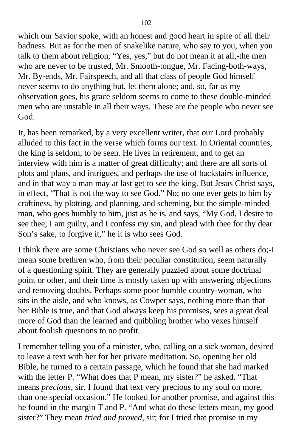which our Savior spoke, with an honest and good heart in spite of all their badness. But as for the men of snakelike nature, who say to you, when you talk to them about religion, "Yes, yes," but do not mean it at all,-the men who are never to be trusted, Mr. Smooth-tongue, Mr. Facing-both-ways, Mr. By-ends, Mr. Fairspeech, and all that class of people God himself never seems to do anything but, let them alone; and, so, far as my observation goes, his grace seldom seems to come to these double-minded men who are unstable in all their ways. These are the people who never see God.

It, has been remarked, by a very excellent writer, that our Lord probably alluded to this fact in the verse which forms our text. In Oriental countries, the king is seldom, to be seen. He lives in retirement, and to get an interview with him is a matter of great difficulty; and there are all sorts of plots and plans, and intrigues, and perhaps the use of backstairs influence, and in that way a man may at last get to see the king. But Jesus Christ says, in effect, "That is not the way to see God." No; no one ever gets to him by craftiness, by plotting, and planning, and scheming, but the simple-minded man, who goes humbly to him, just as he is, and says, "My God, I desire to see thee; I am guilty, and I confess my sin, and plead with thee for thy dear Son's sake, to forgive it," he it is who sees God.

I think there are some Christians who never see God so well as others do;-I mean some brethren who, from their peculiar constitution, seem naturally of a questioning spirit. They are generally puzzled about some doctrinal point or other, and their time is mostly taken up with answering objections and removing doubts. Perhaps some poor humble country-woman, who sits in the aisle, and who knows, as Cowper says, nothing more than that her Bible is true, and that God always keep his promises, sees a great deal more of God than the learned and quibbling brother who vexes himself about foolish questions to no profit.

I remember telling you of a minister, who, calling on a sick woman, desired to leave a text with her for her private meditation. So, opening her old Bible, he turned to a certain passage, which he found that she had marked with the letter P. "What does that P mean, my sister?" he asked. "That means *precious*, sir. I found that text very precious to my soul on more, than one special occasion." He looked for another promise, and against this he found in the margin T and P. "And what do these letters mean, my good sister?" They mean *tried and proved*, sir; for I tried that promise in my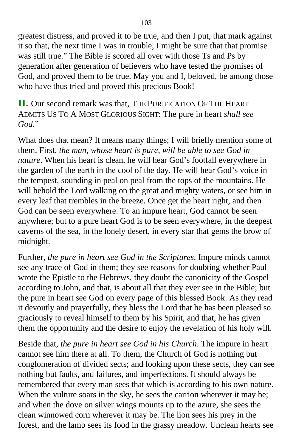greatest distress, and proved it to be true, and then I put, that mark against it so that, the next time I was in trouble, I might be sure that that promise was still true." The Bible is scored all over with those Ts and Ps by generation after generation of believers who have tested the promises of God, and proved them to be true. May you and I, beloved, be among those who have thus tried and proved this precious Book!

**II.** Our second remark was that, THE PURIFICATION OF THE HEART ADMITS US TO A MOST GLORIOUS SIGHT: The pure in heart *shall see God*."

What does that mean? It means many things; I will briefly mention some of them. First, *the man, whose heart is pure, will be able to see God in nature*. When his heart is clean, he will hear God's footfall everywhere in the garden of the earth in the cool of the day. He will hear God's voice in the tempest, sounding in peal on peal from the tops of the mountains. He will behold the Lord walking on the great and mighty waters, or see him in every leaf that trembles in the breeze. Once get the heart right, and then God can be seen everywhere. To an impure heart, God cannot be seen anywhere; but to a pure heart God is to be seen everywhere, in the deepest caverns of the sea, in the lonely desert, in every star that gems the brow of midnight.

Further, *the pure in heart see God in the Scriptures*. Impure minds cannot see any trace of God in them; they see reasons for doubting whether Paul wrote the Epistle to the Hebrews, they doubt the canonicity of the Gospel according to John, and that, is about all that they ever see in the Bible; but the pure in heart see God on every page of this blessed Book. As they read it devoutly and prayerfully, they bless the Lord that he has been pleased so graciously to reveal himself to them by his Spirit, and that, he has given them the opportunity and the desire to enjoy the revelation of his holy will.

Beside that, *the pure in heart see God in his Church*. The impure in heart cannot see him there at all. To them, the Church of God is nothing but conglomeration of divided sects; and looking upon these sects, they can see nothing but faults, and failures, and imperfections. It should always be remembered that every man sees that which is according to his own nature. When the vulture soars in the sky, he sees the carrion wherever it may be; and when the dove on silver wings mounts up to the azure, she sees the clean winnowed corn wherever it may be. The lion sees his prey in the forest, and the lamb sees its food in the grassy meadow. Unclean hearts see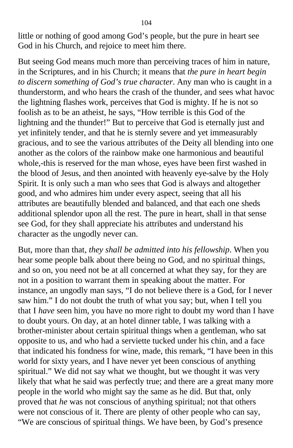little or nothing of good among God's people, but the pure in heart see God in his Church, and rejoice to meet him there.

But seeing God means much more than perceiving traces of him in nature, in the Scriptures, and in his Church; it means that *the pure in heart begin to discern something of God's true character*. Any man who is caught in a thunderstorm, and who hears the crash of the thunder, and sees what havoc the lightning flashes work, perceives that God is mighty. If he is not so foolish as to be an atheist, he says, "How terrible is this God of the lightning and the thunder!" But to perceive that God is eternally just and yet infinitely tender, and that he is sternly severe and yet immeasurably gracious, and to see the various attributes of the Deity all blending into one another as the colors of the rainbow make one harmonious and beautiful whole,-this is reserved for the man whose, eyes have been first washed in the blood of Jesus, and then anointed with heavenly eye-salve by the Holy Spirit. It is only such a man who sees that God is always and altogether good, and who admires him under every aspect, seeing that all his attributes are beautifully blended and balanced, and that each one sheds additional splendor upon all the rest. The pure in heart, shall in that sense see God, for they shall appreciate his attributes and understand his character as the ungodly never can.

But, more than that, *they shall be admitted into his fellowship*. When you hear some people balk about there being no God, and no spiritual things, and so on, you need not be at all concerned at what they say, for they are not in a position to warrant them in speaking about the matter. For instance, an ungodly man says, "I do not believe there is a God, for I never saw him." I do not doubt the truth of what you say; but, when I tell you that I *have* seen him, you have no more right to doubt my word than I have to doubt yours. On day, at an hotel dinner table, I was talking with a brother-minister about certain spiritual things when a gentleman, who sat opposite to us, and who had a serviette tucked under his chin, and a face that indicated his fondness for wine, made, this remark, "I have been in this world for sixty years, and I have never yet been conscious of anything spiritual." We did not say what we thought, but we thought it was very likely that what he said was perfectly true; and there are a great many more people in the world who might say the same as he did. But that, only proved that *he* was not conscious of anything spiritual; not that others were not conscious of it. There are plenty of other people who can say, "We are conscious of spiritual things. We have been, by God's presence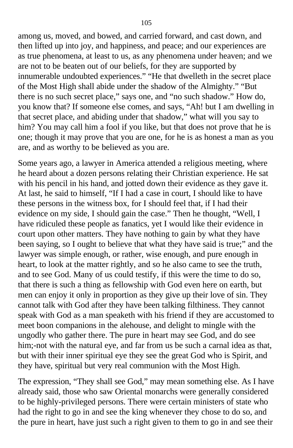among us, moved, and bowed, and carried forward, and cast down, and then lifted up into joy, and happiness, and peace; and our experiences are as true phenomena, at least to us, as any phenomena under heaven; and we are not to be beaten out of our beliefs, for they are supported by innumerable undoubted experiences." "He that dwelleth in the secret place of the Most High shall abide under the shadow of the Almighty." "But there is no such secret place," says one, and "no such shadow." How do, you know that? If someone else comes, and says, "Ah! but I am dwelling in that secret place, and abiding under that shadow," what will you say to him? You may call him a fool if you like, but that does not prove that he is one; though it may prove that you are one, for he is as honest a man as you are, and as worthy to be believed as you are.

Some years ago, a lawyer in America attended a religious meeting, where he heard about a dozen persons relating their Christian experience. He sat with his pencil in his hand, and jotted down their evidence as they gave it. At last, he said to himself, "If I had a case in court, I should like to have these persons in the witness box, for I should feel that, if I had their evidence on my side, I should gain the case." Then he thought, "Well, I have ridiculed these people as fanatics, yet I would like their evidence in court upon other matters. They have nothing to gain by what they have been saying, so I ought to believe that what they have said is true;" and the lawyer was simple enough, or rather, wise enough, and pure enough in heart, to look at the matter rightly, and so he also came to see the truth, and to see God. Many of us could testify, if this were the time to do so, that there is such a thing as fellowship with God even here on earth, but men can enjoy it only in proportion as they give up their love of sin. They cannot talk with God after they have been talking filthiness. They cannot speak with God as a man speaketh with his friend if they are accustomed to meet boon companions in the alehouse, and delight to mingle with the ungodly who gather there. The pure in heart may see God, and do see him;-not with the natural eye, and far from us be such a carnal idea as that, but with their inner spiritual eye they see the great God who is Spirit, and they have, spiritual but very real communion with the Most High.

The expression, "They shall see God," may mean something else. As I have already said, those who saw Oriental monarchs were generally considered to be highly-privileged persons. There were certain ministers of state who had the right to go in and see the king whenever they chose to do so, and the pure in heart, have just such a right given to them to go in and see their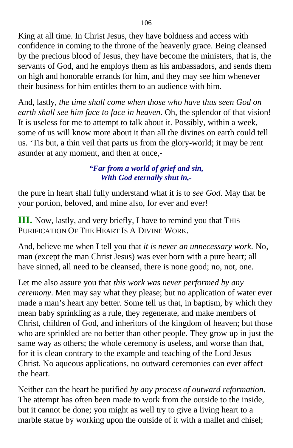King at all time. In Christ Jesus, they have boldness and access with confidence in coming to the throne of the heavenly grace. Being cleansed by the precious blood of Jesus, they have become the ministers, that is, the servants of God, and he employs them as his ambassadors, and sends them on high and honorable errands for him, and they may see him whenever their business for him entitles them to an audience with him.

And, lastly, *the time shall come when those who have thus seen God on earth shall see him face to face in heaven*. Oh, the splendor of that vision! It is useless for me to attempt to talk about it. Possibly, within a week, some of us will know more about it than all the divines on earth could tell us. 'Tis but, a thin veil that parts us from the glory-world; it may be rent asunder at any moment, and then at once,-

### *"Far from a world of grief and sin, With God eternally shut in,-*

the pure in heart shall fully understand what it is to *see God*. May that be your portion, beloved, and mine also, for ever and ever!

**III.** Now, lastly, and very briefly, I have to remind you that THIS PURIFICATION OF THE HEART IS A DIVINE WORK.

And, believe me when I tell you that *it is never an unnecessary work*. No, man (except the man Christ Jesus) was ever born with a pure heart; all have sinned, all need to be cleansed, there is none good; no, not, one.

Let me also assure you that *this work was never performed by any ceremony*. Men may say what they please; but no application of water ever made a man's heart any better. Some tell us that, in baptism, by which they mean baby sprinkling as a rule, they regenerate, and make members of Christ, children of God, and inheritors of the kingdom of heaven; but those who are sprinkled are no better than other people. They grow up in just the same way as others; the whole ceremony is useless, and worse than that, for it is clean contrary to the example and teaching of the Lord Jesus Christ. No aqueous applications, no outward ceremonies can ever affect the heart.

Neither can the heart be purified *by any process of outward reformation*. The attempt has often been made to work from the outside to the inside, but it cannot be done; you might as well try to give a living heart to a marble statue by working upon the outside of it with a mallet and chisel;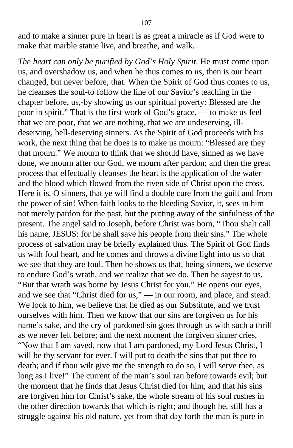and to make a sinner pure in heart is as great a miracle as if God were to make that marble statue live, and breathe, and walk.

*The heart can only be purified by God's Holy Spirit*. He must come upon us, and overshadow us, and when he thus comes to us, then is our heart changed, but never before, that. When the Spirit of God thus comes to us, he cleanses the soul-to follow the line of our Savior's teaching in the chapter before, us,-by showing us our spiritual poverty: Blessed are the poor in spirit." That is the first work of God's grace, — to make us feel that we are poor, that we are nothing, that we are undeserving, illdeserving, hell-deserving sinners. As the Spirit of God proceeds with his work, the next thing that he does is to make us mourn: "Blessed are they that mourn." We mourn to think that we should have, sinned as we have done, we mourn after our God, we mourn after pardon; and then the great process that effectually cleanses the heart is the application of the water and the blood which flowed from the riven side of Christ upon the cross. Here it is, O sinners, that ye will find a double cure from the guilt and from the power of sin! When faith looks to the bleeding Savior, it, sees in him not merely pardon for the past, but the putting away of the sinfulness of the present. The angel said to Joseph, before Christ was born, "Thou shalt call his name, JESUS: for he shall save his people from their sins." The whole process of salvation may be briefly explained thus. The Spirit of God finds us with foul heart, and he comes and throws a divine light into us so that we see that they are foul. Then he shows us that, being sinners, we deserve to endure God's wrath, and we realize that we do. Then he sayest to us, "But that wrath was borne by Jesus Christ for you." He opens our eyes, and we see that "Christ died for us," — in our room, and place, and stead. We look to him, we believe that he died as our Substitute, and we trust ourselves with him. Then we know that our sins are forgiven us for his name's sake, and the cry of pardoned sin goes through us with such a thrill as we never felt before; and the next moment the forgiven sinner cries, "Now that I am saved, now that I am pardoned, my Lord Jesus Christ, I will be thy servant for ever. I will put to death the sins that put thee to death; and if thou wilt give me the strength to do so, I will serve thee, as long as I live!" The current of the man's soul ran before towards evil; but the moment that he finds that Jesus Christ died for him, and that his sins are forgiven him for Christ's sake, the whole stream of his soul rushes in the other direction towards that which is right; and though he, still has a struggle against his old nature, yet from that day forth the man is pure in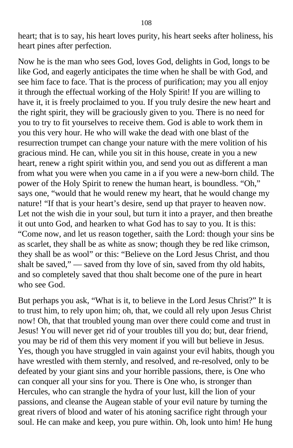heart; that is to say, his heart loves purity, his heart seeks after holiness, his heart pines after perfection.

Now he is the man who sees God, loves God, delights in God, longs to be like God, and eagerly anticipates the time when he shall be with God, and see him face to face. That is the process of purification; may you all enjoy it through the effectual working of the Holy Spirit! If you are willing to have it, it is freely proclaimed to you. If you truly desire the new heart and the right spirit, they will be graciously given to you. There is no need for you to try to fit yourselves to receive them. God is able to work them in you this very hour. He who will wake the dead with one blast of the resurrection trumpet can change your nature with the mere volition of his gracious mind. He can, while you sit in this house, create in you a new heart, renew a right spirit within you, and send you out as different a man from what you were when you came in a if you were a new-born child. The power of the Holy Spirit to renew the human heart, is boundless. "Oh," says one, "would that he would renew my heart, that he would change my nature! "If that is your heart's desire, send up that prayer to heaven now. Let not the wish die in your soul, but turn it into a prayer, and then breathe it out unto God, and hearken to what God has to say to you. It is this: "Come now, and let us reason together, saith the Lord: though your sins be as scarlet, they shall be as white as snow; though they be red like crimson, they shall be as wool" or this: "Believe on the Lord Jesus Christ, and thou shalt be saved," — saved from thy love of sin, saved from thy old habits, and so completely saved that thou shalt become one of the pure in heart who see God.

But perhaps you ask, "What is it, to believe in the Lord Jesus Christ?" It is to trust him, to rely upon him; oh, that, we could all rely upon Jesus Christ now! Oh, that that troubled young man over there could come and trust in Jesus! You will never get rid of your troubles till you do; but, dear friend, you may be rid of them this very moment if you will but believe in Jesus. Yes, though you have struggled in vain against your evil habits, though you have wrestled with them sternly, and resolved, and re-resolved, only to be defeated by your giant sins and your horrible passions, there, is One who can conquer all your sins for you. There is One who, is stronger than Hercules, who can strangle the hydra of your lust, kill the lion of your passions, and cleanse the Augean stable of your evil nature by turning the great rivers of blood and water of his atoning sacrifice right through your soul. He can make and keep, you pure within. Oh, look unto him! He hung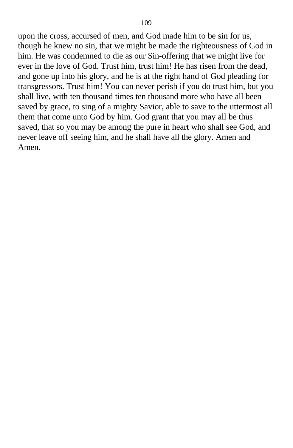upon the cross, accursed of men, and God made him to be sin for us, though he knew no sin, that we might be made the righteousness of God in him. He was condemned to die as our Sin-offering that we might live for ever in the love of God. Trust him, trust him! He has risen from the dead, and gone up into his glory, and he is at the right hand of God pleading for transgressors. Trust him! You can never perish if you do trust him, but you shall live, with ten thousand times ten thousand more who have all been saved by grace, to sing of a mighty Savior, able to save to the uttermost all them that come unto God by him. God grant that you may all be thus saved, that so you may be among the pure in heart who shall see God, and never leave off seeing him, and he shall have all the glory. Amen and Amen.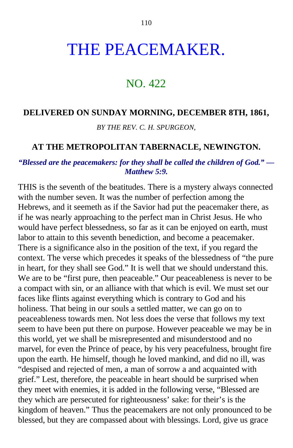# THE PEACEMAKER.

# NO. 422

#### **DELIVERED ON SUNDAY MORNING, DECEMBER 8TH, 1861,**

*BY THE REV. C. H. SPURGEON,*

#### **AT THE METROPOLITAN TABERNACLE, NEWINGTON.**

### *"Blessed are the peacemakers: for they shall be called the children of God." — Matthew 5:9.*

THIS is the seventh of the beatitudes. There is a mystery always connected with the number seven. It was the number of perfection among the Hebrews, and it seemeth as if the Savior had put the peacemaker there, as if he was nearly approaching to the perfect man in Christ Jesus. He who would have perfect blessedness, so far as it can be enjoyed on earth, must labor to attain to this seventh benediction, and become a peacemaker. There is a significance also in the position of the text, if you regard the context. The verse which precedes it speaks of the blessedness of "the pure in heart, for they shall see God." It is well that we should understand this. We are to be "first pure, then peaceable." Our peaceableness is never to be a compact with sin, or an alliance with that which is evil. We must set our faces like flints against everything which is contrary to God and his holiness. That being in our souls a settled matter, we can go on to peaceableness towards men. Not less does the verse that follows my text seem to have been put there on purpose. However peaceable we may be in this world, yet we shall be misrepresented and misunderstood and no marvel, for even the Prince of peace, by his very peacefulness, brought fire upon the earth. He himself, though he loved mankind, and did no ill, was "despised and rejected of men, a man of sorrow a and acquainted with grief." Lest, therefore, the peaceable in heart should be surprised when they meet with enemies, it is added in the following verse, "Blessed are they which are persecuted for righteousness' sake: for their's is the kingdom of heaven." Thus the peacemakers are not only pronounced to be blessed, but they are compassed about with blessings. Lord, give us grace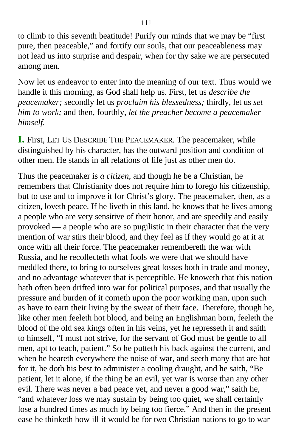to climb to this seventh beatitude! Purify our minds that we may be "first pure, then peaceable," and fortify our souls, that our peaceableness may not lead us into surprise and despair, when for thy sake we are persecuted among men.

Now let us endeavor to enter into the meaning of our text. Thus would we handle it this morning, as God shall help us. First, let us *describe the peacemaker;* secondly let us *proclaim his blessedness;* thirdly, let us *set him to work;* and then, fourthly, *let the preacher become a peacemaker himself.*

**I.** First, LET US DESCRIBE THE PEACEMAKER. The peacemaker, while distinguished by his character, has the outward position and condition of other men. He stands in all relations of life just as other men do.

Thus the peacemaker is *a citizen*, and though he be a Christian, he remembers that Christianity does not require him to forego his citizenship, but to use and to improve it for Christ's glory. The peacemaker, then, as a citizen, loveth peace. If he liveth in this land, he knows that he lives among a people who are very sensitive of their honor, and are speedily and easily provoked — a people who are so pugilistic in their character that the very mention of war stirs their blood, and they feel as if they would go at it at once with all their force. The peacemaker remembereth the war with Russia, and he recollecteth what fools we were that we should have meddled there, to bring to ourselves great losses both in trade and money, and no advantage whatever that is perceptible. He knoweth that this nation hath often been drifted into war for political purposes, and that usually the pressure and burden of it cometh upon the poor working man, upon such as have to earn their living by the sweat of their face. Therefore, though he, like other men feeleth hot blood, and being an Englishman born, feeleth the blood of the old sea kings often in his veins, yet he represseth it and saith to himself, "I must not strive, for the servant of God must be gentle to all men, apt to teach, patient." So he putteth his back against the current, and when he heareth everywhere the noise of war, and seeth many that are hot for it, he doth his best to administer a cooling draught, and he saith, "Be patient, let it alone, if the thing be an evil, yet war is worse than any other evil. There was never a bad peace yet, and never a good war," saith he, "and whatever loss we may sustain by being too quiet, we shall certainly lose a hundred times as much by being too fierce." And then in the present ease he thinketh how ill it would be for two Christian nations to go to war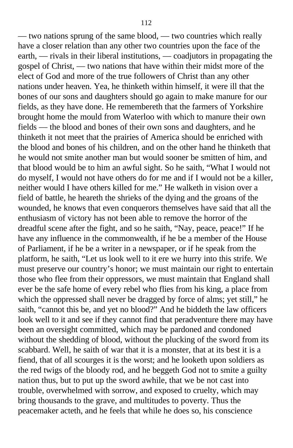— two nations sprung of the same blood, — two countries which really have a closer relation than any other two countries upon the face of the earth, — rivals in their liberal institutions, — coadjutors in propagating the gospel of Christ, — two nations that have within their midst more of the elect of God and more of the true followers of Christ than any other nations under heaven. Yea, he thinketh within himself, it were ill that the bones of our sons and daughters should go again to make manure for our fields, as they have done. He remembereth that the farmers of Yorkshire brought home the mould from Waterloo with which to manure their own fields — the blood and bones of their own sons and daughters, and he thinketh it not meet that the prairies of America should be enriched with the blood and bones of his children, and on the other hand he thinketh that he would not smite another man but would sooner be smitten of him, and that blood would be to him an awful sight. So he saith, "What I would not do myself, I would not have others do for me and if I would not be a killer, neither would I have others killed for me." He walketh in vision over a field of battle, he heareth the shrieks of the dying and the groans of the wounded, he knows that even conquerors themselves have said that all the enthusiasm of victory has not been able to remove the horror of the dreadful scene after the fight, and so he saith, "Nay, peace, peace!" If he have any influence in the commonwealth, if he be a member of the House of Parliament, if he be a writer in a newspaper, or if he speak from the platform, he saith, "Let us look well to it ere we hurry into this strife. We must preserve our country's honor; we must maintain our right to entertain those who flee from their oppressors, we must maintain that England shall ever be the safe home of every rebel who flies from his king, a place from which the oppressed shall never be dragged by force of alms; yet still," he saith, "cannot this be, and yet no blood?" And he biddeth the law officers look well to it and see if they cannot find that peradventure there may have been an oversight committed, which may be pardoned and condoned without the shedding of blood, without the plucking of the sword from its scabbard. Well, he saith of war that it is a monster, that at its best it is a fiend, that of all scourges it is the worst; and he looketh upon soldiers as the red twigs of the bloody rod, and he beggeth God not to smite a guilty nation thus, but to put up the sword awhile, that we be not cast into trouble, overwhelmed with sorrow, and exposed to cruelty, which may bring thousands to the grave, and multitudes to poverty. Thus the peacemaker acteth, and he feels that while he does so, his conscience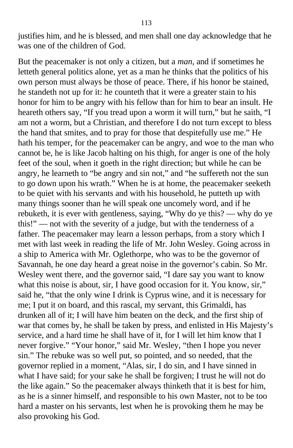justifies him, and he is blessed, and men shall one day acknowledge that he was one of the children of God.

But the peacemaker is not only a citizen, but a *man*, and if sometimes he letteth general politics alone, yet as a man he thinks that the politics of his own person must always be those of peace. There, if his honor be stained, he standeth not up for it: he counteth that it were a greater stain to his honor for him to be angry with his fellow than for him to bear an insult. He heareth others say, "If you tread upon a worm it will turn," but he saith, "I am not a worm, but a Christian, and therefore I do not turn except to bless the hand that smites, and to pray for those that despitefully use me." He hath his temper, for the peacemaker can be angry, and woe to the man who cannot be, he is like Jacob halting on his thigh, for anger is one of the holy feet of the soul, when it goeth in the right direction; but while he can be angry, he learneth to "be angry and sin not," and "he suffereth not the sun to go down upon his wrath." When he is at home, the peacemaker seeketh to be quiet with his servants and with his household, he putteth up with many things sooner than he will speak one uncomely word, and if he rebuketh, it is ever with gentleness, saying, "Why do ye this? — why do ye this!" — not with the severity of a judge, but with the tenderness of a father. The peacemaker may learn a lesson perhaps, from a story which I met with last week in reading the life of Mr. John Wesley. Going across in a ship to America with Mr. Oglethorpe, who was to be the governor of Savannah, he one day heard a great noise in the governor's cabin. So Mr. Wesley went there, and the governor said, "I dare say you want to know what this noise is about, sir, I have good occasion for it. You know, sir," said he, "that the only wine I drink is Cyprus wine, and it is necessary for me; I put it on board, and this rascal, my servant, this Grimaldi, has drunken all of it; I will have him beaten on the deck, and the first ship of war that comes by, he shall be taken by press, and enlisted in His Majesty's service, and a hard time he shall have of it, for I will let him know that I never forgive." "Your honor," said Mr. Wesley, "then I hope you never sin." The rebuke was so well put, so pointed, and so needed, that the governor replied in a moment, "Alas, sir, I do sin, and I have sinned in what I have said; for your sake he shall be forgiven; I trust he will not do the like again." So the peacemaker always thinketh that it is best for him, as he is a sinner himself, and responsible to his own Master, not to be too hard a master on his servants, lest when he is provoking them he may be also provoking his God.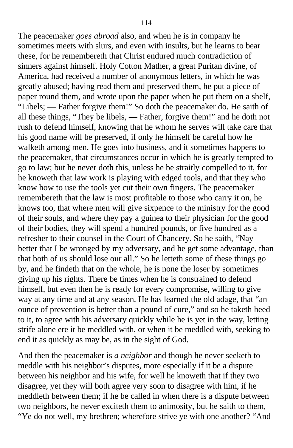The peacemaker *goes abroad* also, and when he is in company he sometimes meets with slurs, and even with insults, but he learns to bear these, for he remembereth that Christ endured much contradiction of sinners against himself. Holy Cotton Mather, a great Puritan divine, of America, had received a number of anonymous letters, in which he was greatly abused; having read them and preserved them, he put a piece of paper round them, and wrote upon the paper when he put them on a shelf, "Libels; — Father forgive them!" So doth the peacemaker do. He saith of all these things, "They be libels, — Father, forgive them!" and he doth not rush to defend himself, knowing that he whom he serves will take care that his good name will be preserved, if only he himself be careful how he walketh among men. He goes into business, and it sometimes happens to the peacemaker, that circumstances occur in which he is greatly tempted to go to law; but he never doth this, unless he be straitly compelled to it, for he knoweth that law work is playing with edged tools, and that they who know how to use the tools yet cut their own fingers. The peacemaker remembereth that the law is most profitable to those who carry it on, he knows too, that where men will give sixpence to the ministry for the good of their souls, and where they pay a guinea to their physician for the good of their bodies, they will spend a hundred pounds, or five hundred as a refresher to their counsel in the Court of Chancery. So he saith, "Nay better that I be wronged by my adversary, and he get some advantage, than that both of us should lose our all." So he letteth some of these things go by, and he findeth that on the whole, he is none the loser by sometimes giving up his rights. There be times when he is constrained to defend himself, but even then he is ready for every compromise, willing to give way at any time and at any season. He has learned the old adage, that "an ounce of prevention is better than a pound of cure," and so he taketh heed to it, to agree with his adversary quickly while he is yet in the way, letting strife alone ere it be meddled with, or when it be meddled with, seeking to end it as quickly as may be, as in the sight of God.

And then the peacemaker is *a neighbor* and though he never seeketh to meddle with his neighbor's disputes, more especially if it be a dispute between his neighbor and his wife, for well he knoweth that if they two disagree, yet they will both agree very soon to disagree with him, if he meddleth between them; if he be called in when there is a dispute between two neighbors, he never exciteth them to animosity, but he saith to them, "Ye do not well, my brethren; wherefore strive ye with one another? "And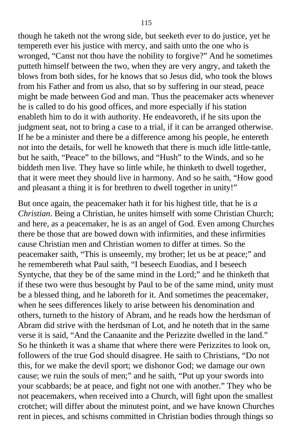though he taketh not the wrong side, but seeketh ever to do justice, yet he tempereth ever his justice with mercy, and saith unto the one who is wronged, "Canst not thou have the nobility to forgive?" And he sometimes putteth himself between the two, when they are very angry, and taketh the blows from both sides, for he knows that so Jesus did, who took the blows from his Father and from us also, that so by suffering in our stead, peace might be made between God and man. Thus the peacemaker acts whenever he is called to do his good offices, and more especially if his station enableth him to do it with authority. He endeavoreth, if he sits upon the judgment seat, not to bring a case to a trial, if it can be arranged otherwise. If he be a minister and there be a difference among his people, he entereth not into the details, for well he knoweth that there is much idle little-tattle, but he saith, "Peace" to the billows, and "Hush" to the Winds, and so he biddeth men live. They have so little while, he thinketh to dwell together, that it were meet they should live in harmony. And so he saith, "How good and pleasant a thing it is for brethren to dwell together in unity!"

But once again, the peacemaker hath it for his highest title, that he is *a Christian*. Being a Christian, he unites himself with some Christian Church; and here, as a peacemaker, he is as an angel of God. Even among Churches there be those that are bowed down with infirmities, and these infirmities cause Christian men and Christian women to differ at times. So the peacemaker saith, "This is unseemly, my brother; let us be at peace;" and he remembereth what Paul saith, "I beseech Euodias, and I beseech Syntyche, that they be of the same mind in the Lord;" and he thinketh that if these two were thus besought by Paul to be of the same mind, unity must be a blessed thing, and he laboreth for it. And sometimes the peacemaker, when he sees differences likely to arise between his denomination and others, turneth to the history of Abram, and he reads how the herdsman of Abram did strive with the herdsman of Lot, and he noteth that in the same verse it is said, "And the Canaanite and the Perizzite dwelled in the land." So he thinketh it was a shame that where there were Perizzites to look on, followers of the true God should disagree. He saith to Christians, "Do not this, for we make the devil sport; we dishonor God; we damage our own cause; we ruin the souls of men;" and he saith, "Put up your swords into your scabbards; be at peace, and fight not one with another." They who be not peacemakers, when received into a Church, will fight upon the smallest crotchet; will differ about the minutest point, and we have known Churches rent in pieces, and schisms committed in Christian bodies through things so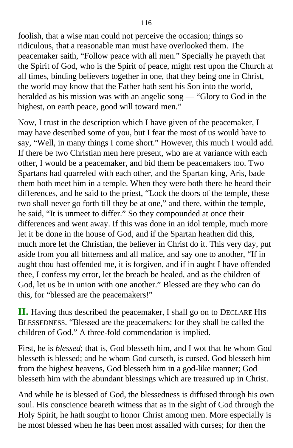foolish, that a wise man could not perceive the occasion; things so ridiculous, that a reasonable man must have overlooked them. The peacemaker saith, "Follow peace with all men." Specially he prayeth that the Spirit of God, who is the Spirit of peace, might rest upon the Church at all times, binding believers together in one, that they being one in Christ, the world may know that the Father hath sent his Son into the world, heralded as his mission was with an angelic song — "Glory to God in the highest, on earth peace, good will toward men."

Now, I trust in the description which I have given of the peacemaker, I may have described some of you, but I fear the most of us would have to say, "Well, in many things I come short." However, this much I would add. If there be two Christian men here present, who are at variance with each other, I would be a peacemaker, and bid them be peacemakers too. Two Spartans had quarreled with each other, and the Spartan king, Aris, bade them both meet him in a temple. When they were both there he heard their differences, and he said to the priest, "Lock the doors of the temple, these two shall never go forth till they be at one," and there, within the temple, he said, "It is unmeet to differ." So they compounded at once their differences and went away. If this was done in an idol temple, much more let it be done in the house of God, and if the Spartan heathen did this, much more let the Christian, the believer in Christ do it. This very day, put aside from you all bitterness and all malice, and say one to another, "If in aught thou hast offended me, it is forgiven, and if in aught I have offended thee, I confess my error, let the breach be healed, and as the children of God, let us be in union with one another." Blessed are they who can do this, for "blessed are the peacemakers!"

**II.** Having thus described the peacemaker, I shall go on to DECLARE HIS BLESSEDNESS. "Blessed are the peacemakers: for they shall be called the children of God." A three-fold commendation is implied.

First, he is *blessed*; that is, God blesseth him, and I wot that he whom God blesseth is blessed; and he whom God curseth, is cursed. God blesseth him from the highest heavens, God blesseth him in a god-like manner; God blesseth him with the abundant blessings which are treasured up in Christ.

And while he is blessed of God, the blessedness is diffused through his own soul. His conscience beareth witness that as in the sight of God through the Holy Spirit, he hath sought to honor Christ among men. More especially is he most blessed when he has been most assailed with curses; for then the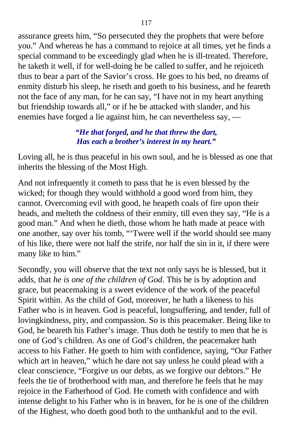assurance greets him, "So persecuted they the prophets that were before you." And whereas he has a command to rejoice at all times, yet he finds a special command to be exceedingly glad when he is ill-treated. Therefore, he taketh it well, if for well-doing he be called to suffer, and he rejoiceth thus to bear a part of the Savior's cross. He goes to his bed, no dreams of enmity disturb his sleep, he riseth and goeth to his business, and he feareth not the face of any man, for he can say, "I have not in my heart anything but friendship towards all," or if he be attacked with slander, and his enemies have forged a lie against him, he can nevertheless say, —

# *"He that forged, and he that threw the dart, Has each a brother's interest in my heart."*

Loving all, he is thus peaceful in his own soul, and he is blessed as one that inherits the blessing of the Most High.

And not infrequently it cometh to pass that he is even blessed by the wicked; for though they would withhold a good word from him, they cannot. Overcoming evil with good, he heapeth coals of fire upon their heads, and melteth the coldness of their enmity, till even they say, "He is a good man." And when he dieth, those whom he hath made at peace with one another, say over his tomb, "'Twere well if the world should see many of his like, there were not half the strife, nor half the sin in it, if there were many like to him."

Secondly, you will observe that the text not only says he is blessed, but it adds, that *he is one of the children of God*. This he is by adoption and grace, but peacemaking is a sweet evidence of the work of the peaceful Spirit within. As the child of God, moreover, he hath a likeness to his Father who is in heaven. God is peaceful, longsuffering, and tender, full of lovingkindness, pity, and compassion. So is this peacemaker. Being like to God, he beareth his Father's image. Thus doth he testify to men that he is one of God's children. As one of God's children, the peacemaker hath access to his Father. He goeth to him with confidence, saying, "Our Father which art in heaven," which he dare not say unless he could plead with a clear conscience, "Forgive us our debts, as we forgive our debtors." He feels the tie of brotherhood with man, and therefore he feels that he may rejoice in the Fatherhood of God. He cometh with confidence and with intense delight to his Father who is in heaven, for he is one of the children of the Highest, who doeth good both to the unthankful and to the evil.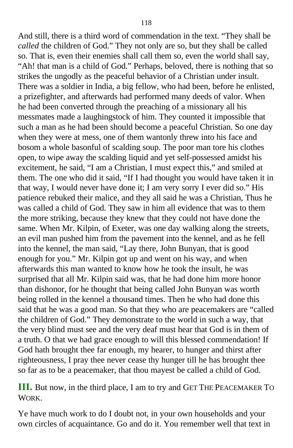And still, there is a third word of commendation in the text. "They shall be *called* the children of God." They not only are so, but they shall be called so. That is, even their enemies shall call them so, even the world shall say, "Ah! that man is a child of God." Perhaps, beloved, there is nothing that so strikes the ungodly as the peaceful behavior of a Christian under insult. There was a soldier in India, a big fellow, who had been, before he enlisted, a prizefighter, and afterwards had performed many deeds of valor. When he had been converted through the preaching of a missionary all his messmates made a laughingstock of him. They counted it impossible that such a man as he had been should become a peaceful Christian. So one day when they were at mess, one of them wantonly threw into his face and bosom a whole basonful of scalding soup. The poor man tore his clothes open, to wipe away the scalding liquid and yet self-possessed amidst his excitement, he said, "I am a Christian, I must expect this," and smiled at them. The one who did it said, "If I had thought you would have taken it in that way, I would never have done it; I am very sorry I ever did so." His patience rebuked their malice, and they all said he was a Christian, Thus he was called a child of God. They saw in him all evidence that was to them the more striking, because they knew that they could not have done the same. When Mr. Kilpin, of Exeter, was one day walking along the streets, an evil man pushed him from the pavement into the kennel, and as he fell into the kennel, the man said, "Lay there, John Bunyan, that is good enough for you." Mr. Kilpin got up and went on his way, and when afterwards this man wanted to know how he took the insult, he was surprised that all Mr. Kilpin said was, that he had done him more honor than dishonor, for he thought that being called John Bunyan was worth being rolled in the kennel a thousand times. Then he who had done this said that he was a good man. So that they who are peacemakers are "called the children of God." They demonstrate to the world in such a way, that the very blind must see and the very deaf must hear that God is in them of a truth. O that we had grace enough to will this blessed commendation! If God hath brought thee far enough, my hearer, to hunger and thirst after righteousness, I pray thee never cease thy hunger till he has brought thee so far as to be a peacemaker, that thou mayest be called a child of God.

**III.** But now, in the third place, I am to try and GET THE PEACEMAKER T<sup>O</sup> WORK.

Ye have much work to do I doubt not, in your own households and your own circles of acquaintance. Go and do it. You remember well that text in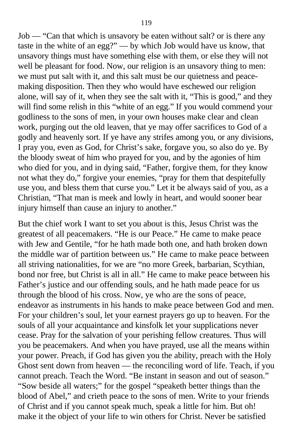Job — "Can that which is unsavory be eaten without salt? or is there any taste in the white of an egg?" — by which Job would have us know, that unsavory things must have something else with them, or else they will not well be pleasant for food. Now, our religion is an unsavory thing to men: we must put salt with it, and this salt must be our quietness and peacemaking disposition. Then they who would have eschewed our religion alone, will say of it, when they see the salt with it, "This is good," and they will find some relish in this "white of an egg." If you would commend your godliness to the sons of men, in your own houses make clear and clean work, purging out the old leaven, that ye may offer sacrifices to God of a godly and heavenly sort. If ye have any strifes among you, or any divisions, I pray you, even as God, for Christ's sake, forgave you, so also do ye. By the bloody sweat of him who prayed for you, and by the agonies of him who died for you, and in dying said, "Father, forgive them, for they know not what they do," forgive your enemies, "pray for them that despitefully use you, and bless them that curse you." Let it be always said of you, as a Christian, "That man is meek and lowly in heart, and would sooner bear injury himself than cause an injury to another."

But the chief work I want to set you about is this, Jesus Christ was the greatest of all peacemakers. "He is our Peace." He came to make peace with Jew and Gentile, "for he hath made both one, and hath broken down the middle war of partition between us." He came to make peace between all striving nationalities, for we are "no more Greek, barbarian, Scythian, bond nor free, but Christ is all in all." He came to make peace between his Father's justice and our offending souls, and he hath made peace for us through the blood of his cross. Now, ye who are the sons of peace, endeavor as instruments in his hands to make peace between God and men. For your children's soul, let your earnest prayers go up to heaven. For the souls of all your acquaintance and kinsfolk let your supplications never cease. Pray for the salvation of your perishing fellow creatures. Thus will you be peacemakers. And when you have prayed, use all the means within your power. Preach, if God has given you the ability, preach with the Holy Ghost sent down from heaven — the reconciling word of life. Teach, if you cannot preach. Teach the Word. "Be instant in season and out of season." "Sow beside all waters;" for the gospel "speaketh better things than the blood of Abel," and crieth peace to the sons of men. Write to your friends of Christ and if you cannot speak much, speak a little for him. But oh! make it the object of your life to win others for Christ. Never be satisfied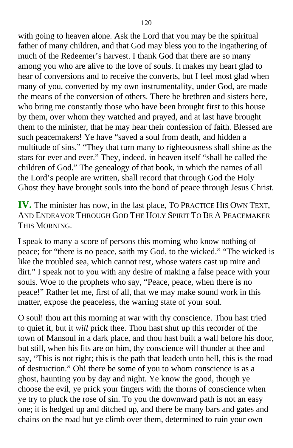with going to heaven alone. Ask the Lord that you may be the spiritual father of many children, and that God may bless you to the ingathering of much of the Redeemer's harvest. I thank God that there are so many among you who are alive to the love of souls. It makes my heart glad to hear of conversions and to receive the converts, but I feel most glad when many of you, converted by my own instrumentality, under God, are made the means of the conversion of others. There be brethren and sisters here, who bring me constantly those who have been brought first to this house by them, over whom they watched and prayed, and at last have brought them to the minister, that he may hear their confession of faith. Blessed are such peacemakers! Ye have "saved a soul from death, and hidden a multitude of sins." "They that turn many to righteousness shall shine as the stars for ever and ever." They, indeed, in heaven itself "shall be called the children of God." The genealogy of that book, in which the names of all the Lord's people are written, shall record that through God the Holy Ghost they have brought souls into the bond of peace through Jesus Christ.

**IV.** The minister has now, in the last place, TO PRACTICE HIS OWN TEXT, AND ENDEAVOR THROUGH GOD THE HOLY SPIRIT TO BE A PEACEMAKER THIS MORNING.

I speak to many a score of persons this morning who know nothing of peace; for "there is no peace, saith my God, to the wicked." "The wicked is like the troubled sea, which cannot rest, whose waters cast up mire and dirt." I speak not to you with any desire of making a false peace with your souls. Woe to the prophets who say, "Peace, peace, when there is no peace!" Rather let me, first of all, that we may make sound work in this matter, expose the peaceless, the warring state of your soul.

O soul! thou art this morning at war with thy conscience. Thou hast tried to quiet it, but it *will* prick thee. Thou hast shut up this recorder of the town of Mansoul in a dark place, and thou hast built a wall before his door, but still, when his fits are on him, thy conscience will thunder at thee and say, "This is not right; this is the path that leadeth unto hell, this is the road of destruction." Oh! there be some of you to whom conscience is as a ghost, haunting you by day and night. Ye know the good, though ye choose the evil, ye prick your fingers with the thorns of conscience when ye try to pluck the rose of sin. To you the downward path is not an easy one; it is hedged up and ditched up, and there be many bars and gates and chains on the road but ye climb over them, determined to ruin your own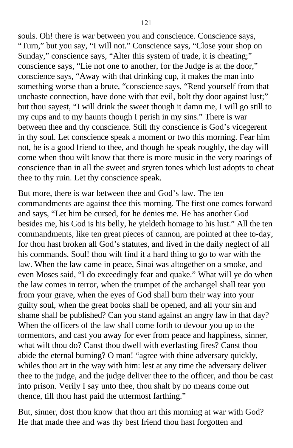souls. Oh! there is war between you and conscience. Conscience says, "Turn," but you say, "I will not." Conscience says, "Close your shop on Sunday," conscience says, "Alter this system of trade, it is cheating;" conscience says, "Lie not one to another, for the Judge is at the door," conscience says, "Away with that drinking cup, it makes the man into something worse than a brute, "conscience says, "Rend yourself from that unchaste connection, have done with that evil, bolt thy door against lust;" but thou sayest, "I will drink the sweet though it damn me, I will go still to my cups and to my haunts though I perish in my sins." There is war between thee and thy conscience. Still thy conscience is God's vicegerent in thy soul. Let conscience speak a moment or two this morning. Fear him not, he is a good friend to thee, and though he speak roughly, the day will come when thou wilt know that there is more music in the very roarings of conscience than in all the sweet and sryren tones which lust adopts to cheat thee to thy ruin. Let thy conscience speak.

But more, there is war between thee and God's law. The ten commandments are against thee this morning. The first one comes forward and says, "Let him be cursed, for he denies me. He has another God besides me, his God is his belly, he yieldeth homage to his lust." All the ten commandments, like ten great pieces of cannon, are pointed at thee to-day, for thou hast broken all God's statutes, and lived in the daily neglect of all his commands. Soul! thou wilt find it a hard thing to go to war with the law. When the law came in peace, Sinai was altogether on a smoke, and even Moses said, "I do exceedingly fear and quake." What will ye do when the law comes in terror, when the trumpet of the archangel shall tear you from your grave, when the eyes of God shall burn their way into your guilty soul, when the great books shall be opened, and all your sin and shame shall be published? Can you stand against an angry law in that day? When the officers of the law shall come forth to devour you up to the tormentors, and cast you away for ever from peace and happiness, sinner, what wilt thou do? Canst thou dwell with everlasting fires? Canst thou abide the eternal burning? O man! "agree with thine adversary quickly, whiles thou art in the way with him: lest at any time the adversary deliver thee to the judge, and the judge deliver thee to the officer, and thou be cast into prison. Verily I say unto thee, thou shalt by no means come out thence, till thou hast paid the uttermost farthing."

But, sinner, dost thou know that thou art this morning at war with God? He that made thee and was thy best friend thou hast forgotten and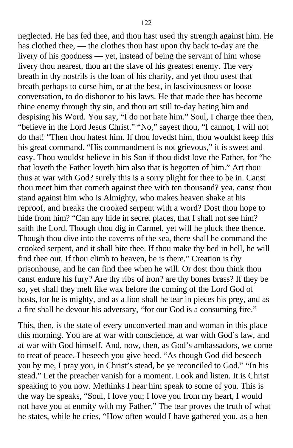neglected. He has fed thee, and thou hast used thy strength against him. He has clothed thee, — the clothes thou hast upon thy back to-day are the livery of his goodness — yet, instead of being the servant of him whose livery thou nearest, thou art the slave of his greatest enemy. The very breath in thy nostrils is the loan of his charity, and yet thou usest that breath perhaps to curse him, or at the best, in lasciviousness or loose conversation, to do dishonor to his laws. He that made thee has become thine enemy through thy sin, and thou art still to-day hating him and despising his Word. You say, "I do not hate him." Soul, I charge thee then, "believe in the Lord Jesus Christ." "No," sayest thou, "I cannot, I will not do that! "Then thou hatest him. If thou lovedst him, thou wouldst keep this his great command. "His commandment is not grievous," it is sweet and easy. Thou wouldst believe in his Son if thou didst love the Father, for "he that loveth the Father loveth him also that is begotten of him." Art thou thus at war with God? surely this is a sorry plight for thee to be in. Canst thou meet him that cometh against thee with ten thousand? yea, canst thou stand against him who is Almighty, who makes heaven shake at his reproof, and breaks the crooked serpent with a word? Dost thou hope to hide from him? "Can any hide in secret places, that I shall not see him? saith the Lord. Though thou dig in Carmel, yet will he pluck thee thence. Though thou dive into the caverns of the sea, there shall he command the crooked serpent, and it shall bite thee. If thou make thy bed in hell, he will find thee out. If thou climb to heaven, he is there." Creation is thy prisonhouse, and he can find thee when he will. Or dost thou think thou canst endure his fury? Are thy ribs of iron? are thy bones brass? If they be so, yet shall they melt like wax before the coming of the Lord God of hosts, for he is mighty, and as a lion shall he tear in pieces his prey, and as a fire shall he devour his adversary, "for our God is a consuming fire."

This, then, is the state of every unconverted man and woman in this place this morning. You are at war with conscience, at war with God's law, and at war with God himself. And, now, then, as God's ambassadors, we come to treat of peace. I beseech you give heed. "As though God did beseech you by me, I pray you, in Christ's stead, be ye reconciled to God." "In his stead." Let the preacher vanish for a moment. Look and listen. It is Christ speaking to you now. Methinks I hear him speak to some of you. This is the way he speaks, "Soul, I love you; I love you from my heart, I would not have you at enmity with my Father." The tear proves the truth of what he states, while he cries, "How often would I have gathered you, as a hen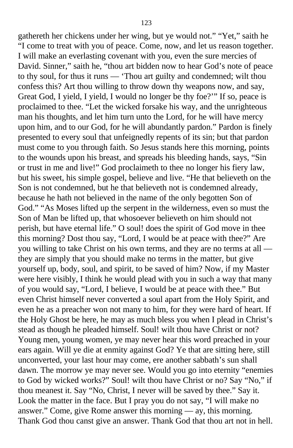gathereth her chickens under her wing, but ye would not." "Yet," saith he "I come to treat with you of peace. Come, now, and let us reason together. I will make an everlasting covenant with you, even the sure mercies of David. Sinner," saith he, "thou art bidden now to hear God's note of peace to thy soul, for thus it runs — 'Thou art guilty and condemned; wilt thou confess this? Art thou willing to throw down thy weapons now, and say, Great God, I yield, I yield, I would no longer be thy foe?'" If so, peace is proclaimed to thee. "Let the wicked forsake his way, and the unrighteous man his thoughts, and let him turn unto the Lord, for he will have mercy upon him, and to our God, for he will abundantly pardon." Pardon is finely presented to every soul that unfeignedly repents of its sin; but that pardon must come to you through faith. So Jesus stands here this morning, points to the wounds upon his breast, and spreads his bleeding hands, says, "Sin or trust in me and live!" God proclaimeth to thee no longer his fiery law, but his sweet, his simple gospel, believe and live. "He that believeth on the Son is not condemned, but he that believeth not is condemned already, because he hath not believed in the name of the only begotten Son of God." "As Moses lifted up the serpent in the wilderness, even so must the Son of Man be lifted up, that whosoever believeth on him should not perish, but have eternal life." O soul! does the spirit of God move in thee this morning? Dost thou say, "Lord, I would be at peace with thee?" Are you willing to take Christ on his own terms, and they are no terms at all they are simply that you should make no terms in the matter, but give yourself up, body, soul, and spirit, to be saved of him? Now, if my Master were here visibly, I think he would plead with you in such a way that many of you would say, "Lord, I believe, I would be at peace with thee." But even Christ himself never converted a soul apart from the Holy Spirit, and even he as a preacher won not many to him, for they were hard of heart. If the Holy Ghost be here, he may as much bless you when I plead in Christ's stead as though he pleaded himself. Soul! wilt thou have Christ or not? Young men, young women, ye may never hear this word preached in your ears again. Will ye die at enmity against God? Ye that are sitting here, still unconverted, your last hour may come, ere another sabbath's sun shall dawn. The morrow ye may never see. Would you go into eternity "enemies to God by wicked works?" Soul! wilt thou have Christ or no? Say "No," if thou meanest it. Say "No, Christ, I never will be saved by thee." Say it. Look the matter in the face. But I pray you do not say, "I will make no answer." Come, give Rome answer this morning — ay, this morning. Thank God thou canst give an answer. Thank God that thou art not in hell.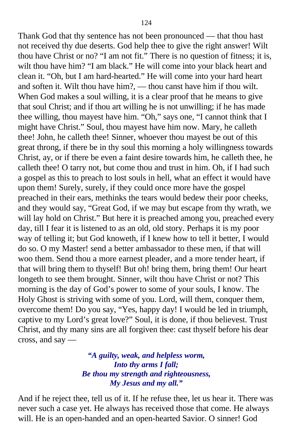Thank God that thy sentence has not been pronounced — that thou hast not received thy due deserts. God help thee to give the right answer! Wilt thou have Christ or no? "I am not fit." There is no question of fitness; it is, wilt thou have him? "I am black." He will come into your black heart and clean it. "Oh, but I am hard-hearted." He will come into your hard heart and soften it. Wilt thou have him?, — thou canst have him if thou wilt. When God makes a soul willing, it is a clear proof that he means to give that soul Christ; and if thou art willing he is not unwilling; if he has made thee willing, thou mayest have him. "Oh," says one, "I cannot think that I might have Christ." Soul, thou mayest have him now. Mary, he calleth thee! John, he calleth thee! Sinner, whoever thou mayest be out of this great throng, if there be in thy soul this morning a holy willingness towards Christ, ay, or if there be even a faint desire towards him, he calleth thee, he calleth thee! O tarry not, but come thou and trust in him. Oh, if I had such a gospel as this to preach to lost souls in hell, what an effect it would have upon them! Surely, surely, if they could once more have the gospel preached in their ears, methinks the tears would bedew their poor cheeks, and they would say, "Great God, if we may but escape from thy wrath, we will lay hold on Christ." But here it is preached among you, preached every day, till I fear it is listened to as an old, old story. Perhaps it is my poor way of telling it; but God knoweth, if I knew how to tell it better, I would do so. O my Master! send a better ambassador to these men, if that will woo them. Send thou a more earnest pleader, and a more tender heart, if that will bring them to thyself! But oh! bring them, bring them! Our heart longeth to see them brought. Sinner, wilt thou have Christ or not? This morning is the day of God's power to some of your souls, I know. The Holy Ghost is striving with some of you. Lord, will them, conquer them, overcome them! Do you say, "Yes, happy day! I would be led in triumph, captive to my Lord's great love?" Soul, it is done, if thou believest. Trust Christ, and thy many sins are all forgiven thee: cast thyself before his dear cross, and say —

# *"A guilty, weak, and helpless worm, Into thy arms I fall; Be thou my strength and righteousness, My Jesus and my all."*

And if he reject thee, tell us of it. If he refuse thee, let us hear it. There was never such a case yet. He always has received those that come. He always will. He is an open-handed and an open-hearted Savior. O sinner! God